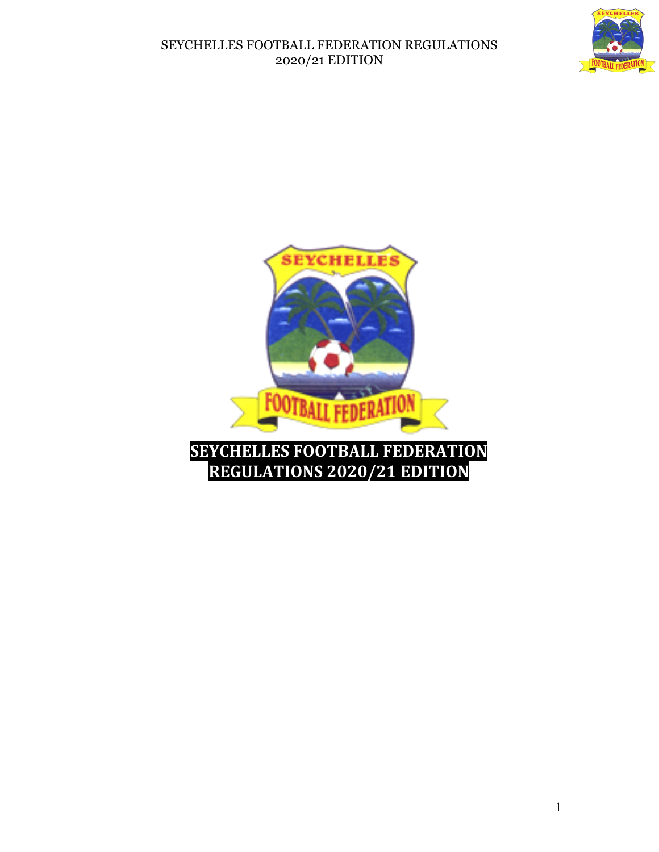

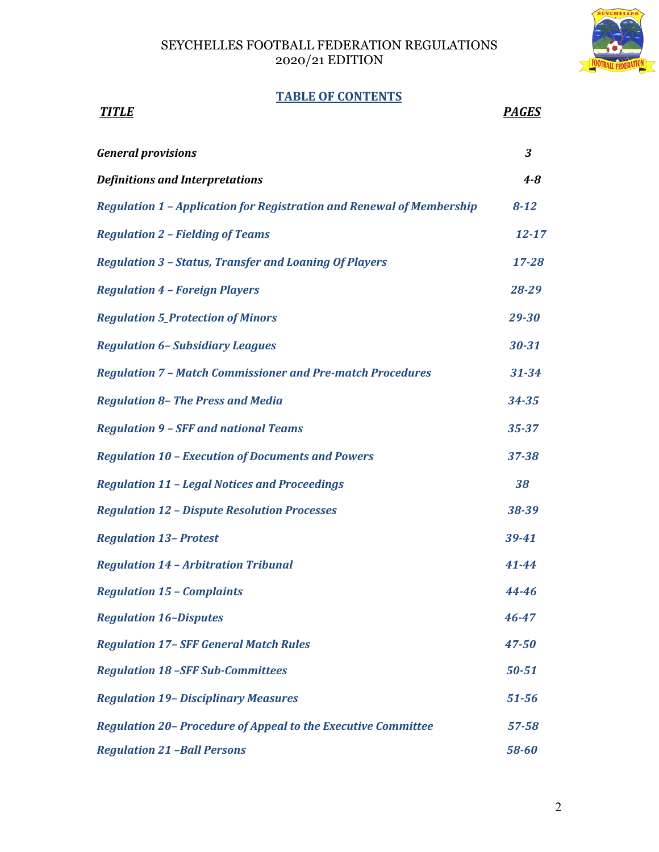

# **TABLE OF CONTENTS**

| <u>TITLE</u>                                                                 | <b>PAGES</b>         |
|------------------------------------------------------------------------------|----------------------|
| <b>General provisions</b>                                                    | $\boldsymbol{\beta}$ |
| <b>Definitions and Interpretations</b>                                       | $4 - 8$              |
| <b>Regulation 1 - Application for Registration and Renewal of Membership</b> | $8 - 12$             |
| <b>Regulation 2 - Fielding of Teams</b>                                      | $12 - 17$            |
| <b>Regulation 3 - Status, Transfer and Loaning Of Players</b>                | $17 - 28$            |
| <b>Regulation 4 - Foreign Players</b>                                        | 28-29                |
| <b>Regulation 5_Protection of Minors</b>                                     | 29-30                |
| <b>Regulation 6- Subsidiary Leagues</b>                                      | $30 - 31$            |
| <b>Regulation 7 - Match Commissioner and Pre-match Procedures</b>            | $31 - 34$            |
| <b>Regulation 8- The Press and Media</b>                                     | $34 - 35$            |
| <b>Regulation 9 - SFF and national Teams</b>                                 | $35 - 37$            |
| <b>Regulation 10 - Execution of Documents and Powers</b>                     | 37-38                |
| <b>Regulation 11 - Legal Notices and Proceedings</b>                         | 38                   |
| <b>Regulation 12 - Dispute Resolution Processes</b>                          | 38-39                |
| <b>Regulation 13- Protest</b>                                                | 39-41                |
| <b>Regulation 14 - Arbitration Tribunal</b>                                  | 41-44                |
| <b>Regulation 15 - Complaints</b>                                            | 44-46                |
| <b>Regulation 16-Disputes</b>                                                | 46-47                |
| <b>Regulation 17- SFF General Match Rules</b>                                | $47 - 50$            |
| <b>Regulation 18 -SFF Sub-Committees</b>                                     | $50 - 51$            |
| <b>Regulation 19- Disciplinary Measures</b>                                  | $51 - 56$            |
| Regulation 20- Procedure of Appeal to the Executive Committee                | $57 - 58$            |
| <b>Regulation 21 -Ball Persons</b>                                           | 58-60                |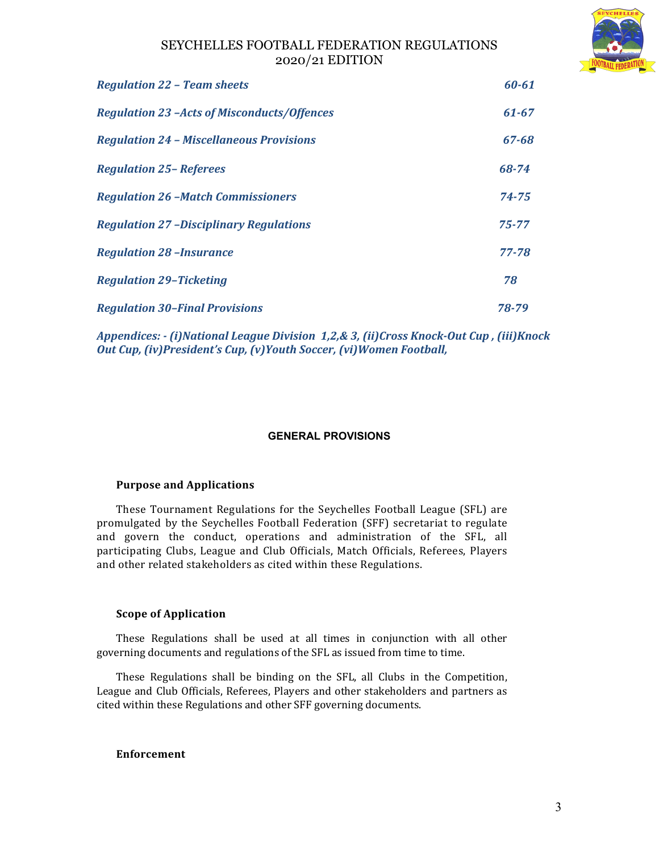

| <b>Regulation 22 - Team sheets</b>                 | $60 - 61$ |
|----------------------------------------------------|-----------|
| <b>Regulation 23 -Acts of Misconducts/Offences</b> | $61 - 67$ |
| <b>Regulation 24 - Miscellaneous Provisions</b>    | 67-68     |
| <b>Regulation 25-Referees</b>                      | 68-74     |
| <b>Regulation 26 -Match Commissioners</b>          | 74-75     |
| <b>Regulation 27 -Disciplinary Regulations</b>     | $75 - 77$ |
| <b>Regulation 28 -Insurance</b>                    | 77-78     |
| <b>Regulation 29-Ticketing</b>                     | 78        |
| <b>Regulation 30-Final Provisions</b>              | 78-79     |

*Appendices: - (i)National League Division 1,2,& 3, (ii)Cross Knock-Out Cup , (iii)Knock Out Cup, (iv)President's Cup, (v)Youth Soccer, (vi)Women Football,* 

### **GENERAL PROVISIONS**

### **Purpose and Applications**

These Tournament Regulations for the Seychelles Football League (SFL) are promulgated by the Seychelles Football Federation (SFF) secretariat to regulate and govern the conduct, operations and administration of the SFL, all participating Clubs, League and Club Officials, Match Officials, Referees, Players and other related stakeholders as cited within these Regulations.

### **Scope of Application**

These Regulations shall be used at all times in conjunction with all other governing documents and regulations of the SFL as issued from time to time.

These Regulations shall be binding on the SFL, all Clubs in the Competition, League and Club Officials, Referees, Players and other stakeholders and partners as cited within these Regulations and other SFF governing documents.

### **Enforcement**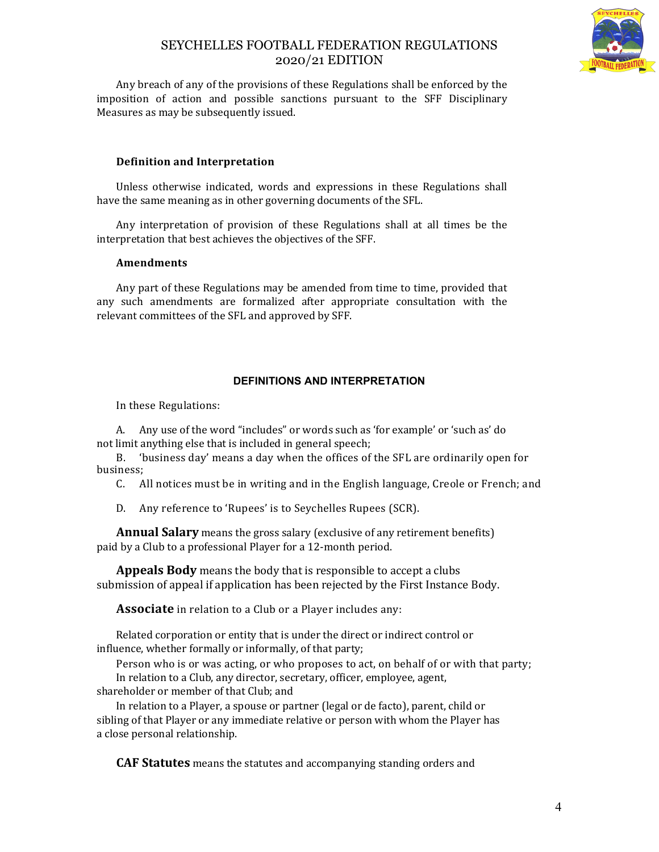

Any breach of any of the provisions of these Regulations shall be enforced by the imposition of action and possible sanctions pursuant to the SFF Disciplinary Measures as may be subsequently issued.

### **Definition and Interpretation**

Unless otherwise indicated, words and expressions in these Regulations shall have the same meaning as in other governing documents of the SFL.

Any interpretation of provision of these Regulations shall at all times be the interpretation that best achieves the objectives of the SFF.

### **Amendments**

Any part of these Regulations may be amended from time to time, provided that any such amendments are formalized after appropriate consultation with the relevant committees of the SFL and approved by SFF.

### **DEFINITIONS AND INTERPRETATION**

In these Regulations:

A. Any use of the word "includes" or words such as 'for example' or 'such as' do not limit anything else that is included in general speech;

B. 'business day' means a day when the offices of the SFL are ordinarily open for business;

C. All notices must be in writing and in the English language, Creole or French; and

D. Any reference to 'Rupees' is to Seychelles Rupees (SCR).

**Annual Salary** means the gross salary (exclusive of any retirement benefits) paid by a Club to a professional Player for a 12-month period.

**Appeals Body** means the body that is responsible to accept a clubs submission of appeal if application has been rejected by the First Instance Body.

**Associate** in relation to a Club or a Player includes any:

Related corporation or entity that is under the direct or indirect control or influence, whether formally or informally, of that party;

Person who is or was acting, or who proposes to act, on behalf of or with that party; In relation to a Club, any director, secretary, officer, employee, agent,

shareholder or member of that Club; and

In relation to a Player, a spouse or partner (legal or de facto), parent, child or sibling of that Player or any immediate relative or person with whom the Player has a close personal relationship.

**CAF Statutes** means the statutes and accompanying standing orders and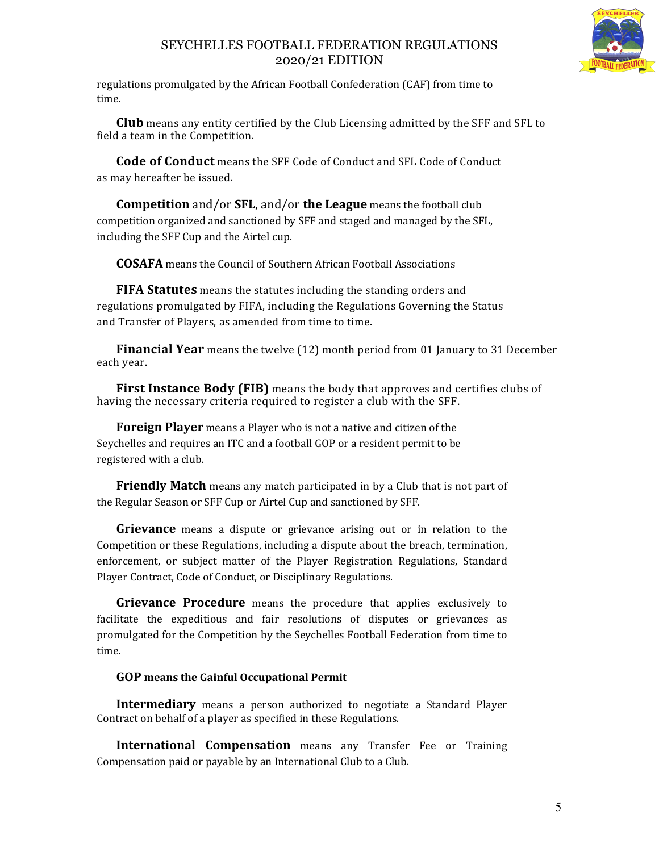

regulations promulgated by the African Football Confederation (CAF) from time to time.

**Club** means any entity certified by the Club Licensing admitted by the SFF and SFL to field a team in the Competition.

**Code of Conduct** means the SFF Code of Conduct and SFL Code of Conduct as may hereafter be issued.

**Competition** and/or **SFL**, and/or **the League** means the football club competition organized and sanctioned by SFF and staged and managed by the SFL, including the SFF Cup and the Airtel cup.

**COSAFA** means the Council of Southern African Football Associations

**FIFA Statutes** means the statutes including the standing orders and regulations promulgated by FIFA, including the Regulations Governing the Status and Transfer of Players, as amended from time to time.

**Financial Year** means the twelve (12) month period from 01 January to 31 December each year.

**First Instance Body (FIB)** means the body that approves and certifies clubs of having the necessary criteria required to register a club with the SFF.

**Foreign Player** means a Player who is not a native and citizen of the Seychelles and requires an ITC and a football GOP or a resident permit to be registered with a club.

**Friendly Match** means any match participated in by a Club that is not part of the Regular Season or SFF Cup or Airtel Cup and sanctioned by SFF.

**Grievance** means a dispute or grievance arising out or in relation to the Competition or these Regulations, including a dispute about the breach, termination, enforcement, or subject matter of the Player Registration Regulations, Standard Player Contract, Code of Conduct, or Disciplinary Regulations.

**Grievance Procedure** means the procedure that applies exclusively to facilitate the expeditious and fair resolutions of disputes or grievances as promulgated for the Competition by the Seychelles Football Federation from time to time.

## **GOP means the Gainful Occupational Permit**

**Intermediary** means a person authorized to negotiate a Standard Player Contract on behalf of a player as specified in these Regulations.

**International Compensation** means any Transfer Fee or Training Compensation paid or payable by an International Club to a Club.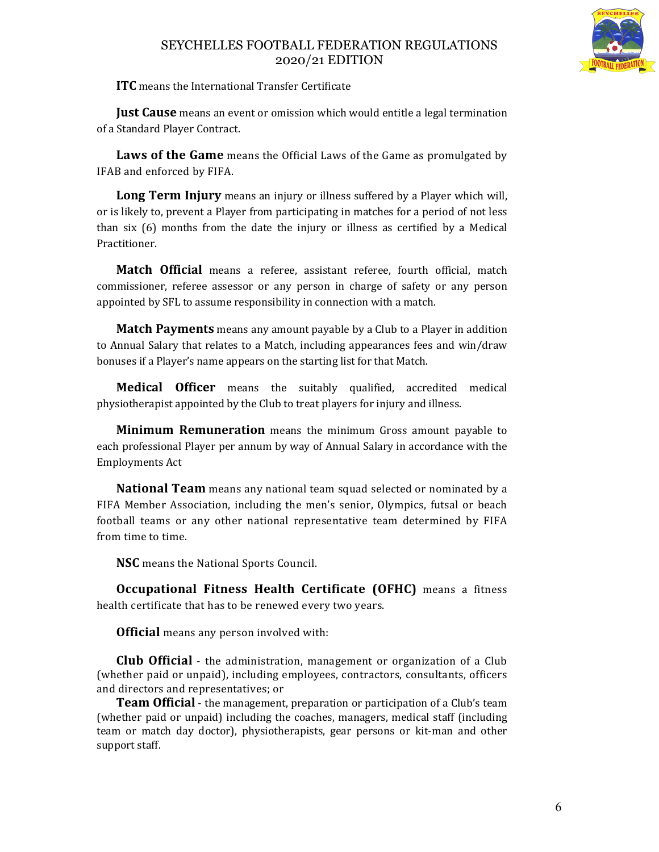

**ITC** means the International Transfer Certificate

**Just Cause** means an event or omission which would entitle a legal termination of a Standard Player Contract.

**Laws of the Game** means the Official Laws of the Game as promulgated by IFAB and enforced by FIFA.

**Long Term Injury** means an injury or illness suffered by a Player which will, or is likely to, prevent a Player from participating in matches for a period of not less than six (6) months from the date the injury or illness as certified by a Medical Practitioner.

**Match Official** means a referee, assistant referee, fourth official, match commissioner, referee assessor or any person in charge of safety or any person appointed by SFL to assume responsibility in connection with a match.

**Match Payments** means any amount payable by a Club to a Player in addition to Annual Salary that relates to a Match, including appearances fees and win/draw bonuses if a Player's name appears on the starting list for that Match.

**Medical Officer** means the suitably qualified, accredited medical physiotherapist appointed by the Club to treat players for injury and illness.

**Minimum Remuneration** means the minimum Gross amount payable to each professional Player per annum by way of Annual Salary in accordance with the Employments Act

**National Team** means any national team squad selected or nominated by a FIFA Member Association, including the men's senior, Olympics, futsal or beach football teams or any other national representative team determined by FIFA from time to time.

**NSC** means the National Sports Council.

**Occupational Fitness Health Certificate (OFHC)** means a fitness health certificate that has to be renewed every two years.

**Official** means any person involved with:

**Club Official** - the administration, management or organization of a Club (whether paid or unpaid), including employees, contractors, consultants, officers and directors and representatives; or

**Team Official** - the management, preparation or participation of a Club's team (whether paid or unpaid) including the coaches, managers, medical staff (including team or match day doctor), physiotherapists, gear persons or kit-man and other support staff.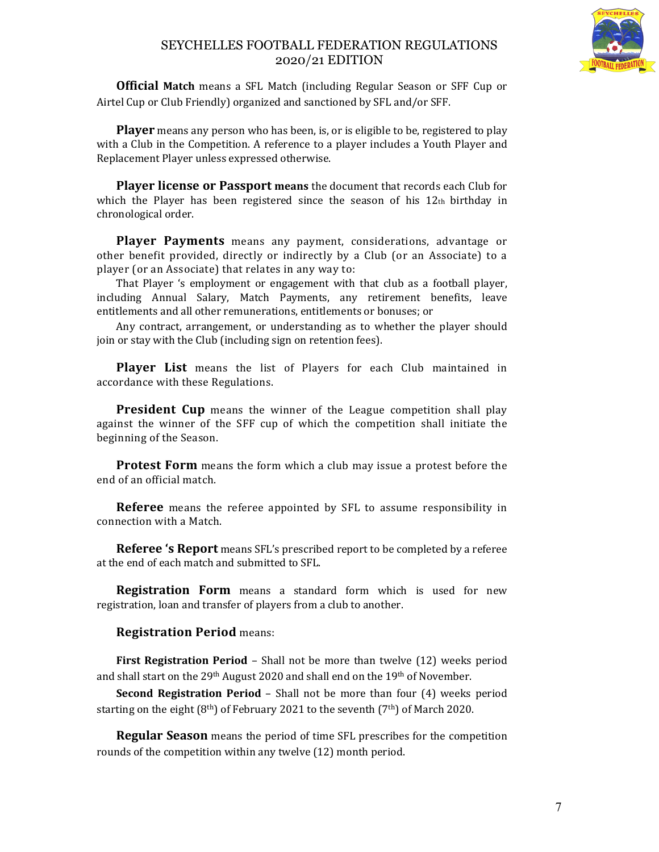

**Official Match** means a SFL Match (including Regular Season or SFF Cup or Airtel Cup or Club Friendly) organized and sanctioned by SFL and/or SFF.

**Player** means any person who has been, is, or is eligible to be, registered to play with a Club in the Competition. A reference to a player includes a Youth Player and Replacement Player unless expressed otherwise.

**Player license or Passport means** the document that records each Club for which the Player has been registered since the season of his  $12<sub>th</sub>$  birthday in chronological order.

**Player Payments** means any payment, considerations, advantage or other benefit provided, directly or indirectly by a Club (or an Associate) to a player (or an Associate) that relates in any way to:

That Player 's employment or engagement with that club as a football player, including Annual Salary, Match Payments, any retirement benefits, leave entitlements and all other remunerations, entitlements or bonuses; or

Any contract, arrangement, or understanding as to whether the player should join or stay with the Club (including sign on retention fees).

**Player List** means the list of Players for each Club maintained in accordance with these Regulations.

**President Cup** means the winner of the League competition shall play against the winner of the SFF cup of which the competition shall initiate the beginning of the Season.

**Protest Form** means the form which a club may issue a protest before the end of an official match.

**Referee** means the referee appointed by SFL to assume responsibility in connection with a Match.

**Referee 's Report** means SFL's prescribed report to be completed by a referee at the end of each match and submitted to SFL.

**Registration Form** means a standard form which is used for new registration, loan and transfer of players from a club to another.

## **Registration Period** means:

**First Registration Period** – Shall not be more than twelve (12) weeks period and shall start on the 29<sup>th</sup> August 2020 and shall end on the 19<sup>th</sup> of November.

**Second Registration Period** – Shall not be more than four (4) weeks period starting on the eight  $(8<sup>th</sup>)$  of February 2021 to the seventh  $(7<sup>th</sup>)$  of March 2020.

**Regular Season** means the period of time SFL prescribes for the competition rounds of the competition within any twelve (12) month period.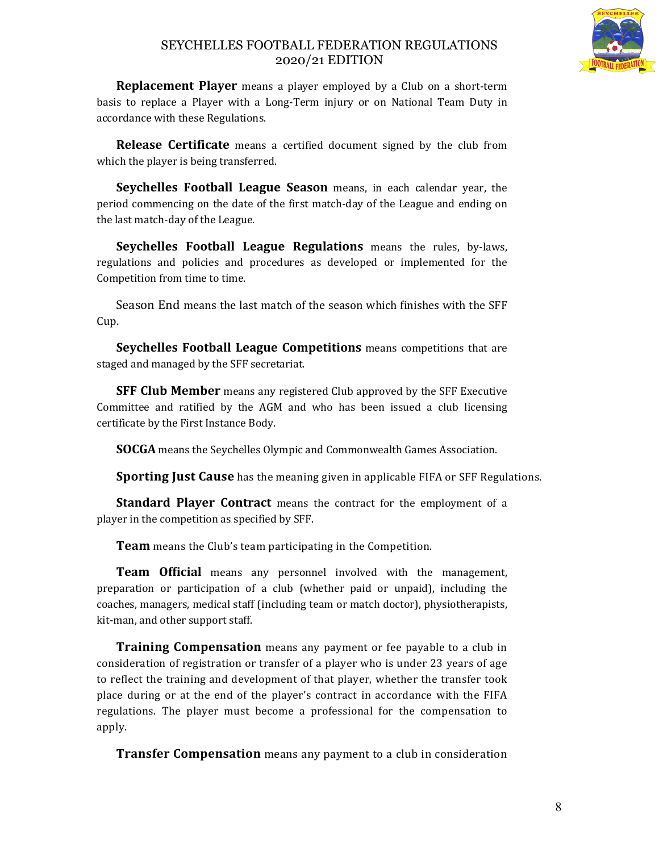

**Replacement Player** means a player employed by a Club on a short-term basis to replace a Player with a Long-Term injury or on National Team Duty in accordance with these Regulations.

**Release Certificate** means a certified document signed by the club from which the player is being transferred.

**Seychelles Football League Season** means, in each calendar year, the period commencing on the date of the first match-day of the League and ending on the last match-day of the League.

**Seychelles Football League Regulations** means the rules, by-laws, regulations and policies and procedures as developed or implemented for the Competition from time to time.

Season End means the last match of the season which finishes with the SFF Cup.

**Seychelles Football League Competitions** means competitions that are staged and managed by the SFF secretariat.

**SFF Club Member** means any registered Club approved by the SFF Executive Committee and ratified by the AGM and who has been issued a club licensing certificate by the First Instance Body.

**SOCGA** means the Seychelles Olympic and Commonwealth Games Association.

**Sporting Just Cause** has the meaning given in applicable FIFA or SFF Regulations.

**Standard Player Contract** means the contract for the employment of a player in the competition as specified by SFF.

**Team** means the Club's team participating in the Competition.

**Team Official** means any personnel involved with the management, preparation or participation of a club (whether paid or unpaid), including the coaches, managers, medical staff (including team or match doctor), physiotherapists, kit-man, and other support staff.

**Training Compensation** means any payment or fee payable to a club in consideration of registration or transfer of a player who is under 23 years of age to reflect the training and development of that player, whether the transfer took place during or at the end of the player's contract in accordance with the FIFA regulations. The player must become a professional for the compensation to apply.

**Transfer Compensation** means any payment to a club in consideration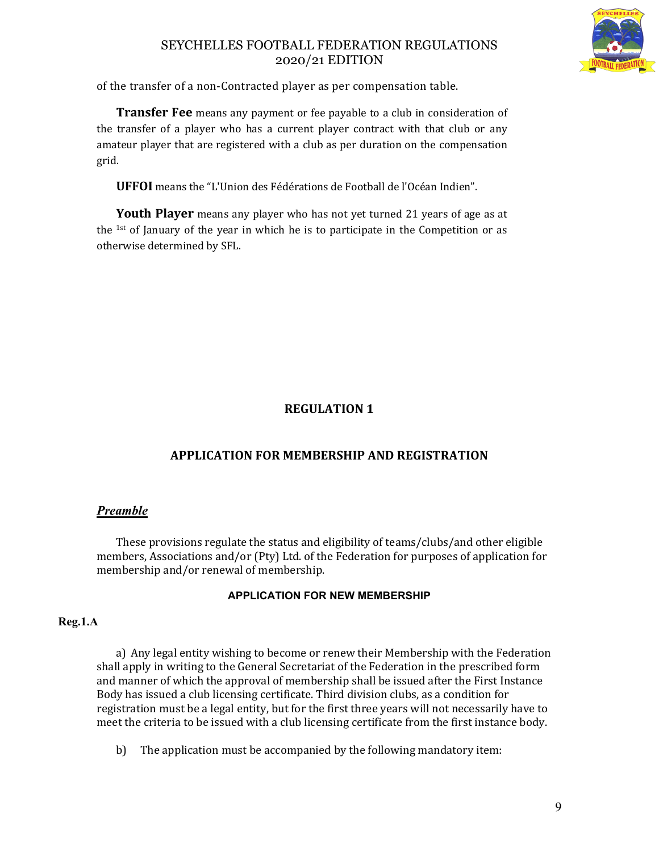

of the transfer of a non-Contracted player as per compensation table.

**Transfer Fee** means any payment or fee payable to a club in consideration of the transfer of a player who has a current player contract with that club or any amateur player that are registered with a club as per duration on the compensation grid.

**UFFOI** means the "L'Union des Fédérations de Football de l'Océan Indien".

**Youth Player** means any player who has not yet turned 21 years of age as at the 1st of January of the year in which he is to participate in the Competition or as otherwise determined by SFL.

# **REGULATION 1**

# **APPLICATION FOR MEMBERSHIP AND REGISTRATION**

# *Preamble*

These provisions regulate the status and eligibility of teams/clubs/and other eligible members, Associations and/or (Pty) Ltd. of the Federation for purposes of application for membership and/or renewal of membership.

## **APPLICATION FOR NEW MEMBERSHIP**

## **Reg.1.A**

a) Any legal entity wishing to become or renew their Membership with the Federation shall apply in writing to the General Secretariat of the Federation in the prescribed form and manner of which the approval of membership shall be issued after the First Instance Body has issued a club licensing certificate. Third division clubs, as a condition for registration must be a legal entity, but for the first three years will not necessarily have to meet the criteria to be issued with a club licensing certificate from the first instance body.

b) The application must be accompanied by the following mandatory item: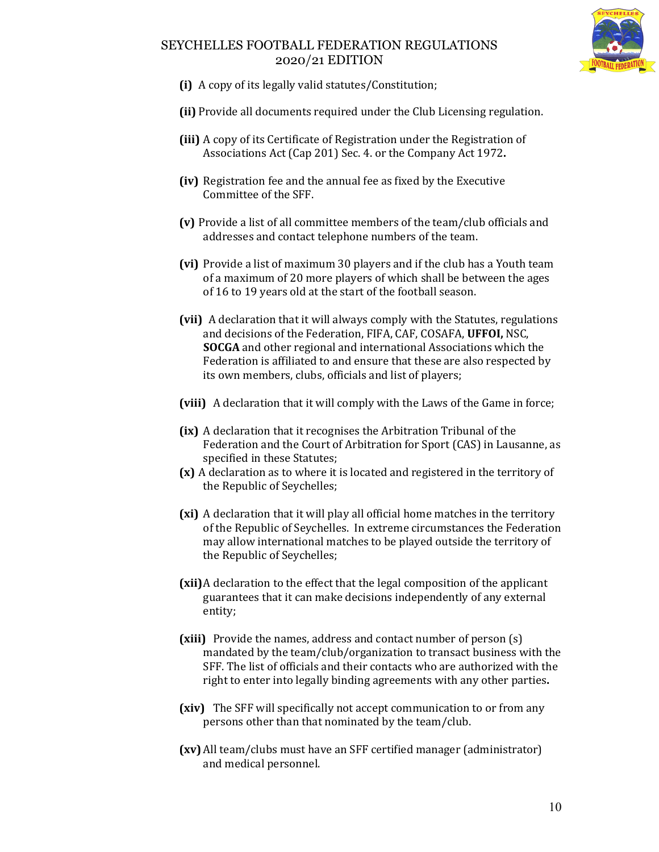

- **(i)** A copy of its legally valid statutes/Constitution;
- **(ii)** Provide all documents required under the Club Licensing regulation.
- **(iii)** A copy of its Certificate of Registration under the Registration of Associations Act (Cap 201) Sec. 4. or the Company Act 1972**.**
- **(iv)** Registration fee and the annual fee as fixed by the Executive Committee of the SFF.
- **(v)** Provide a list of all committee members of the team/club officials and addresses and contact telephone numbers of the team.
- **(vi)** Provide a list of maximum 30 players and if the club has a Youth team of a maximum of 20 more players of which shall be between the ages of 16 to 19 years old at the start of the football season.
- **(vii)** A declaration that it will always comply with the Statutes, regulations and decisions of the Federation, FIFA, CAF, COSAFA, **UFFOI,** NSC, **SOCGA** and other regional and international Associations which the Federation is affiliated to and ensure that these are also respected by its own members, clubs, officials and list of players;
- **(viii)** A declaration that it will comply with the Laws of the Game in force;
- **(ix)** A declaration that it recognises the Arbitration Tribunal of the Federation and the Court of Arbitration for Sport (CAS) in Lausanne, as specified in these Statutes;
- **(x)** A declaration as to where it is located and registered in the territory of the Republic of Seychelles;
- **(xi)** A declaration that it will play all official home matches in the territory of the Republic of Seychelles. In extreme circumstances the Federation may allow international matches to be played outside the territory of the Republic of Seychelles;
- **(xii)**A declaration to the effect that the legal composition of the applicant guarantees that it can make decisions independently of any external entity;
- **(xiii)** Provide the names, address and contact number of person (s) mandated by the team/club/organization to transact business with the SFF. The list of officials and their contacts who are authorized with the right to enter into legally binding agreements with any other parties**.**
- **(xiv)** The SFF will specifically not accept communication to or from any persons other than that nominated by the team/club.
- **(xv)** All team/clubs must have an SFF certified manager (administrator) and medical personnel.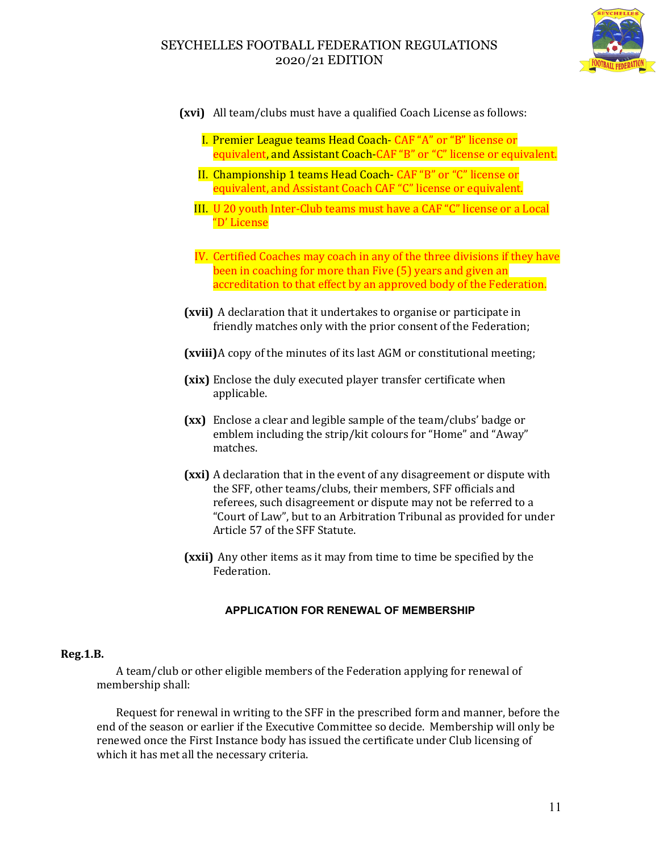

- **(xvi)** All team/clubs must have a qualified Coach License as follows:
	- I. Premier League teams Head Coach- CAF "A" or "B" license or equivalent, and Assistant Coach-CAF "B" or "C" license or equivalent.
	- II. Championship 1 teams Head Coach- CAF "B" or "C" license or equivalent, and Assistant Coach CAF "C" license or equivalent.
	- III. U 20 youth Inter-Club teams must have a CAF "C" license or a Local "D' License
	- IV. Certified Coaches may coach in any of the three divisions if they have been in coaching for more than Five (5) years and given an accreditation to that effect by an approved body of the Federation.
- **(xvii)** A declaration that it undertakes to organise or participate in friendly matches only with the prior consent of the Federation;
- **(xviii)**A copy of the minutes of its last AGM or constitutional meeting;
- **(xix)** Enclose the duly executed player transfer certificate when applicable.
- **(xx)** Enclose a clear and legible sample of the team/clubs' badge or emblem including the strip/kit colours for "Home" and "Away" matches.
- **(xxi)** A declaration that in the event of any disagreement or dispute with the SFF, other teams/clubs, their members, SFF officials and referees, such disagreement or dispute may not be referred to a "Court of Law", but to an Arbitration Tribunal as provided for under Article 57 of the SFF Statute.
- **(xxii)** Any other items as it may from time to time be specified by the Federation.

### **APPLICATION FOR RENEWAL OF MEMBERSHIP**

### **Reg.1.B.**

A team/club or other eligible members of the Federation applying for renewal of membership shall:

Request for renewal in writing to the SFF in the prescribed form and manner, before the end of the season or earlier if the Executive Committee so decide. Membership will only be renewed once the First Instance body has issued the certificate under Club licensing of which it has met all the necessary criteria.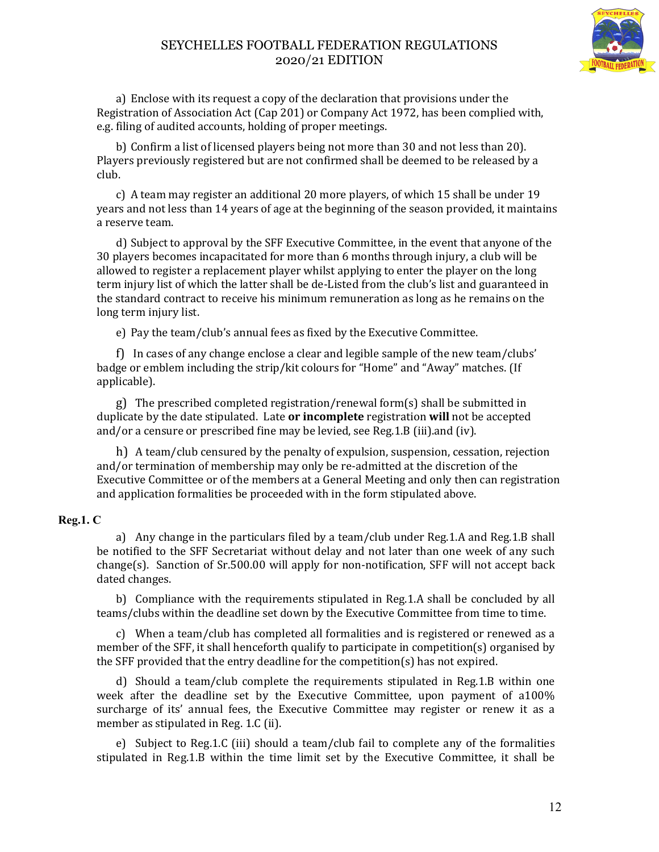

a) Enclose with its request a copy of the declaration that provisions under the Registration of Association Act (Cap 201) or Company Act 1972, has been complied with, e.g. filing of audited accounts, holding of proper meetings.

b) Confirm a list of licensed players being not more than 30 and not less than 20). Players previously registered but are not confirmed shall be deemed to be released by a club.

c) A team may register an additional 20 more players, of which 15 shall be under 19 years and not less than 14 years of age at the beginning of the season provided, it maintains a reserve team.

d) Subject to approval by the SFF Executive Committee, in the event that anyone of the 30 players becomes incapacitated for more than 6 months through injury, a club will be allowed to register a replacement player whilst applying to enter the player on the long term injury list of which the latter shall be de-Listed from the club's list and guaranteed in the standard contract to receive his minimum remuneration as long as he remains on the long term injury list.

e) Pay the team/club's annual fees as fixed by the Executive Committee.

f) In cases of any change enclose a clear and legible sample of the new team/clubs' badge or emblem including the strip/kit colours for "Home" and "Away" matches. (If applicable).

g) The prescribed completed registration/renewal form(s) shall be submitted in duplicate by the date stipulated. Late **or incomplete** registration **will** not be accepted and/or a censure or prescribed fine may be levied, see Reg.1.B (iii).and (iv).

h) A team/club censured by the penalty of expulsion, suspension, cessation, rejection and/or termination of membership may only be re-admitted at the discretion of the Executive Committee or of the members at a General Meeting and only then can registration and application formalities be proceeded with in the form stipulated above.

### **Reg.1. C**

a) Any change in the particulars filed by a team/club under Reg.1.A and Reg.1.B shall be notified to the SFF Secretariat without delay and not later than one week of any such change(s). Sanction of  $Sr.500.00$  will apply for non-notification,  $SF$  will not accept back dated changes.

b) Compliance with the requirements stipulated in Reg.1.A shall be concluded by all teams/clubs within the deadline set down by the Executive Committee from time to time.

c) When a team/club has completed all formalities and is registered or renewed as a member of the SFF, it shall henceforth qualify to participate in competition(s) organised by the SFF provided that the entry deadline for the competition(s) has not expired.

d) Should a team/club complete the requirements stipulated in Reg.1.B within one week after the deadline set by the Executive Committee, upon payment of a100% surcharge of its' annual fees, the Executive Committee may register or renew it as a member as stipulated in Reg. 1.C (ii).

e) Subject to Reg.1.C (iii) should a team/club fail to complete any of the formalities stipulated in Reg.1.B within the time limit set by the Executive Committee, it shall be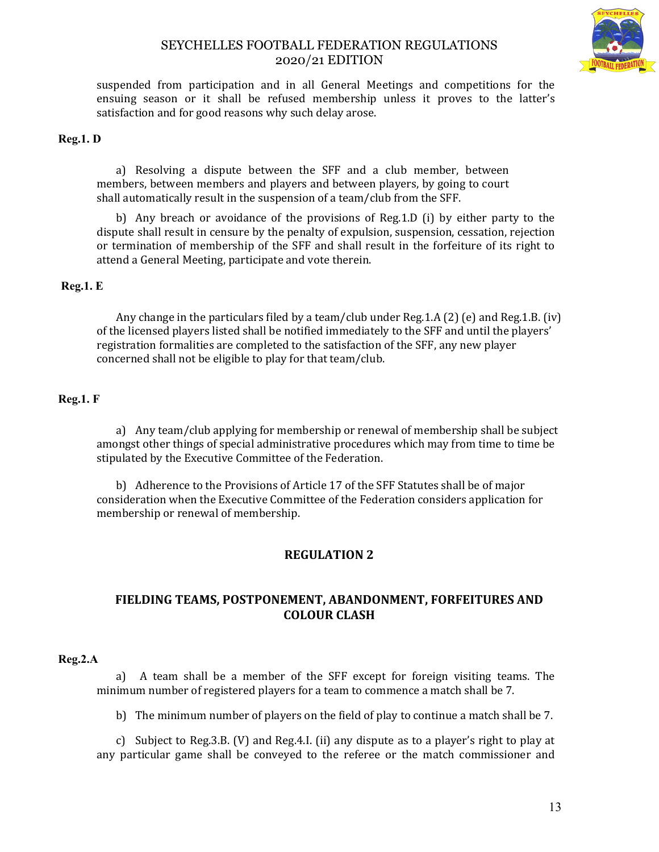

suspended from participation and in all General Meetings and competitions for the ensuing season or it shall be refused membership unless it proves to the latter's satisfaction and for good reasons why such delay arose.

### **Reg.1. D**

a) Resolving a dispute between the SFF and a club member, between members, between members and players and between players, by going to court shall automatically result in the suspension of a team/club from the SFF.

b) Any breach or avoidance of the provisions of Reg.1.D (i) by either party to the dispute shall result in censure by the penalty of expulsion, suspension, cessation, rejection or termination of membership of the SFF and shall result in the forfeiture of its right to attend a General Meeting, participate and vote therein.

#### **Reg.1. E**

Any change in the particulars filed by a team/club under Reg.1.A (2) (e) and Reg.1.B. (iv) of the licensed players listed shall be notified immediately to the SFF and until the players' registration formalities are completed to the satisfaction of the SFF, any new player concerned shall not be eligible to play for that team/club.

### **Reg.1. F**

a) Any team/club applying for membership or renewal of membership shall be subject amongst other things of special administrative procedures which may from time to time be stipulated by the Executive Committee of the Federation.

b) Adherence to the Provisions of Article 17 of the SFF Statutes shall be of major consideration when the Executive Committee of the Federation considers application for membership or renewal of membership.

## **REGULATION 2**

## **FIELDING TEAMS, POSTPONEMENT, ABANDONMENT, FORFEITURES AND COLOUR CLASH**

#### **Reg.2.A**

a) A team shall be a member of the SFF except for foreign visiting teams. The minimum number of registered players for a team to commence a match shall be 7.

b) The minimum number of players on the field of play to continue a match shall be 7.

c) Subject to Reg.3.B. (V) and Reg.4.I. (ii) any dispute as to a player's right to play at any particular game shall be conveyed to the referee or the match commissioner and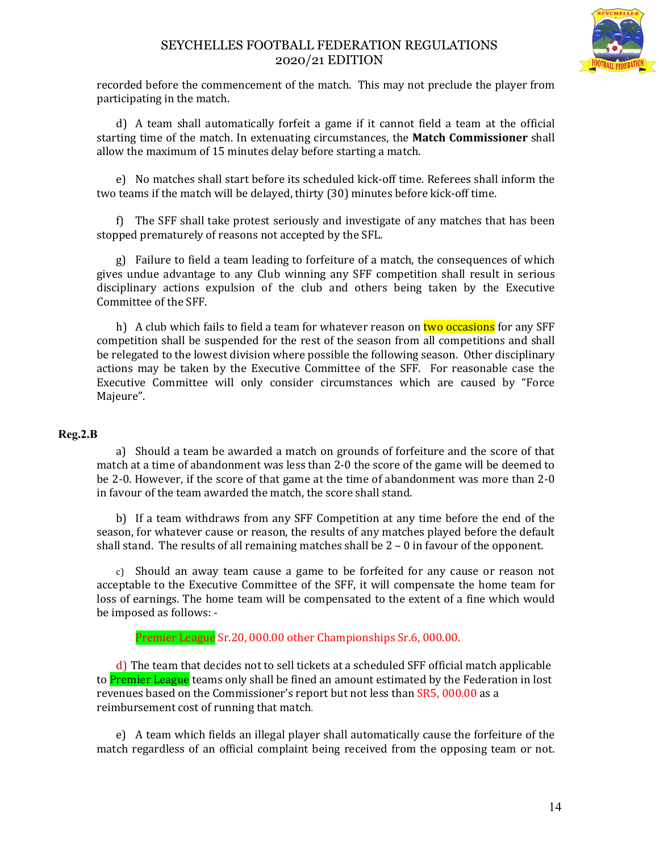

recorded before the commencement of the match. This may not preclude the player from participating in the match.

d) A team shall automatically forfeit a game if it cannot field a team at the official starting time of the match. In extenuating circumstances, the **Match Commissioner** shall allow the maximum of 15 minutes delay before starting a match.

e) No matches shall start before its scheduled kick-off time. Referees shall inform the two teams if the match will be delayed, thirty (30) minutes before kick-off time.

f) The SFF shall take protest seriously and investigate of any matches that has been stopped prematurely of reasons not accepted by the SFL.

g) Failure to field a team leading to forfeiture of a match, the consequences of which gives undue advantage to any Club winning any SFF competition shall result in serious disciplinary actions expulsion of the club and others being taken by the Executive Committee of the SFF.

h) A club which fails to field a team for whatever reason on two occasions for any SFF competition shall be suspended for the rest of the season from all competitions and shall be relegated to the lowest division where possible the following season. Other disciplinary actions may be taken by the Executive Committee of the SFF. For reasonable case the Executive Committee will only consider circumstances which are caused by "Force Majeure".

### **Reg.2.B**

a) Should a team be awarded a match on grounds of forfeiture and the score of that match at a time of abandonment was less than 2-0 the score of the game will be deemed to be 2-0. However, if the score of that game at the time of abandonment was more than 2-0 in favour of the team awarded the match, the score shall stand.

b) If a team withdraws from any SFF Competition at any time before the end of the season, for whatever cause or reason, the results of any matches played before the default shall stand. The results of all remaining matches shall be 2 – 0 in favour of the opponent.

c) Should an away team cause a game to be forfeited for any cause or reason not acceptable to the Executive Committee of the SFF, it will compensate the home team for loss of earnings. The home team will be compensated to the extent of a fine which would be imposed as follows: -

Premier League Sr.20, 000.00 other Championships Sr.6, 000.00.

d) The team that decides not to sell tickets at a scheduled SFF official match applicable to **Premier League** teams only shall be fined an amount estimated by the Federation in lost revenues based on the Commissioner's report but not less than SR5, 000.00 as a reimbursement cost of running that match.

e) A team which fields an illegal player shall automatically cause the forfeiture of the match regardless of an official complaint being received from the opposing team or not.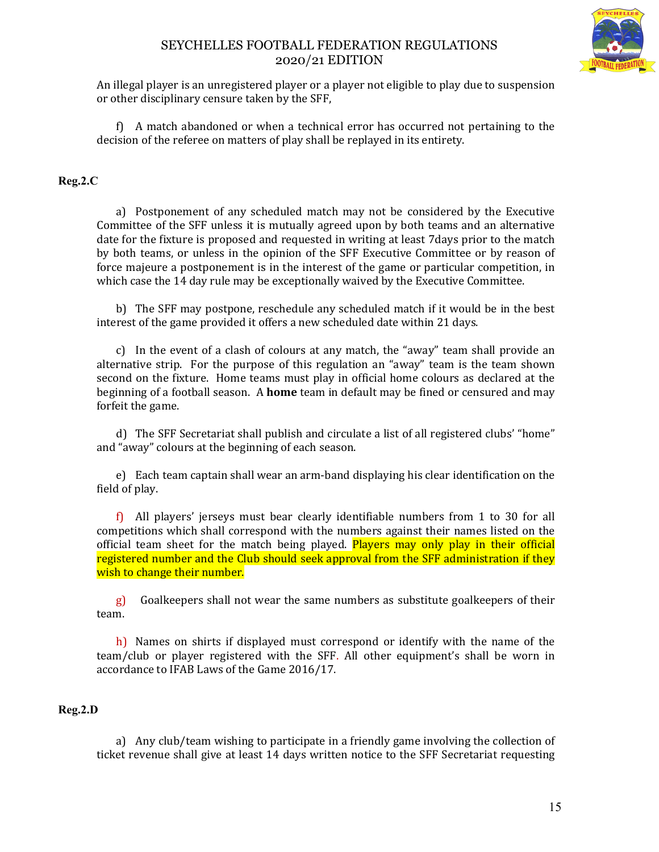

An illegal player is an unregistered player or a player not eligible to play due to suspension or other disciplinary censure taken by the SFF,

f) A match abandoned or when a technical error has occurred not pertaining to the decision of the referee on matters of play shall be replayed in its entirety.

### **Reg.2.C**

a) Postponement of any scheduled match may not be considered by the Executive Committee of the SFF unless it is mutually agreed upon by both teams and an alternative date for the fixture is proposed and requested in writing at least 7days prior to the match by both teams, or unless in the opinion of the SFF Executive Committee or by reason of force majeure a postponement is in the interest of the game or particular competition, in which case the 14 day rule may be exceptionally waived by the Executive Committee.

b) The SFF may postpone, reschedule any scheduled match if it would be in the best interest of the game provided it offers a new scheduled date within 21 days.

c) In the event of a clash of colours at any match, the "away" team shall provide an alternative strip. For the purpose of this regulation an "away" team is the team shown second on the fixture. Home teams must play in official home colours as declared at the beginning of a football season. A **home** team in default may be fined or censured and may forfeit the game.

d) The SFF Secretariat shall publish and circulate a list of all registered clubs' "home" and "away" colours at the beginning of each season.

e) Each team captain shall wear an arm-band displaying his clear identification on the field of play.

f) All players' jerseys must bear clearly identifiable numbers from 1 to 30 for all competitions which shall correspond with the numbers against their names listed on the official team sheet for the match being played. Players may only play in their official registered number and the Club should seek approval from the SFF administration if they wish to change their number.

g) Goalkeepers shall not wear the same numbers as substitute goalkeepers of their team.

h) Names on shirts if displayed must correspond or identify with the name of the team/club or player registered with the SFF. All other equipment's shall be worn in accordance to IFAB Laws of the Game 2016/17.

### **Reg.2.D**

a) Any club/team wishing to participate in a friendly game involving the collection of ticket revenue shall give at least 14 days written notice to the SFF Secretariat requesting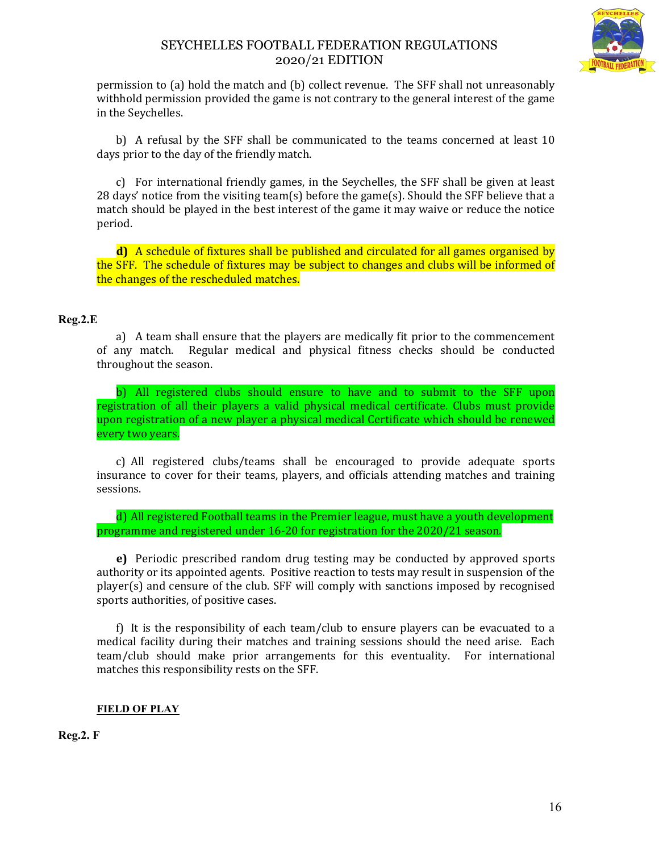

permission to (a) hold the match and (b) collect revenue. The SFF shall not unreasonably withhold permission provided the game is not contrary to the general interest of the game in the Seychelles.

b) A refusal by the SFF shall be communicated to the teams concerned at least 10 days prior to the day of the friendly match.

c) For international friendly games, in the Seychelles, the SFF shall be given at least 28 days' notice from the visiting team(s) before the game(s). Should the SFF believe that a match should be played in the best interest of the game it may waive or reduce the notice period.

**d)** A schedule of fixtures shall be published and circulated for all games organised by the SFF. The schedule of fixtures may be subject to changes and clubs will be informed of the changes of the rescheduled matches.

### **Reg.2.E**

a) A team shall ensure that the players are medically fit prior to the commencement of any match. Regular medical and physical fitness checks should be conducted throughout the season.

b) All registered clubs should ensure to have and to submit to the SFF upon registration of all their players a valid physical medical certificate. Clubs must provide upon registration of a new player a physical medical Certificate which should be renewed every two years.

c) All registered clubs/teams shall be encouraged to provide adequate sports insurance to cover for their teams, players, and officials attending matches and training sessions.

d) All registered Football teams in the Premier league, must have a youth development programme and registered under 16-20 for registration for the 2020/21 season.

**e)** Periodic prescribed random drug testing may be conducted by approved sports authority or its appointed agents. Positive reaction to tests may result in suspension of the player(s) and censure of the club. SFF will comply with sanctions imposed by recognised sports authorities, of positive cases.

f) It is the responsibility of each team/club to ensure players can be evacuated to a medical facility during their matches and training sessions should the need arise. Each team/club should make prior arrangements for this eventuality. For international matches this responsibility rests on the SFF.

## **FIELD OF PLAY**

**Reg.2. F**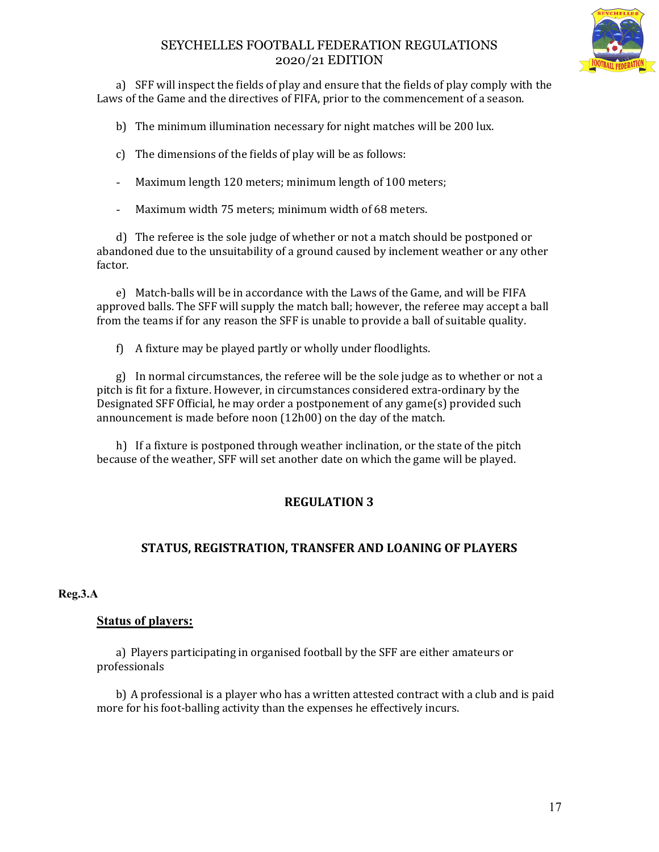

a) SFF will inspect the fields of play and ensure that the fields of play comply with the Laws of the Game and the directives of FIFA, prior to the commencement of a season.

b) The minimum illumination necessary for night matches will be 200 lux.

- c) The dimensions of the fields of play will be as follows:
- Maximum length 120 meters; minimum length of 100 meters;
- Maximum width 75 meters; minimum width of 68 meters.

d) The referee is the sole judge of whether or not a match should be postponed or abandoned due to the unsuitability of a ground caused by inclement weather or any other factor.

e) Match-balls will be in accordance with the Laws of the Game, and will be FIFA approved balls. The SFF will supply the match ball; however, the referee may accept a ball from the teams if for any reason the SFF is unable to provide a ball of suitable quality.

f) A fixture may be played partly or wholly under floodlights.

g) In normal circumstances, the referee will be the sole judge as to whether or not a pitch is fit for a fixture. However, in circumstances considered extra-ordinary by the Designated SFF Official, he may order a postponement of any game(s) provided such announcement is made before noon (12h00) on the day of the match.

h) If a fixture is postponed through weather inclination, or the state of the pitch because of the weather, SFF will set another date on which the game will be played.

# **REGULATION 3**

# **STATUS, REGISTRATION, TRANSFER AND LOANING OF PLAYERS**

## **Reg.3.A**

## **Status of players:**

a) Players participating in organised football by the SFF are either amateurs or professionals

b) A professional is a player who has a written attested contract with a club and is paid more for his foot-balling activity than the expenses he effectively incurs.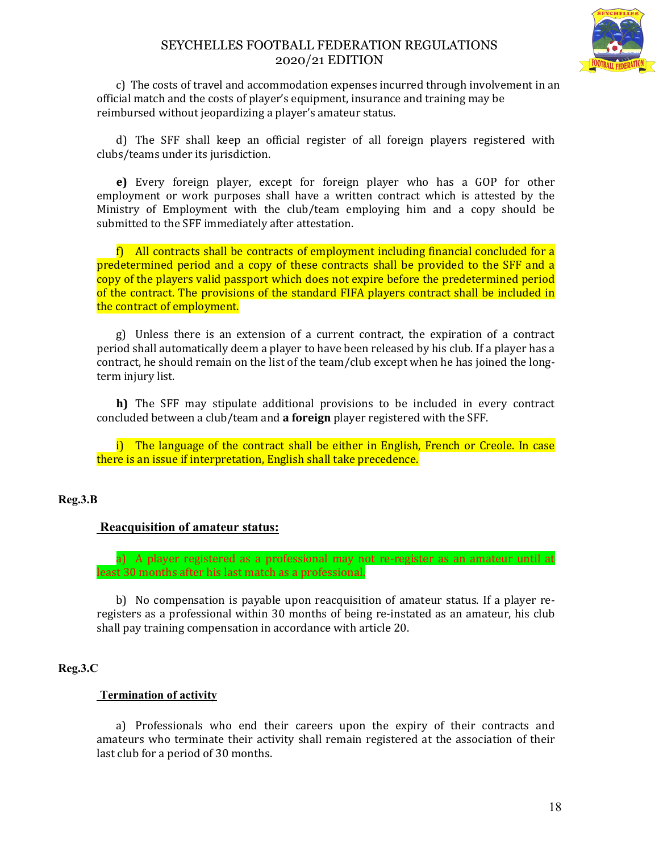

c) The costs of travel and accommodation expenses incurred through involvement in an official match and the costs of player's equipment, insurance and training may be reimbursed without jeopardizing a player's amateur status.

d) The SFF shall keep an official register of all foreign players registered with clubs/teams under its jurisdiction.

**e)** Every foreign player, except for foreign player who has a GOP for other employment or work purposes shall have a written contract which is attested by the Ministry of Employment with the club/team employing him and a copy should be submitted to the SFF immediately after attestation.

f) All contracts shall be contracts of employment including financial concluded for a predetermined period and a copy of these contracts shall be provided to the SFF and a copy of the players valid passport which does not expire before the predetermined period of the contract. The provisions of the standard FIFA players contract shall be included in the contract of employment.

g) Unless there is an extension of a current contract, the expiration of a contract period shall automatically deem a player to have been released by his club. If a player has a contract, he should remain on the list of the team/club except when he has joined the longterm injury list.

**h)** The SFF may stipulate additional provisions to be included in every contract concluded between a club/team and **a foreign** player registered with the SFF.

i) The language of the contract shall be either in English, French or Creole. In case there is an issue if interpretation, English shall take precedence.

### **Reg.3.B**

## **Reacquisition of amateur status:**

a) A player registered as a professional may not re-register as an amateur until at least 30 months after his last match as a professional.

b) No compensation is payable upon reacquisition of amateur status. If a player reregisters as a professional within 30 months of being re-instated as an amateur, his club shall pay training compensation in accordance with article 20.

### **Reg.3.C**

### **Termination of activity**

a) Professionals who end their careers upon the expiry of their contracts and amateurs who terminate their activity shall remain registered at the association of their last club for a period of 30 months.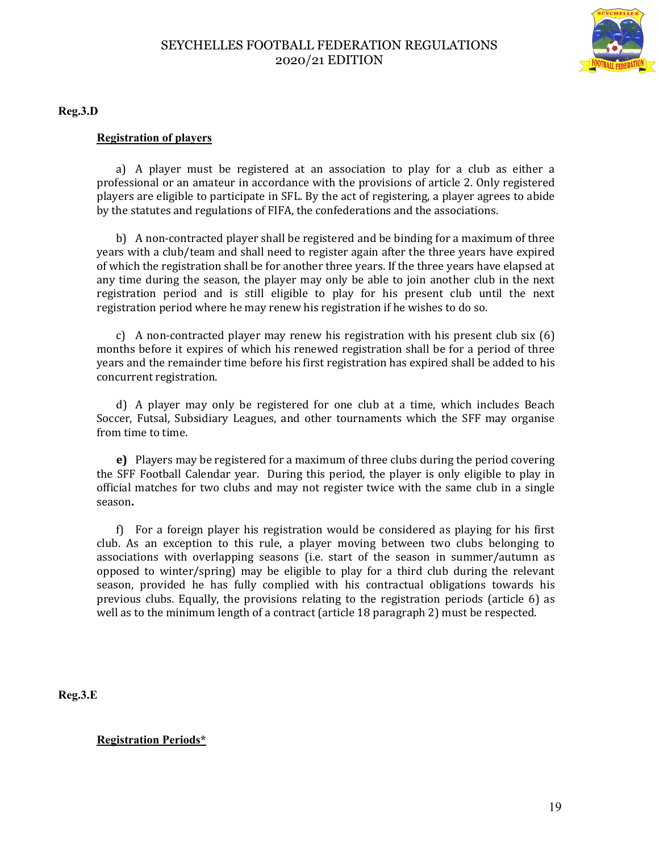

**Reg.3.D**

### **Registration of players**

a) A player must be registered at an association to play for a club as either a professional or an amateur in accordance with the provisions of article 2. Only registered players are eligible to participate in SFL. By the act of registering, a player agrees to abide by the statutes and regulations of FIFA, the confederations and the associations.

b) A non-contracted player shall be registered and be binding for a maximum of three years with a club/team and shall need to register again after the three years have expired of which the registration shall be for another three years. If the three years have elapsed at any time during the season, the player may only be able to join another club in the next registration period and is still eligible to play for his present club until the next registration period where he may renew his registration if he wishes to do so.

c) A non-contracted player may renew his registration with his present club six (6) months before it expires of which his renewed registration shall be for a period of three years and the remainder time before his first registration has expired shall be added to his concurrent registration.

d) A player may only be registered for one club at a time, which includes Beach Soccer, Futsal, Subsidiary Leagues, and other tournaments which the SFF may organise from time to time.

**e)** Players may be registered for a maximum of three clubs during the period covering the SFF Football Calendar year. During this period, the player is only eligible to play in official matches for two clubs and may not register twice with the same club in a single season**.** 

f) For a foreign player his registration would be considered as playing for his first club. As an exception to this rule, a player moving between two clubs belonging to associations with overlapping seasons (i.e. start of the season in summer/autumn as opposed to winter/spring) may be eligible to play for a third club during the relevant season, provided he has fully complied with his contractual obligations towards his previous clubs. Equally, the provisions relating to the registration periods (article 6) as well as to the minimum length of a contract (article 18 paragraph 2) must be respected.

**Reg.3.E**

**Registration Periods\***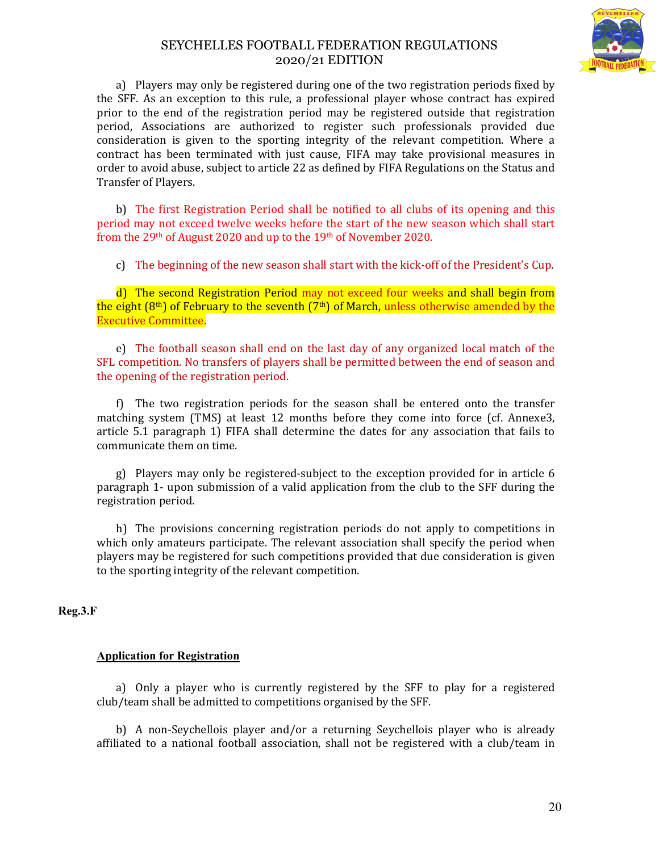

a) Players may only be registered during one of the two registration periods fixed by the SFF. As an exception to this rule, a professional player whose contract has expired prior to the end of the registration period may be registered outside that registration period, Associations are authorized to register such professionals provided due consideration is given to the sporting integrity of the relevant competition. Where a contract has been terminated with just cause, FIFA may take provisional measures in order to avoid abuse, subject to article 22 as defined by FIFA Regulations on the Status and Transfer of Players.

b) The first Registration Period shall be notified to all clubs of its opening and this period may not exceed twelve weeks before the start of the new season which shall start from the 29<sup>th</sup> of August 2020 and up to the 19<sup>th</sup> of November 2020.

c) The beginning of the new season shall start with the kick-off of the President's Cup.

d) The second Registration Period may not exceed four weeks and shall begin from the eight  $(8<sup>th</sup>)$  of February to the seventh  $(7<sup>th</sup>)$  of March, unless otherwise amended by the Executive Committee.

e) The football season shall end on the last day of any organized local match of the SFL competition. No transfers of players shall be permitted between the end of season and the opening of the registration period.

f) The two registration periods for the season shall be entered onto the transfer matching system (TMS) at least 12 months before they come into force (cf. Annexe3, article 5.1 paragraph 1) FIFA shall determine the dates for any association that fails to communicate them on time.

g) Players may only be registered-subject to the exception provided for in article 6 paragraph 1- upon submission of a valid application from the club to the SFF during the registration period.

h) The provisions concerning registration periods do not apply to competitions in which only amateurs participate. The relevant association shall specify the period when players may be registered for such competitions provided that due consideration is given to the sporting integrity of the relevant competition.

### **Reg.3.F**

### **Application for Registration**

a) Only a player who is currently registered by the SFF to play for a registered club/team shall be admitted to competitions organised by the SFF.

b) A non-Seychellois player and/or a returning Seychellois player who is already affiliated to a national football association, shall not be registered with a club/team in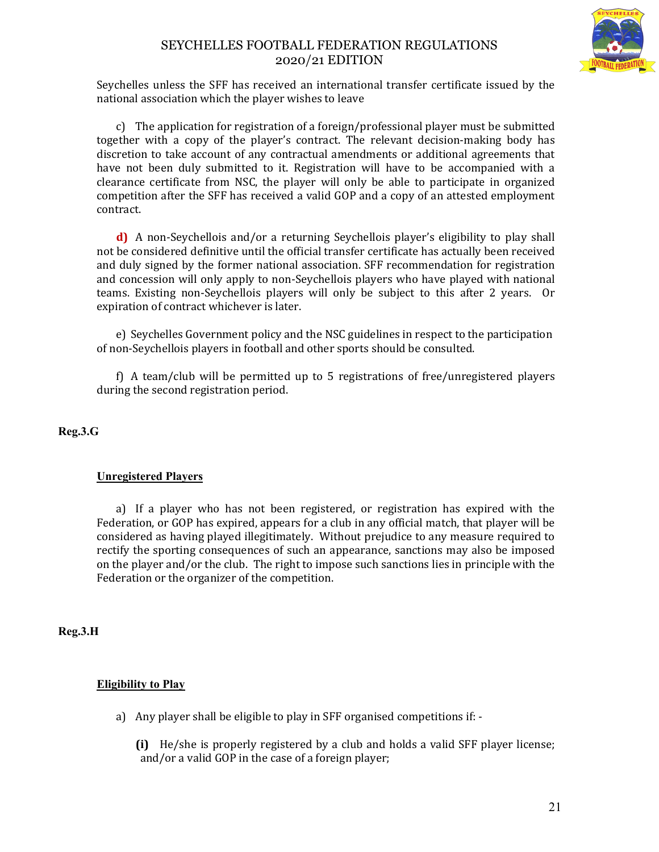

Seychelles unless the SFF has received an international transfer certificate issued by the national association which the player wishes to leave

c) The application for registration of a foreign/professional player must be submitted together with a copy of the player's contract. The relevant decision-making body has discretion to take account of any contractual amendments or additional agreements that have not been duly submitted to it. Registration will have to be accompanied with a clearance certificate from NSC, the player will only be able to participate in organized competition after the SFF has received a valid GOP and a copy of an attested employment contract.

**d)** A non-Seychellois and/or a returning Seychellois player's eligibility to play shall not be considered definitive until the official transfer certificate has actually been received and duly signed by the former national association. SFF recommendation for registration and concession will only apply to non-Seychellois players who have played with national teams. Existing non-Seychellois players will only be subject to this after 2 years. Or expiration of contract whichever is later.

e) Seychelles Government policy and the NSC guidelines in respect to the participation of non-Seychellois players in football and other sports should be consulted.

f) A team/club will be permitted up to 5 registrations of free/unregistered players during the second registration period.

**Reg.3.G** 

## **Unregistered Players**

a) If a player who has not been registered, or registration has expired with the Federation, or GOP has expired, appears for a club in any official match, that player will be considered as having played illegitimately. Without prejudice to any measure required to rectify the sporting consequences of such an appearance, sanctions may also be imposed on the player and/or the club. The right to impose such sanctions lies in principle with the Federation or the organizer of the competition.

**Reg.3.H** 

## **Eligibility to Play**

a) Any player shall be eligible to play in SFF organised competitions if: -

**(i)** He/she is properly registered by a club and holds a valid SFF player license; and/or a valid GOP in the case of a foreign player;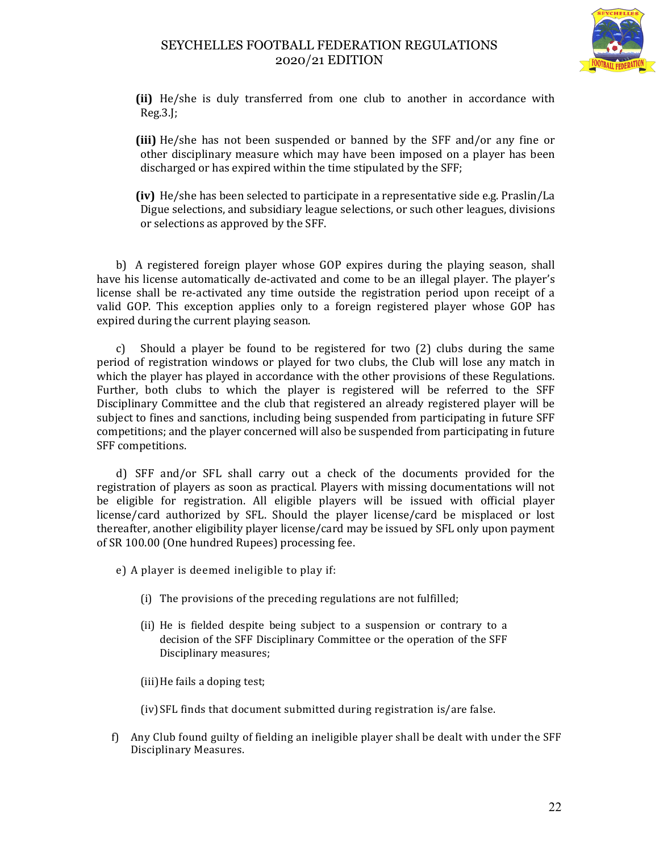

**(ii)** He/she is duly transferred from one club to another in accordance with Reg.3.J;

**(iii)** He/she has not been suspended or banned by the SFF and/or any fine or other disciplinary measure which may have been imposed on a player has been discharged or has expired within the time stipulated by the SFF;

**(iv)** He/she has been selected to participate in a representative side e.g. Praslin/La Digue selections, and subsidiary league selections, or such other leagues, divisions or selections as approved by the SFF.

b) A registered foreign player whose GOP expires during the playing season, shall have his license automatically de-activated and come to be an illegal player. The player's license shall be re-activated any time outside the registration period upon receipt of a valid GOP. This exception applies only to a foreign registered player whose GOP has expired during the current playing season.

c) Should a player be found to be registered for two (2) clubs during the same period of registration windows or played for two clubs, the Club will lose any match in which the player has played in accordance with the other provisions of these Regulations. Further, both clubs to which the player is registered will be referred to the SFF Disciplinary Committee and the club that registered an already registered player will be subject to fines and sanctions, including being suspended from participating in future SFF competitions; and the player concerned will also be suspended from participating in future SFF competitions.

d) SFF and/or SFL shall carry out a check of the documents provided for the registration of players as soon as practical. Players with missing documentations will not be eligible for registration. All eligible players will be issued with official player license/card authorized by SFL. Should the player license/card be misplaced or lost thereafter, another eligibility player license/card may be issued by SFL only upon payment of SR 100.00 (One hundred Rupees) processing fee.

e) A player is deemed ineligible to play if:

- (i) The provisions of the preceding regulations are not fulfilled;
- (ii) He is fielded despite being subject to a suspension or contrary to a decision of the SFF Disciplinary Committee or the operation of the SFF Disciplinary measures;
- (iii)He fails a doping test;

(iv) SFL finds that document submitted during registration is/are false.

f) Any Club found guilty of fielding an ineligible player shall be dealt with under the SFF Disciplinary Measures.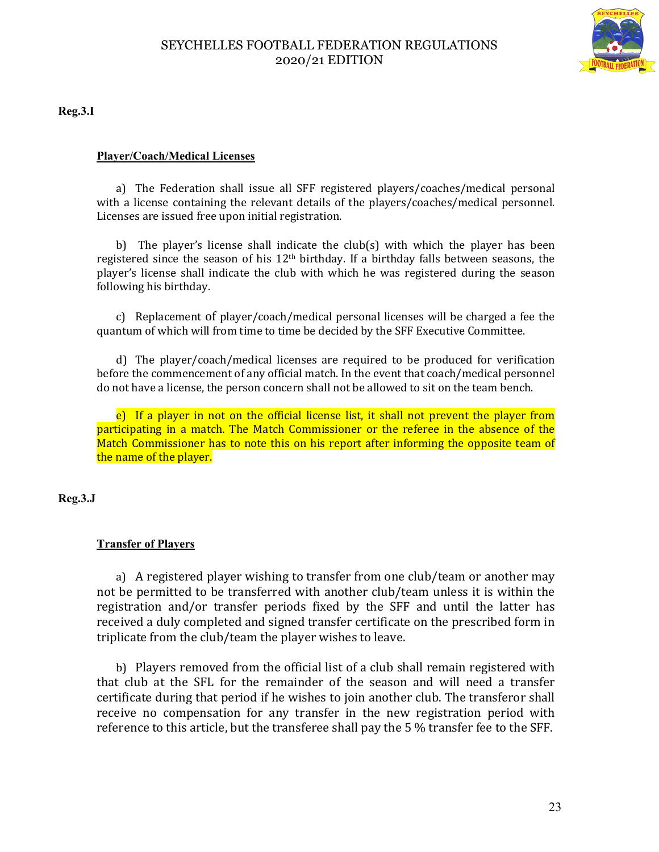

**Reg.3.I** 

## **Player/Coach/Medical Licenses**

a) The Federation shall issue all SFF registered players/coaches/medical personal with a license containing the relevant details of the players/coaches/medical personnel. Licenses are issued free upon initial registration.

b) The player's license shall indicate the club(s) with which the player has been registered since the season of his  $12<sup>th</sup>$  birthday. If a birthday falls between seasons, the player's license shall indicate the club with which he was registered during the season following his birthday.

c) Replacement of player/coach/medical personal licenses will be charged a fee the quantum of which will from time to time be decided by the SFF Executive Committee.

d) The player/coach/medical licenses are required to be produced for verification before the commencement of any official match. In the event that coach/medical personnel do not have a license, the person concern shall not be allowed to sit on the team bench.

e) If a player in not on the official license list, it shall not prevent the player from participating in a match. The Match Commissioner or the referee in the absence of the Match Commissioner has to note this on his report after informing the opposite team of the name of the player.

**Reg.3.J** 

## **Transfer of Players**

a) A registered player wishing to transfer from one club/team or another may not be permitted to be transferred with another club/team unless it is within the registration and/or transfer periods fixed by the SFF and until the latter has received a duly completed and signed transfer certificate on the prescribed form in triplicate from the club/team the player wishes to leave.

b) Players removed from the official list of a club shall remain registered with that club at the SFL for the remainder of the season and will need a transfer certificate during that period if he wishes to join another club. The transferor shall receive no compensation for any transfer in the new registration period with reference to this article, but the transferee shall pay the 5 % transfer fee to the SFF.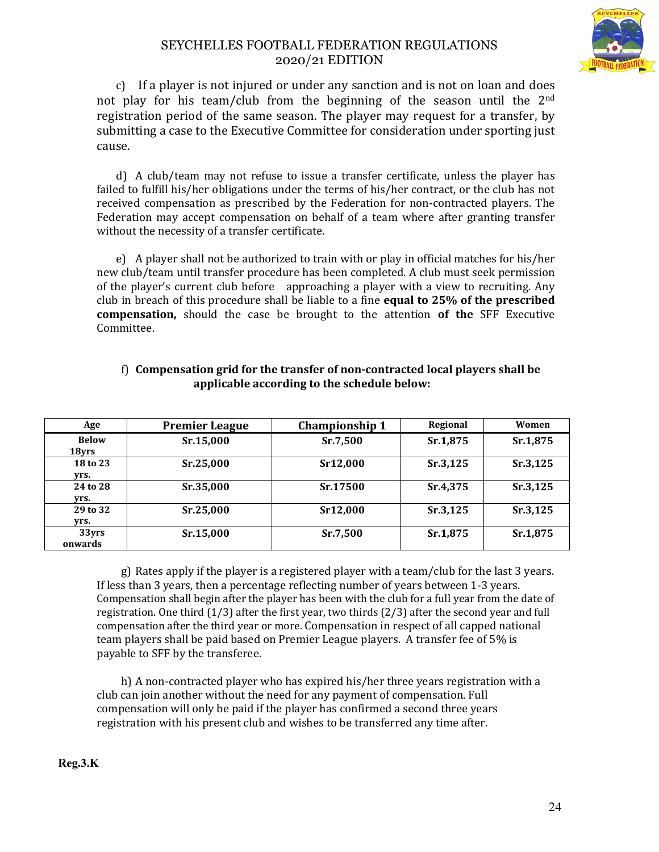

c) If a player is not injured or under any sanction and is not on loan and does not play for his team/club from the beginning of the season until the 2nd registration period of the same season. The player may request for a transfer, by submitting a case to the Executive Committee for consideration under sporting just cause.

d) A club/team may not refuse to issue a transfer certificate, unless the player has failed to fulfill his/her obligations under the terms of his/her contract, or the club has not received compensation as prescribed by the Federation for non-contracted players. The Federation may accept compensation on behalf of a team where after granting transfer without the necessity of a transfer certificate.

e) A player shall not be authorized to train with or play in official matches for his/her new club/team until transfer procedure has been completed. A club must seek permission of the player's current club before approaching a player with a view to recruiting. Any club in breach of this procedure shall be liable to a fine **equal to 25% of the prescribed compensation,** should the case be brought to the attention **of the** SFF Executive Committee.

| Age                   | <b>Premier League</b> | <b>Championship 1</b> | <b>Regional</b> | Women    |
|-----------------------|-----------------------|-----------------------|-----------------|----------|
| <b>Below</b><br>18yrs | Sr.15,000             | Sr.7,500              | Sr.1,875        | Sr.1,875 |
| 18 to 23<br>Vrs.      | Sr.25,000             | Sr12,000              | Sr.3,125        | Sr.3,125 |
| 24 to 28<br>Vrs.      | Sr.35,000             | Sr.17500              | Sr.4,375        | Sr.3,125 |
| 29 to 32<br>Vrs.      | Sr.25,000             | Sr12,000              | Sr.3,125        | Sr.3,125 |
| 33yrs<br>onwards      | Sr.15,000             | Sr.7,500              | Sr.1,875        | Sr.1,875 |

### f) **Compensation grid for the transfer of non-contracted local players shall be applicable according to the schedule below:**

g) Rates apply if the player is a registered player with a team/club for the last 3 years. If less than 3 years, then a percentage reflecting number of years between 1-3 years. Compensation shall begin after the player has been with the club for a full year from the date of registration. One third (1/3) after the first year, two thirds (2/3) after the second year and full compensation after the third year or more. Compensation in respect of all capped national team players shall be paid based on Premier League players. A transfer fee of 5% is payable to SFF by the transferee.

h) A non-contracted player who has expired his/her three years registration with a club can join another without the need for any payment of compensation. Full compensation will only be paid if the player has confirmed a second three years registration with his present club and wishes to be transferred any time after.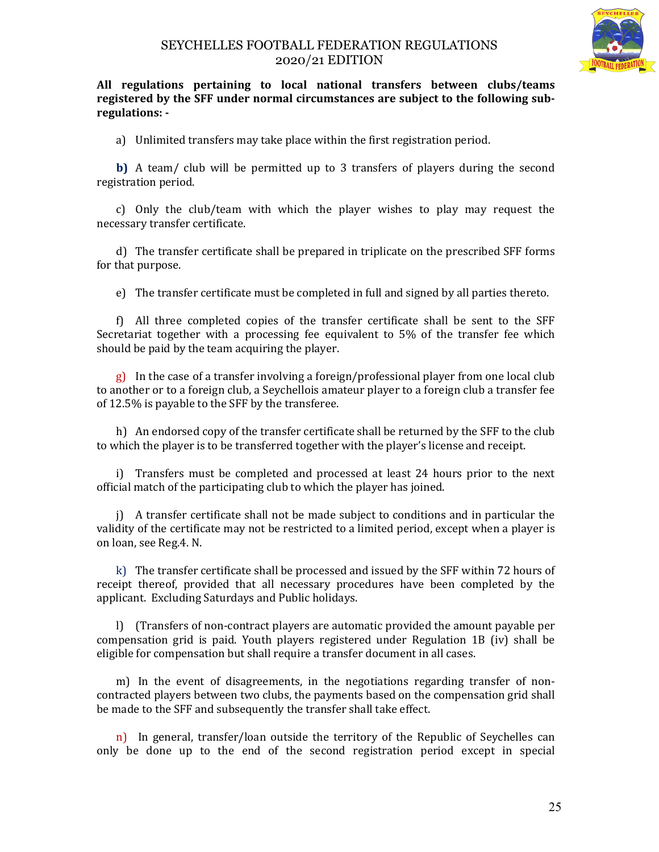

**All regulations pertaining to local national transfers between clubs/teams registered by the SFF under normal circumstances are subject to the following subregulations: -**

a) Unlimited transfers may take place within the first registration period.

**b)** A team/ club will be permitted up to 3 transfers of players during the second registration period.

c) Only the club/team with which the player wishes to play may request the necessary transfer certificate.

d) The transfer certificate shall be prepared in triplicate on the prescribed SFF forms for that purpose.

e) The transfer certificate must be completed in full and signed by all parties thereto.

f) All three completed copies of the transfer certificate shall be sent to the SFF Secretariat together with a processing fee equivalent to 5% of the transfer fee which should be paid by the team acquiring the player.

g) In the case of a transfer involving a foreign/professional player from one local club to another or to a foreign club, a Seychellois amateur player to a foreign club a transfer fee of 12.5% is payable to the SFF by the transferee.

h) An endorsed copy of the transfer certificate shall be returned by the SFF to the club to which the player is to be transferred together with the player's license and receipt.

i) Transfers must be completed and processed at least 24 hours prior to the next official match of the participating club to which the player has joined.

j) A transfer certificate shall not be made subject to conditions and in particular the validity of the certificate may not be restricted to a limited period, except when a player is on loan, see Reg.4. N.

k) The transfer certificate shall be processed and issued by the SFF within 72 hours of receipt thereof, provided that all necessary procedures have been completed by the applicant. Excluding Saturdays and Public holidays.

l) (Transfers of non-contract players are automatic provided the amount payable per compensation grid is paid. Youth players registered under Regulation 1B (iv) shall be eligible for compensation but shall require a transfer document in all cases.

m) In the event of disagreements, in the negotiations regarding transfer of noncontracted players between two clubs, the payments based on the compensation grid shall be made to the SFF and subsequently the transfer shall take effect.

n) In general, transfer/loan outside the territory of the Republic of Seychelles can only be done up to the end of the second registration period except in special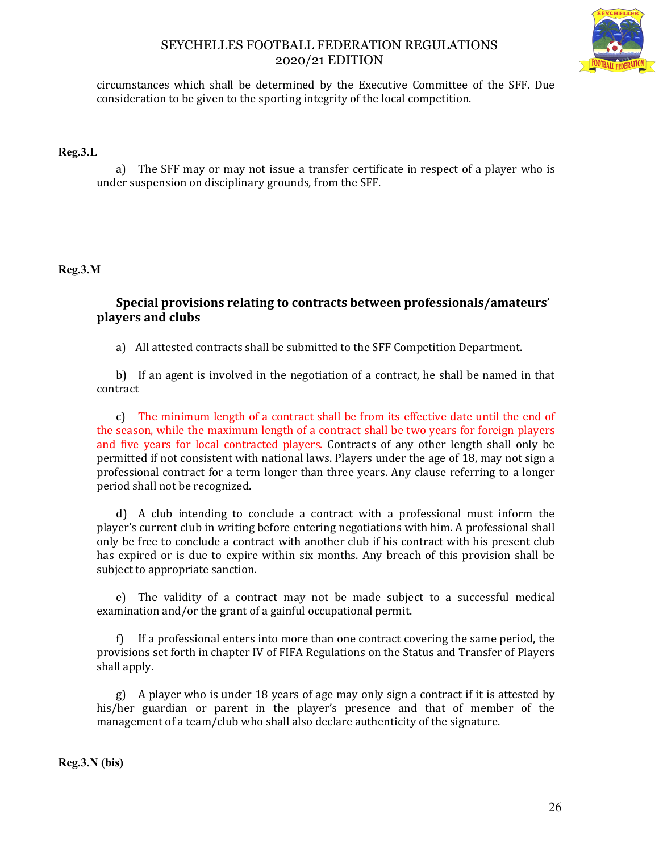

circumstances which shall be determined by the Executive Committee of the SFF. Due consideration to be given to the sporting integrity of the local competition.

### **Reg.3.L**

a) The SFF may or may not issue a transfer certificate in respect of a player who is under suspension on disciplinary grounds, from the SFF.

## **Reg.3.M**

## **Special provisions relating to contracts between professionals/amateurs' players and clubs**

a) All attested contracts shall be submitted to the SFF Competition Department.

b) If an agent is involved in the negotiation of a contract, he shall be named in that contract

c) The minimum length of a contract shall be from its effective date until the end of the season, while the maximum length of a contract shall be two years for foreign players and five years for local contracted players. Contracts of any other length shall only be permitted if not consistent with national laws. Players under the age of 18, may not sign a professional contract for a term longer than three years. Any clause referring to a longer period shall not be recognized.

d) A club intending to conclude a contract with a professional must inform the player's current club in writing before entering negotiations with him. A professional shall only be free to conclude a contract with another club if his contract with his present club has expired or is due to expire within six months. Any breach of this provision shall be subject to appropriate sanction.

e) The validity of a contract may not be made subject to a successful medical examination and/or the grant of a gainful occupational permit.

f) If a professional enters into more than one contract covering the same period, the provisions set forth in chapter IV of FIFA Regulations on the Status and Transfer of Players shall apply.

g) A player who is under 18 years of age may only sign a contract if it is attested by his/her guardian or parent in the player's presence and that of member of the management of a team/club who shall also declare authenticity of the signature.

**Reg.3.N (bis)**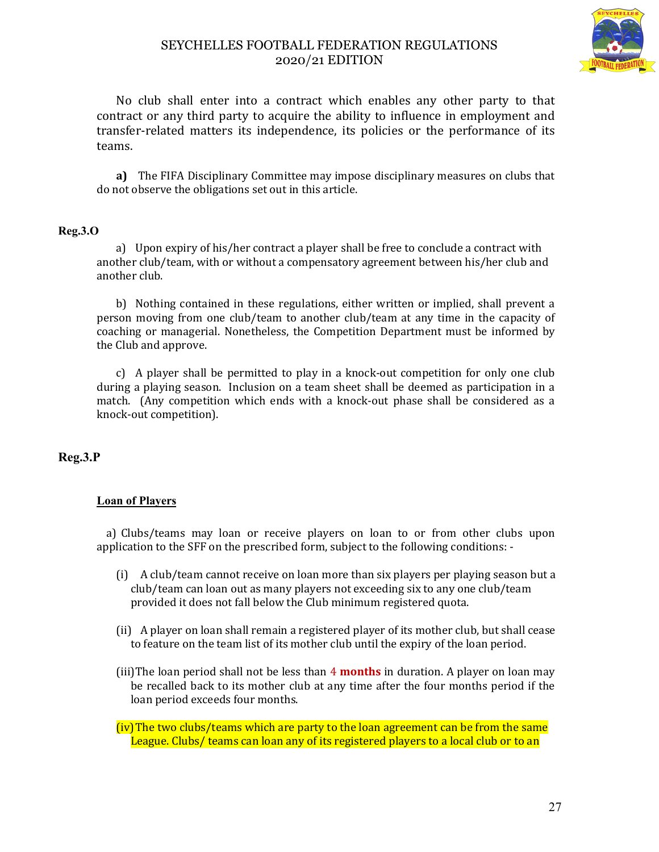

No club shall enter into a contract which enables any other party to that contract or any third party to acquire the ability to influence in employment and transfer-related matters its independence, its policies or the performance of its teams.

**a)** The FIFA Disciplinary Committee may impose disciplinary measures on clubs that do not observe the obligations set out in this article.

### **Reg.3.O**

a) Upon expiry of his/her contract a player shall be free to conclude a contract with another club/team, with or without a compensatory agreement between his/her club and another club.

b) Nothing contained in these regulations, either written or implied, shall prevent a person moving from one club/team to another club/team at any time in the capacity of coaching or managerial. Nonetheless, the Competition Department must be informed by the Club and approve.

c) A player shall be permitted to play in a knock-out competition for only one club during a playing season. Inclusion on a team sheet shall be deemed as participation in a match. (Any competition which ends with a knock-out phase shall be considered as a knock-out competition).

## **Reg.3.P**

## **Loan of Players**

a) Clubs/teams may loan or receive players on loan to or from other clubs upon application to the SFF on the prescribed form, subject to the following conditions: -

- (i) A club/team cannot receive on loan more than six players per playing season but a club/team can loan out as many players not exceeding six to any one club/team provided it does not fall below the Club minimum registered quota.
- (ii) A player on loan shall remain a registered player of its mother club, but shall cease to feature on the team list of its mother club until the expiry of the loan period.
- (iii)The loan period shall not be less than 4 **months** in duration. A player on loan may be recalled back to its mother club at any time after the four months period if the loan period exceeds four months.

(iv)The two clubs/teams which are party to the loan agreement can be from the same League. Clubs/ teams can loan any of its registered players to a local club or to an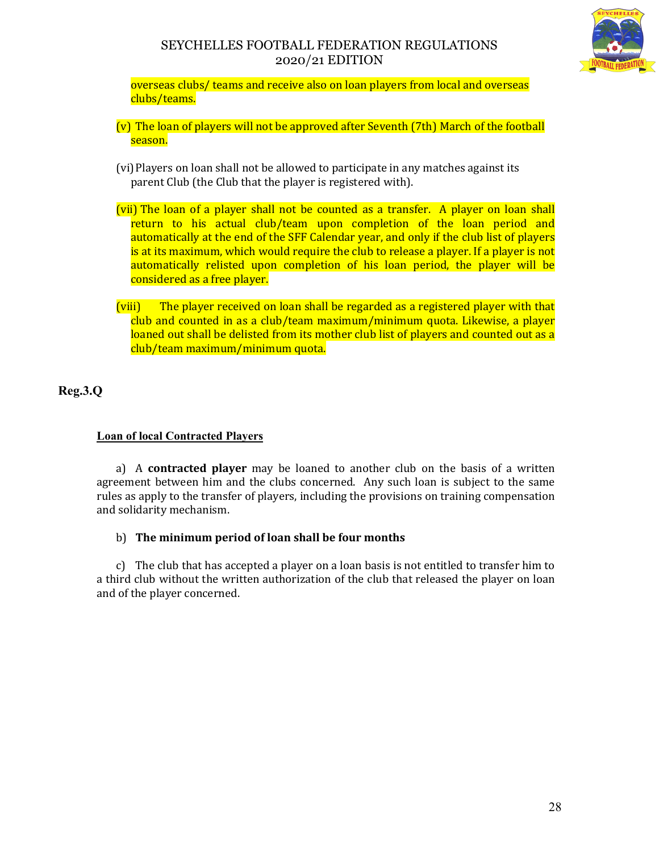

overseas clubs/ teams and receive also on loan players from local and overseas clubs/teams.

- (v) The loan of players will not be approved after Seventh (7th) March of the football season.
- (vi)Players on loan shall not be allowed to participate in any matches against its parent Club (the Club that the player is registered with).
- (vii) The loan of a player shall not be counted as a transfer. A player on loan shall return to his actual club/team upon completion of the loan period and automatically at the end of the SFF Calendar year, and only if the club list of players is at its maximum, which would require the club to release a player. If a player is not automatically relisted upon completion of his loan period, the player will be considered as a free player.
- (viii) The player received on loan shall be regarded as a registered player with that club and counted in as a club/team maximum/minimum quota. Likewise, a player loaned out shall be delisted from its mother club list of players and counted out as a club/team maximum/minimum quota.

**Reg.3.Q**

## **Loan of local Contracted Players**

a) A **contracted player** may be loaned to another club on the basis of a written agreement between him and the clubs concerned. Any such loan is subject to the same rules as apply to the transfer of players, including the provisions on training compensation and solidarity mechanism.

## b) **The minimum period of loan shall be four months**

c) The club that has accepted a player on a loan basis is not entitled to transfer him to a third club without the written authorization of the club that released the player on loan and of the player concerned.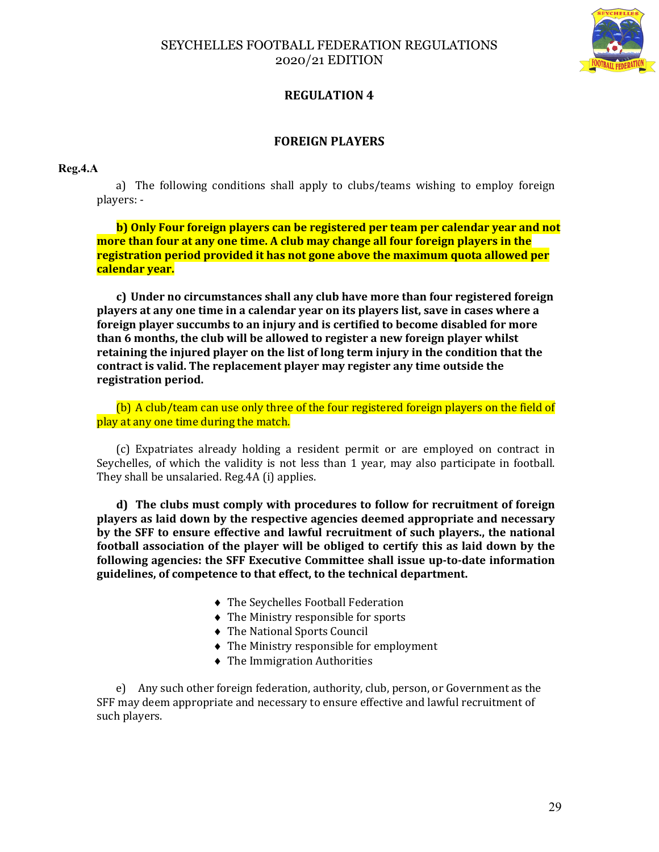

# **REGULATION 4**

## **FOREIGN PLAYERS**

### **Reg.4.A**

a) The following conditions shall apply to clubs/teams wishing to employ foreign players: -

**b) Only Four foreign players can be registered per team per calendar year and not more than four at any one time. A club may change all four foreign players in the registration period provided it has not gone above the maximum quota allowed per calendar year.**

**c) Under no circumstances shall any club have more than four registered foreign players at any one time in a calendar year on its players list, save in cases where a foreign player succumbs to an injury and is certified to become disabled for more than 6 months, the club will be allowed to register a new foreign player whilst retaining the injured player on the list of long term injury in the condition that the contract is valid. The replacement player may register any time outside the registration period.** 

(b) A club/team can use only three of the four registered foreign players on the field of play at any one time during the match.

(c) Expatriates already holding a resident permit or are employed on contract in Seychelles, of which the validity is not less than 1 year, may also participate in football. They shall be unsalaried. Reg.4A (i) applies.

**d) The clubs must comply with procedures to follow for recruitment of foreign players as laid down by the respective agencies deemed appropriate and necessary by the SFF to ensure effective and lawful recruitment of such players., the national football association of the player will be obliged to certify this as laid down by the following agencies: the SFF Executive Committee shall issue up-to-date information guidelines, of competence to that effect, to the technical department.** 

- The Seychelles Football Federation
- The Ministry responsible for sports
- The National Sports Council
- The Ministry responsible for employment
- The Immigration Authorities

e) Any such other foreign federation, authority, club, person, or Government as the SFF may deem appropriate and necessary to ensure effective and lawful recruitment of such players.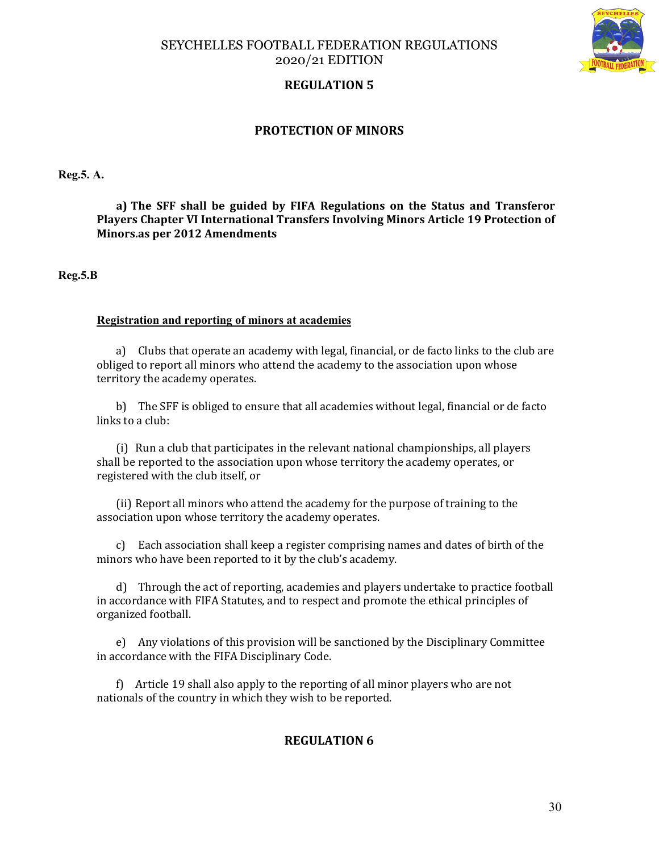



## **REGULATION 5**

## **PROTECTION OF MINORS**

**Reg.5. A.** 

**a) The SFF shall be guided by FIFA Regulations on the Status and Transferor Players Chapter VI International Transfers Involving Minors Article 19 Protection of Minors.as per 2012 Amendments**

**Reg.5.B** 

#### **Registration and reporting of minors at academies**

a) Clubs that operate an academy with legal, financial, or de facto links to the club are obliged to report all minors who attend the academy to the association upon whose territory the academy operates.

b) The SFF is obliged to ensure that all academies without legal, financial or de facto links to a club:

(i) Run a club that participates in the relevant national championships, all players shall be reported to the association upon whose territory the academy operates, or registered with the club itself, or

(ii) Report all minors who attend the academy for the purpose of training to the association upon whose territory the academy operates.

c) Each association shall keep a register comprising names and dates of birth of the minors who have been reported to it by the club's academy.

d) Through the act of reporting, academies and players undertake to practice football in accordance with FIFA Statutes, and to respect and promote the ethical principles of organized football.

e) Any violations of this provision will be sanctioned by the Disciplinary Committee in accordance with the FIFA Disciplinary Code.

f) Article 19 shall also apply to the reporting of all minor players who are not nationals of the country in which they wish to be reported.

## **REGULATION 6**

30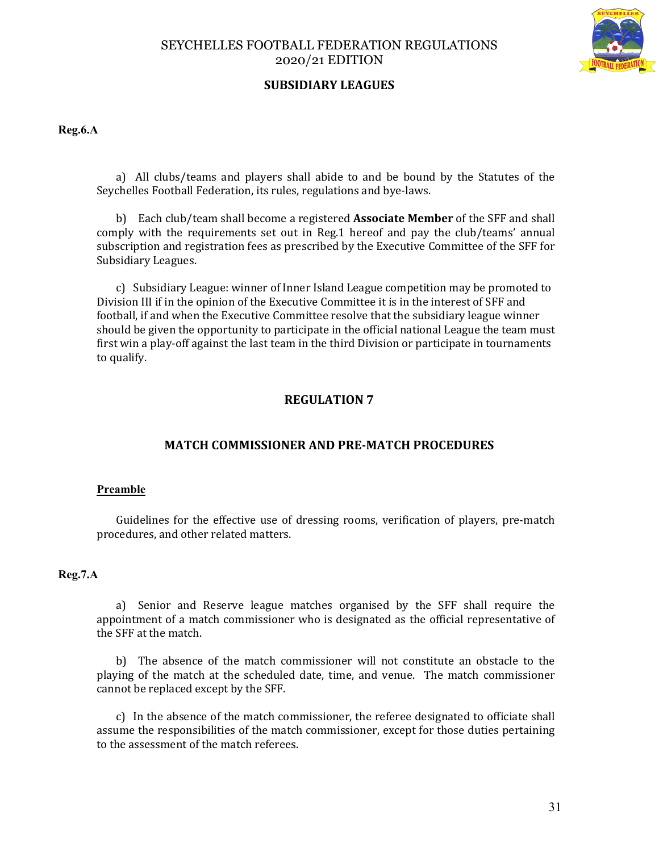

## **SUBSIDIARY LEAGUES**

**Reg.6.A**

a) All clubs/teams and players shall abide to and be bound by the Statutes of the Seychelles Football Federation, its rules, regulations and bye-laws.

b) Each club/team shall become a registered **Associate Member** of the SFF and shall comply with the requirements set out in Reg.1 hereof and pay the club/teams' annual subscription and registration fees as prescribed by the Executive Committee of the SFF for Subsidiary Leagues.

c) Subsidiary League: winner of Inner Island League competition may be promoted to Division III if in the opinion of the Executive Committee it is in the interest of SFF and football, if and when the Executive Committee resolve that the subsidiary league winner should be given the opportunity to participate in the official national League the team must first win a play-off against the last team in the third Division or participate in tournaments to qualify.

## **REGULATION 7**

## **MATCH COMMISSIONER AND PRE-MATCH PROCEDURES**

### **Preamble**

Guidelines for the effective use of dressing rooms, verification of players, pre-match procedures, and other related matters.

#### **Reg.7.A**

a) Senior and Reserve league matches organised by the SFF shall require the appointment of a match commissioner who is designated as the official representative of the SFF at the match.

b) The absence of the match commissioner will not constitute an obstacle to the playing of the match at the scheduled date, time, and venue. The match commissioner cannot be replaced except by the SFF.

c) In the absence of the match commissioner, the referee designated to officiate shall assume the responsibilities of the match commissioner, except for those duties pertaining to the assessment of the match referees.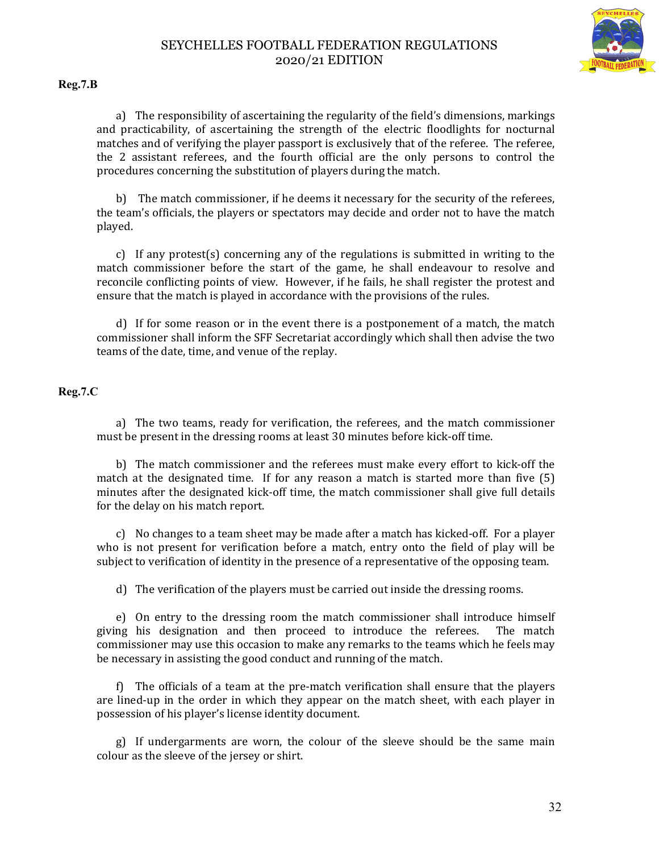

**Reg.7.B**

a) The responsibility of ascertaining the regularity of the field's dimensions, markings and practicability, of ascertaining the strength of the electric floodlights for nocturnal matches and of verifying the player passport is exclusively that of the referee. The referee, the 2 assistant referees, and the fourth official are the only persons to control the procedures concerning the substitution of players during the match.

b) The match commissioner, if he deems it necessary for the security of the referees, the team's officials, the players or spectators may decide and order not to have the match played.

c) If any protest(s) concerning any of the regulations is submitted in writing to the match commissioner before the start of the game, he shall endeavour to resolve and reconcile conflicting points of view. However, if he fails, he shall register the protest and ensure that the match is played in accordance with the provisions of the rules.

d) If for some reason or in the event there is a postponement of a match, the match commissioner shall inform the SFF Secretariat accordingly which shall then advise the two teams of the date, time, and venue of the replay.

**Reg.7.C**

a) The two teams, ready for verification, the referees, and the match commissioner must be present in the dressing rooms at least 30 minutes before kick-off time.

b) The match commissioner and the referees must make every effort to kick-off the match at the designated time. If for any reason a match is started more than five (5) minutes after the designated kick-off time, the match commissioner shall give full details for the delay on his match report.

c) No changes to a team sheet may be made after a match has kicked-off. For a player who is not present for verification before a match, entry onto the field of play will be subject to verification of identity in the presence of a representative of the opposing team.

d) The verification of the players must be carried out inside the dressing rooms.

e) On entry to the dressing room the match commissioner shall introduce himself giving his designation and then proceed to introduce the referees. The match commissioner may use this occasion to make any remarks to the teams which he feels may be necessary in assisting the good conduct and running of the match.

f) The officials of a team at the pre-match verification shall ensure that the players are lined-up in the order in which they appear on the match sheet, with each player in possession of his player's license identity document.

g) If undergarments are worn, the colour of the sleeve should be the same main colour as the sleeve of the jersey or shirt.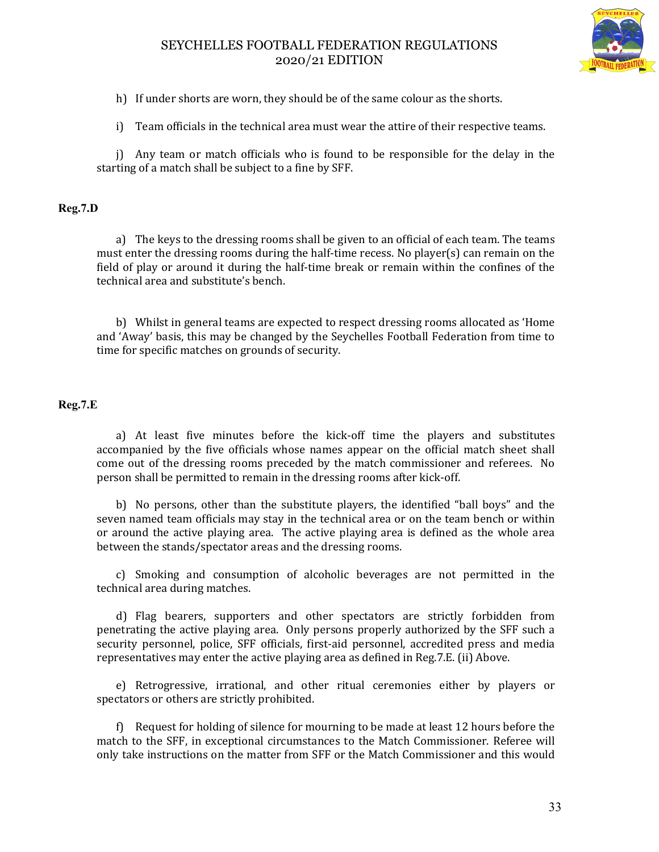

h) If under shorts are worn, they should be of the same colour as the shorts.

i) Team officials in the technical area must wear the attire of their respective teams.

j) Any team or match officials who is found to be responsible for the delay in the starting of a match shall be subject to a fine by SFF.

### **Reg.7.D**

a) The keys to the dressing rooms shall be given to an official of each team. The teams must enter the dressing rooms during the half-time recess. No player(s) can remain on the field of play or around it during the half-time break or remain within the confines of the technical area and substitute's bench.

b) Whilst in general teams are expected to respect dressing rooms allocated as 'Home and 'Away' basis, this may be changed by the Seychelles Football Federation from time to time for specific matches on grounds of security.

### **Reg.7.E**

a) At least five minutes before the kick-off time the players and substitutes accompanied by the five officials whose names appear on the official match sheet shall come out of the dressing rooms preceded by the match commissioner and referees. No person shall be permitted to remain in the dressing rooms after kick-off.

b) No persons, other than the substitute players, the identified "ball boys" and the seven named team officials may stay in the technical area or on the team bench or within or around the active playing area. The active playing area is defined as the whole area between the stands/spectator areas and the dressing rooms.

c) Smoking and consumption of alcoholic beverages are not permitted in the technical area during matches.

d) Flag bearers, supporters and other spectators are strictly forbidden from penetrating the active playing area. Only persons properly authorized by the SFF such a security personnel, police, SFF officials, first-aid personnel, accredited press and media representatives may enter the active playing area as defined in Reg.7.E. (ii) Above.

e) Retrogressive, irrational, and other ritual ceremonies either by players or spectators or others are strictly prohibited.

f) Request for holding of silence for mourning to be made at least 12 hours before the match to the SFF, in exceptional circumstances to the Match Commissioner. Referee will only take instructions on the matter from SFF or the Match Commissioner and this would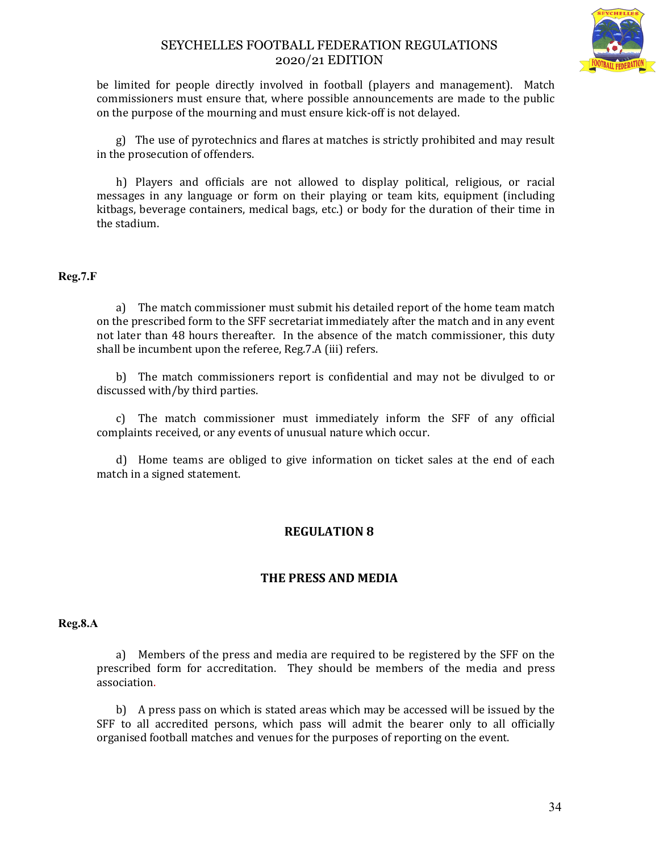

be limited for people directly involved in football (players and management). Match commissioners must ensure that, where possible announcements are made to the public on the purpose of the mourning and must ensure kick-off is not delayed.

g) The use of pyrotechnics and flares at matches is strictly prohibited and may result in the prosecution of offenders.

h) Players and officials are not allowed to display political, religious, or racial messages in any language or form on their playing or team kits, equipment (including kitbags, beverage containers, medical bags, etc.) or body for the duration of their time in the stadium.

### **Reg.7.F**

a) The match commissioner must submit his detailed report of the home team match on the prescribed form to the SFF secretariat immediately after the match and in any event not later than 48 hours thereafter. In the absence of the match commissioner, this duty shall be incumbent upon the referee, Reg.7.A (iii) refers.

b) The match commissioners report is confidential and may not be divulged to or discussed with/by third parties.

c) The match commissioner must immediately inform the SFF of any official complaints received, or any events of unusual nature which occur.

d) Home teams are obliged to give information on ticket sales at the end of each match in a signed statement.

## **REGULATION 8**

### **THE PRESS AND MEDIA**

#### **Reg.8.A**

a) Members of the press and media are required to be registered by the SFF on the prescribed form for accreditation. They should be members of the media and press association.

b) A press pass on which is stated areas which may be accessed will be issued by the SFF to all accredited persons, which pass will admit the bearer only to all officially organised football matches and venues for the purposes of reporting on the event.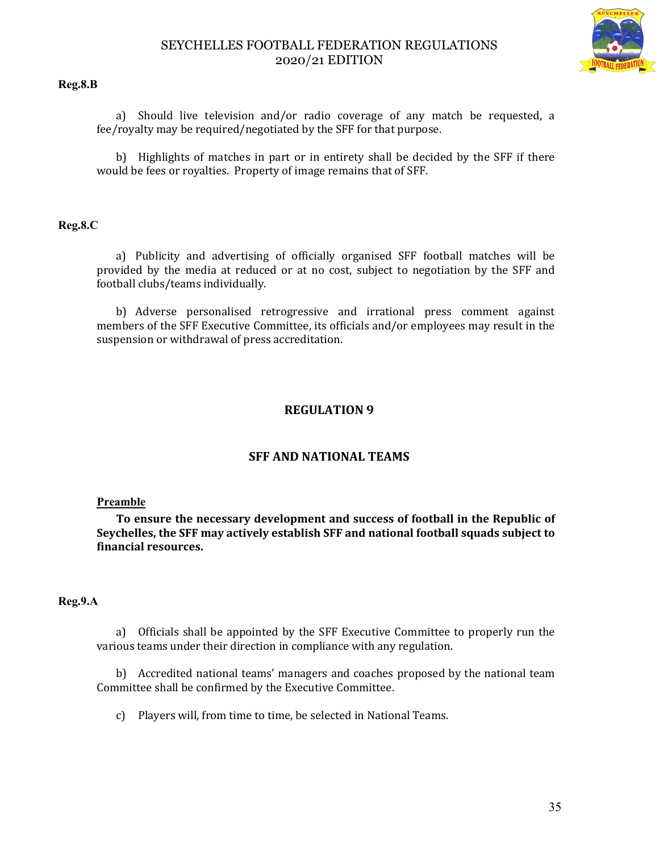

#### **Reg.8.B**

a) Should live television and/or radio coverage of any match be requested, a fee/royalty may be required/negotiated by the SFF for that purpose.

b) Highlights of matches in part or in entirety shall be decided by the SFF if there would be fees or royalties. Property of image remains that of SFF.

### **Reg.8.C**

a) Publicity and advertising of officially organised SFF football matches will be provided by the media at reduced or at no cost, subject to negotiation by the SFF and football clubs/teams individually.

b) Adverse personalised retrogressive and irrational press comment against members of the SFF Executive Committee, its officials and/or employees may result in the suspension or withdrawal of press accreditation.

## **REGULATION 9**

## **SFF AND NATIONAL TEAMS**

### **Preamble**

**To ensure the necessary development and success of football in the Republic of Seychelles, the SFF may actively establish SFF and national football squads subject to financial resources.**

#### **Reg.9.A**

a) Officials shall be appointed by the SFF Executive Committee to properly run the various teams under their direction in compliance with any regulation.

b) Accredited national teams' managers and coaches proposed by the national team Committee shall be confirmed by the Executive Committee.

c) Players will, from time to time, be selected in National Teams.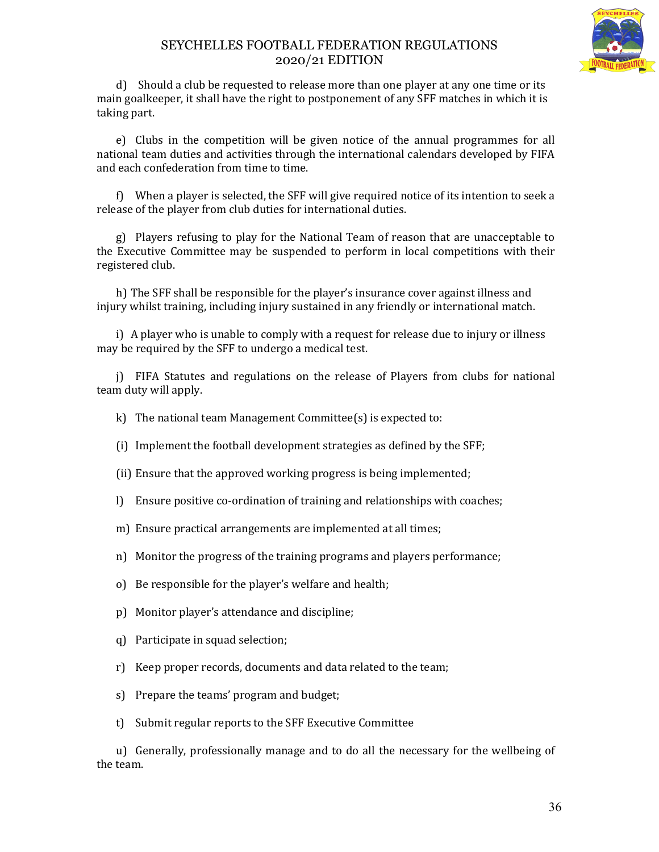

d) Should a club be requested to release more than one player at any one time or its main goalkeeper, it shall have the right to postponement of any SFF matches in which it is taking part.

e) Clubs in the competition will be given notice of the annual programmes for all national team duties and activities through the international calendars developed by FIFA and each confederation from time to time.

f) When a player is selected, the SFF will give required notice of its intention to seek a release of the player from club duties for international duties.

g) Players refusing to play for the National Team of reason that are unacceptable to the Executive Committee may be suspended to perform in local competitions with their registered club.

h) The SFF shall be responsible for the player's insurance cover against illness and injury whilst training, including injury sustained in any friendly or international match.

i) A player who is unable to comply with a request for release due to injury or illness may be required by the SFF to undergo a medical test.

j) FIFA Statutes and regulations on the release of Players from clubs for national team duty will apply.

k) The national team Management Committee(s) is expected to:

(i) Implement the football development strategies as defined by the SFF;

- (ii) Ensure that the approved working progress is being implemented;
- l) Ensure positive co-ordination of training and relationships with coaches;
- m) Ensure practical arrangements are implemented at all times;
- n) Monitor the progress of the training programs and players performance;
- o) Be responsible for the player's welfare and health;
- p) Monitor player's attendance and discipline;
- q) Participate in squad selection;
- r) Keep proper records, documents and data related to the team;
- s) Prepare the teams' program and budget;
- t) Submit regular reports to the SFF Executive Committee

u) Generally, professionally manage and to do all the necessary for the wellbeing of the team.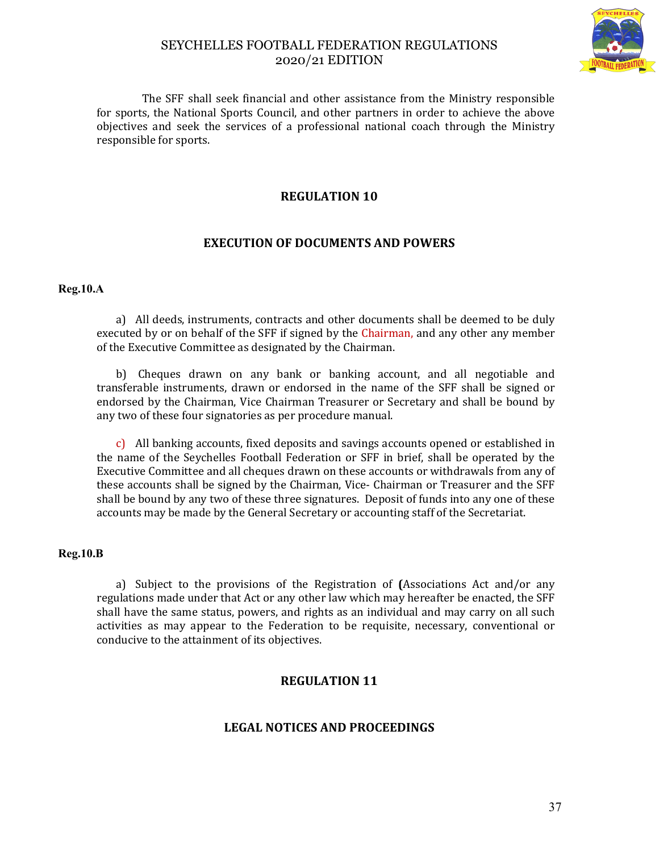

 The SFF shall seek financial and other assistance from the Ministry responsible for sports, the National Sports Council, and other partners in order to achieve the above objectives and seek the services of a professional national coach through the Ministry responsible for sports.

# **REGULATION 10**

# **EXECUTION OF DOCUMENTS AND POWERS**

#### **Reg.10.A**

a) All deeds, instruments, contracts and other documents shall be deemed to be duly executed by or on behalf of the SFF if signed by the Chairman, and any other any member of the Executive Committee as designated by the Chairman.

b) Cheques drawn on any bank or banking account, and all negotiable and transferable instruments, drawn or endorsed in the name of the SFF shall be signed or endorsed by the Chairman, Vice Chairman Treasurer or Secretary and shall be bound by any two of these four signatories as per procedure manual.

c) All banking accounts, fixed deposits and savings accounts opened or established in the name of the Seychelles Football Federation or SFF in brief, shall be operated by the Executive Committee and all cheques drawn on these accounts or withdrawals from any of these accounts shall be signed by the Chairman, Vice- Chairman or Treasurer and the SFF shall be bound by any two of these three signatures. Deposit of funds into any one of these accounts may be made by the General Secretary or accounting staff of the Secretariat.

#### **Reg.10.B**

a) Subject to the provisions of the Registration of **(**Associations Act and/or any regulations made under that Act or any other law which may hereafter be enacted, the SFF shall have the same status, powers, and rights as an individual and may carry on all such activities as may appear to the Federation to be requisite, necessary, conventional or conducive to the attainment of its objectives.

# **REGULATION 11**

## **LEGAL NOTICES AND PROCEEDINGS**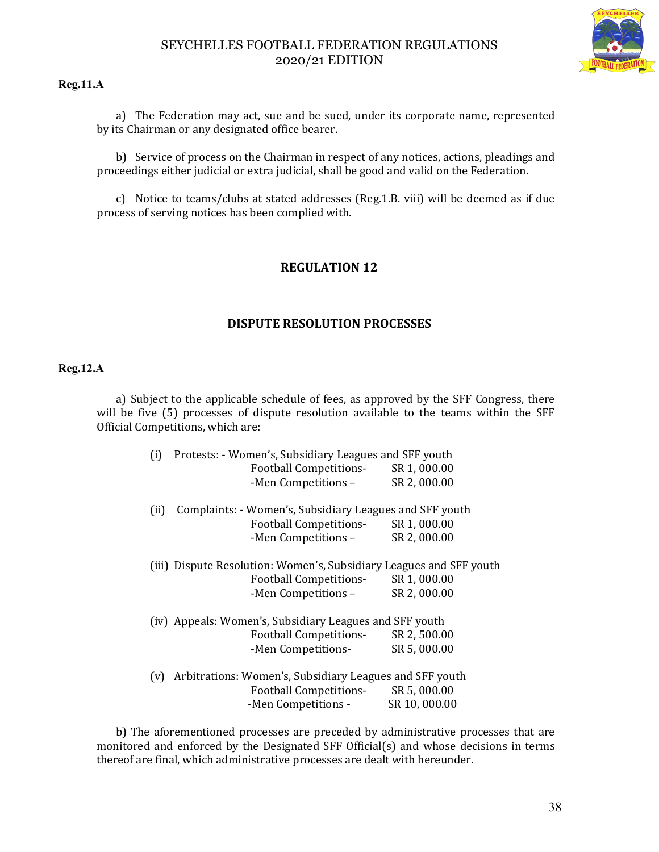

#### **Reg.11.A**

a) The Federation may act, sue and be sued, under its corporate name, represented by its Chairman or any designated office bearer.

b) Service of process on the Chairman in respect of any notices, actions, pleadings and proceedings either judicial or extra judicial, shall be good and valid on the Federation.

c) Notice to teams/clubs at stated addresses (Reg.1.B. viii) will be deemed as if due process of serving notices has been complied with.

# **REGULATION 12**

## **DISPUTE RESOLUTION PROCESSES**

#### **Reg.12.A**

a) Subject to the applicable schedule of fees, as approved by the SFF Congress, there will be five (5) processes of dispute resolution available to the teams within the SFF Official Competitions, which are:

|                                                                     | (i) | Protests: - Women's, Subsidiary Leagues and SFF youth   |              |  |
|---------------------------------------------------------------------|-----|---------------------------------------------------------|--------------|--|
|                                                                     |     | <b>Football Competitions-</b>                           | SR 1,000.00  |  |
|                                                                     |     | -Men Competitions -                                     | SR 2,000.00  |  |
| Complaints: - Women's, Subsidiary Leagues and SFF youth<br>(ii)     |     |                                                         |              |  |
|                                                                     |     | <b>Football Competitions-</b>                           | SR 1,000.00  |  |
|                                                                     |     | -Men Competitions -                                     | SR 2,000.00  |  |
| (iii) Dispute Resolution: Women's, Subsidiary Leagues and SFF youth |     |                                                         |              |  |
|                                                                     |     | <b>Football Competitions-</b>                           | SR 1,000.00  |  |
|                                                                     |     | -Men Competitions -                                     | SR 2,000.00  |  |
|                                                                     |     | (iv) Appeals: Women's, Subsidiary Leagues and SFF youth |              |  |
|                                                                     |     | <b>Football Competitions-</b>                           | SR 2,500.00  |  |
|                                                                     |     | -Men Competitions-                                      | SR 5,000.00  |  |
| Arbitrations: Women's, Subsidiary Leagues and SFF youth<br>(v)      |     |                                                         |              |  |
|                                                                     |     | <b>Football Competitions-</b>                           | SR 5,000.00  |  |
|                                                                     |     | -Men Competitions -                                     | SR 10,000.00 |  |
|                                                                     |     |                                                         |              |  |

b) The aforementioned processes are preceded by administrative processes that are monitored and enforced by the Designated SFF Official(s) and whose decisions in terms thereof are final, which administrative processes are dealt with hereunder.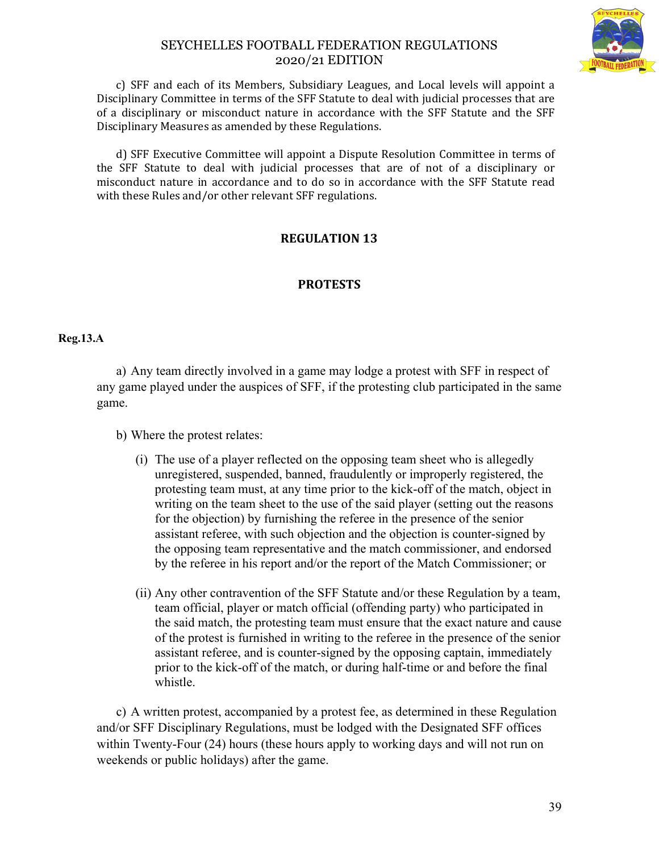

c) SFF and each of its Members, Subsidiary Leagues, and Local levels will appoint a Disciplinary Committee in terms of the SFF Statute to deal with judicial processes that are of a disciplinary or misconduct nature in accordance with the SFF Statute and the SFF Disciplinary Measures as amended by these Regulations.

d) SFF Executive Committee will appoint a Dispute Resolution Committee in terms of the SFF Statute to deal with judicial processes that are of not of a disciplinary or misconduct nature in accordance and to do so in accordance with the SFF Statute read with these Rules and/or other relevant SFF regulations.

# **REGULATION 13**

# **PROTESTS**

#### **Reg.13.A**

a) Any team directly involved in a game may lodge a protest with SFF in respect of any game played under the auspices of SFF, if the protesting club participated in the same game.

b) Where the protest relates:

- (i) The use of a player reflected on the opposing team sheet who is allegedly unregistered, suspended, banned, fraudulently or improperly registered, the protesting team must, at any time prior to the kick-off of the match, object in writing on the team sheet to the use of the said player (setting out the reasons for the objection) by furnishing the referee in the presence of the senior assistant referee, with such objection and the objection is counter-signed by the opposing team representative and the match commissioner, and endorsed by the referee in his report and/or the report of the Match Commissioner; or
- (ii) Any other contravention of the SFF Statute and/or these Regulation by a team, team official, player or match official (offending party) who participated in the said match, the protesting team must ensure that the exact nature and cause of the protest is furnished in writing to the referee in the presence of the senior assistant referee, and is counter-signed by the opposing captain, immediately prior to the kick-off of the match, or during half-time or and before the final whistle.

c) A written protest, accompanied by a protest fee, as determined in these Regulation and/or SFF Disciplinary Regulations, must be lodged with the Designated SFF offices within Twenty-Four (24) hours (these hours apply to working days and will not run on weekends or public holidays) after the game.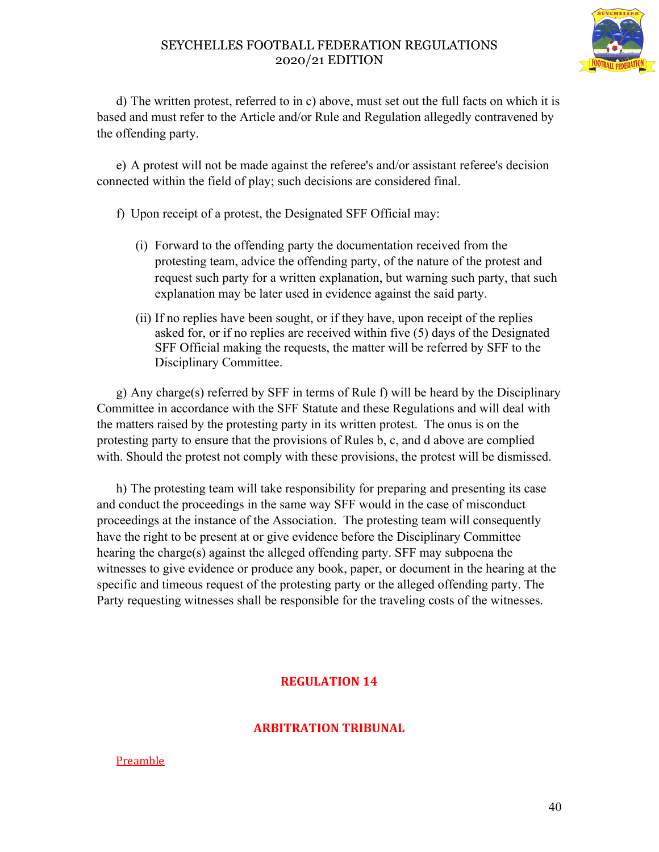

d) The written protest, referred to in c) above, must set out the full facts on which it is based and must refer to the Article and/or Rule and Regulation allegedly contravened by the offending party.

e) A protest will not be made against the referee's and/or assistant referee's decision connected within the field of play; such decisions are considered final.

- f) Upon receipt of a protest, the Designated SFF Official may:
	- (i) Forward to the offending party the documentation received from the protesting team, advice the offending party, of the nature of the protest and request such party for a written explanation, but warning such party, that such explanation may be later used in evidence against the said party.
	- (ii) If no replies have been sought, or if they have, upon receipt of the replies asked for, or if no replies are received within five (5) days of the Designated SFF Official making the requests, the matter will be referred by SFF to the Disciplinary Committee.

g) Any charge(s) referred by SFF in terms of Rule f) will be heard by the Disciplinary Committee in accordance with the SFF Statute and these Regulations and will deal with the matters raised by the protesting party in its written protest. The onus is on the protesting party to ensure that the provisions of Rules b, c, and d above are complied with. Should the protest not comply with these provisions, the protest will be dismissed.

h) The protesting team will take responsibility for preparing and presenting its case and conduct the proceedings in the same way SFF would in the case of misconduct proceedings at the instance of the Association. The protesting team will consequently have the right to be present at or give evidence before the Disciplinary Committee hearing the charge(s) against the alleged offending party. SFF may subpoena the witnesses to give evidence or produce any book, paper, or document in the hearing at the specific and timeous request of the protesting party or the alleged offending party. The Party requesting witnesses shall be responsible for the traveling costs of the witnesses.

# **REGULATION 14**

# **ARBITRATION TRIBUNAL**

## **Preamble**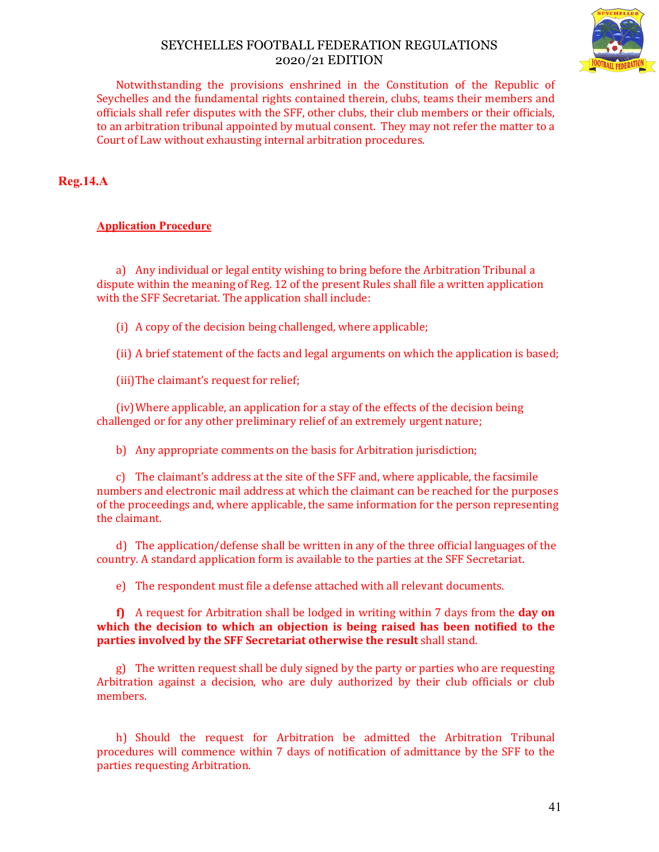

Notwithstanding the provisions enshrined in the Constitution of the Republic of Seychelles and the fundamental rights contained therein, clubs, teams their members and officials shall refer disputes with the SFF, other clubs, their club members or their officials, to an arbitration tribunal appointed by mutual consent. They may not refer the matter to a Court of Law without exhausting internal arbitration procedures.

# **Reg.14.A**

## **Application Procedure**

a) Any individual or legal entity wishing to bring before the Arbitration Tribunal a dispute within the meaning of Reg. 12 of the present Rules shall file a written application with the SFF Secretariat. The application shall include:

(i) A copy of the decision being challenged, where applicable;

(ii) A brief statement of the facts and legal arguments on which the application is based;

(iii)The claimant's request for relief;

(iv)Where applicable, an application for a stay of the effects of the decision being challenged or for any other preliminary relief of an extremely urgent nature;

b) Any appropriate comments on the basis for Arbitration jurisdiction;

c) The claimant's address at the site of the SFF and, where applicable, the facsimile numbers and electronic mail address at which the claimant can be reached for the purposes of the proceedings and, where applicable, the same information for the person representing the claimant.

d) The application/defense shall be written in any of the three official languages of the country. A standard application form is available to the parties at the SFF Secretariat.

e) The respondent must file a defense attached with all relevant documents.

**f)** A request for Arbitration shall be lodged in writing within 7 days from the **day on which the decision to which an objection is being raised has been notified to the parties involved by the SFF Secretariat otherwise the result** shall stand.

g) The written request shall be duly signed by the party or parties who are requesting Arbitration against a decision, who are duly authorized by their club officials or club members.

h) Should the request for Arbitration be admitted the Arbitration Tribunal procedures will commence within 7 days of notification of admittance by the SFF to the parties requesting Arbitration.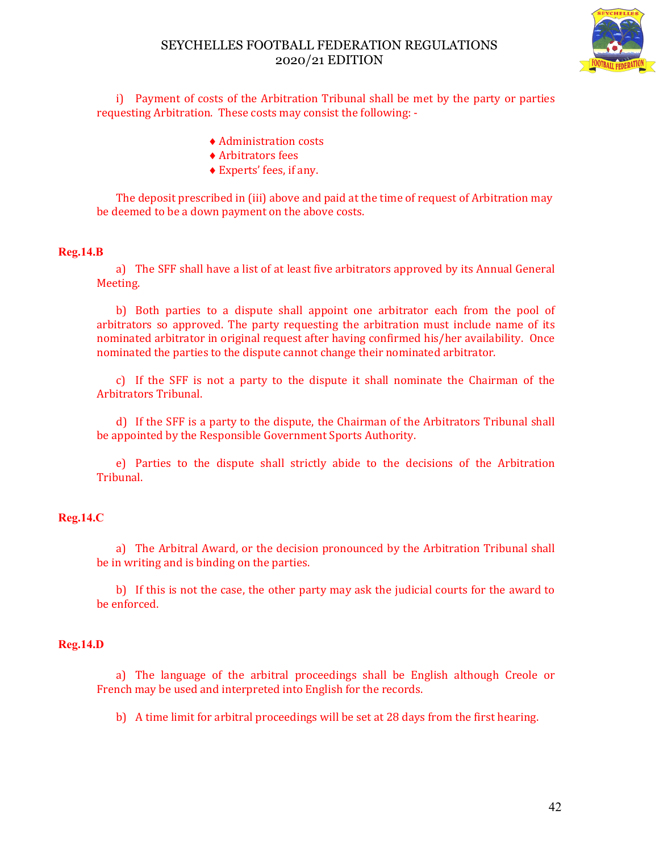

i) Payment of costs of the Arbitration Tribunal shall be met by the party or parties requesting Arbitration. These costs may consist the following: -

- Administration costs
- Arbitrators fees
- Experts' fees, if any.

The deposit prescribed in (iii) above and paid at the time of request of Arbitration may be deemed to be a down payment on the above costs.

#### **Reg.14.B**

a) The SFF shall have a list of at least five arbitrators approved by its Annual General Meeting.

b) Both parties to a dispute shall appoint one arbitrator each from the pool of arbitrators so approved. The party requesting the arbitration must include name of its nominated arbitrator in original request after having confirmed his/her availability. Once nominated the parties to the dispute cannot change their nominated arbitrator.

c) If the SFF is not a party to the dispute it shall nominate the Chairman of the Arbitrators Tribunal.

d) If the SFF is a party to the dispute, the Chairman of the Arbitrators Tribunal shall be appointed by the Responsible Government Sports Authority.

e) Parties to the dispute shall strictly abide to the decisions of the Arbitration Tribunal.

#### **Reg.14.C**

a) The Arbitral Award, or the decision pronounced by the Arbitration Tribunal shall be in writing and is binding on the parties.

b) If this is not the case, the other party may ask the judicial courts for the award to be enforced.

#### **Reg.14.D**

a) The language of the arbitral proceedings shall be English although Creole or French may be used and interpreted into English for the records.

b) A time limit for arbitral proceedings will be set at 28 days from the first hearing.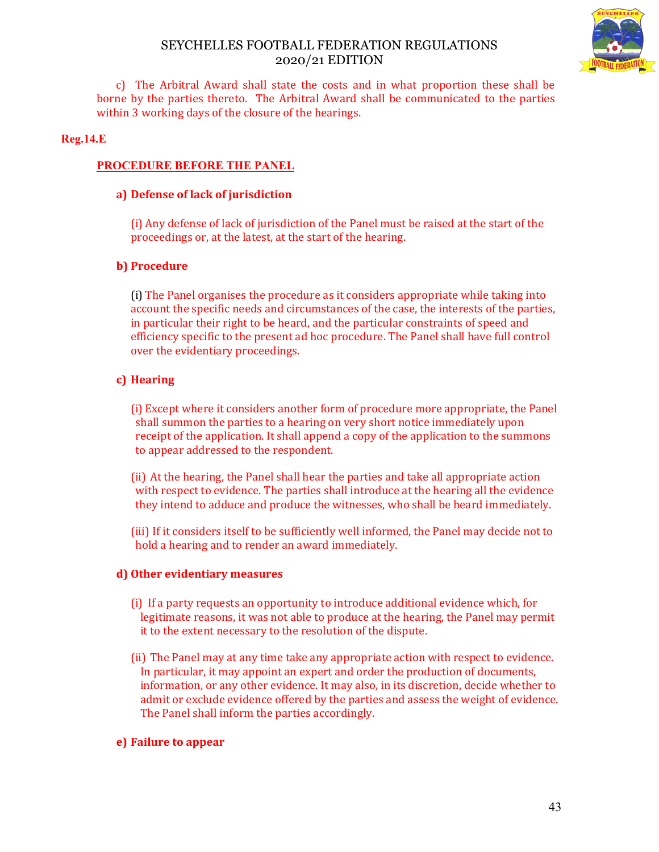

c) The Arbitral Award shall state the costs and in what proportion these shall be borne by the parties thereto. The Arbitral Award shall be communicated to the parties within 3 working days of the closure of the hearings.

#### **Reg.14.E**

#### **PROCEDURE BEFORE THE PANEL**

#### **a) Defense of lack of jurisdiction**

(i) Any defense of lack of jurisdiction of the Panel must be raised at the start of the proceedings or, at the latest, at the start of the hearing.

#### **b) Procedure**

(i) The Panel organises the procedure as it considers appropriate while taking into account the specific needs and circumstances of the case, the interests of the parties, in particular their right to be heard, and the particular constraints of speed and efficiency specific to the present ad hoc procedure. The Panel shall have full control over the evidentiary proceedings.

## **c) Hearing**

(i) Except where it considers another form of procedure more appropriate, the Panel shall summon the parties to a hearing on very short notice immediately upon receipt of the application. It shall append a copy of the application to the summons to appear addressed to the respondent.

(ii) At the hearing, the Panel shall hear the parties and take all appropriate action with respect to evidence. The parties shall introduce at the hearing all the evidence they intend to adduce and produce the witnesses, who shall be heard immediately.

(iii) If it considers itself to be sufficiently well informed, the Panel may decide not to hold a hearing and to render an award immediately.

#### **d) Other evidentiary measures**

- (i) If a party requests an opportunity to introduce additional evidence which, for legitimate reasons, it was not able to produce at the hearing, the Panel may permit it to the extent necessary to the resolution of the dispute.
- (ii) The Panel may at any time take any appropriate action with respect to evidence. In particular, it may appoint an expert and order the production of documents, information, or any other evidence. It may also, in its discretion, decide whether to admit or exclude evidence offered by the parties and assess the weight of evidence. The Panel shall inform the parties accordingly.

## **e) Failure to appear**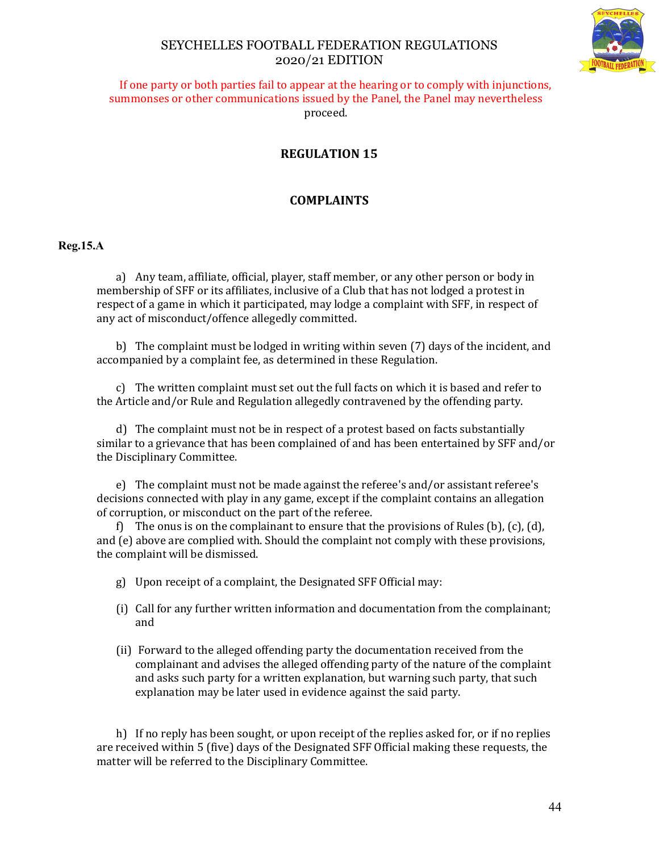

If one party or both parties fail to appear at the hearing or to comply with injunctions, summonses or other communications issued by the Panel, the Panel may nevertheless proceed.

# **REGULATION 15**

# **COMPLAINTS**

#### **Reg.15.A**

a) Any team, affiliate, official, player, staff member, or any other person or body in membership of SFF or its affiliates, inclusive of a Club that has not lodged a protest in respect of a game in which it participated, may lodge a complaint with SFF, in respect of any act of misconduct/offence allegedly committed.

b) The complaint must be lodged in writing within seven (7) days of the incident, and accompanied by a complaint fee, as determined in these Regulation.

c) The written complaint must set out the full facts on which it is based and refer to the Article and/or Rule and Regulation allegedly contravened by the offending party.

d) The complaint must not be in respect of a protest based on facts substantially similar to a grievance that has been complained of and has been entertained by SFF and/or the Disciplinary Committee.

e) The complaint must not be made against the referee's and/or assistant referee's decisions connected with play in any game, except if the complaint contains an allegation of corruption, or misconduct on the part of the referee.

f) The onus is on the complainant to ensure that the provisions of Rules (b),  $(c)$ ,  $(d)$ , and (e) above are complied with. Should the complaint not comply with these provisions, the complaint will be dismissed.

- g) Upon receipt of a complaint, the Designated SFF Official may:
- (i) Call for any further written information and documentation from the complainant; and
- (ii) Forward to the alleged offending party the documentation received from the complainant and advises the alleged offending party of the nature of the complaint and asks such party for a written explanation, but warning such party, that such explanation may be later used in evidence against the said party.

h) If no reply has been sought, or upon receipt of the replies asked for, or if no replies are received within 5 (five) days of the Designated SFF Official making these requests, the matter will be referred to the Disciplinary Committee.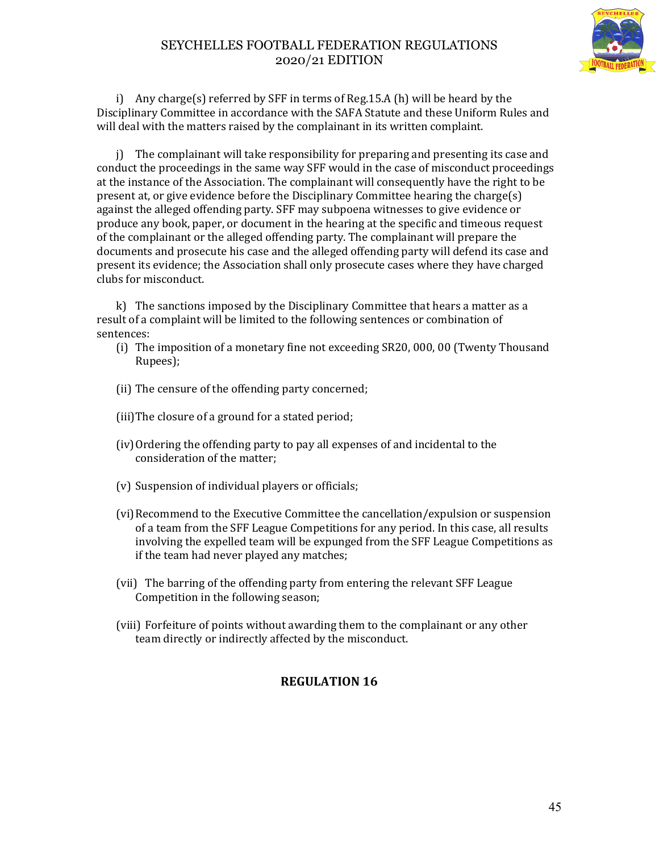

i) Any charge(s) referred by SFF in terms of Reg.15.A (h) will be heard by the Disciplinary Committee in accordance with the SAFA Statute and these Uniform Rules and will deal with the matters raised by the complainant in its written complaint.

j) The complainant will take responsibility for preparing and presenting its case and conduct the proceedings in the same way SFF would in the case of misconduct proceedings at the instance of the Association. The complainant will consequently have the right to be present at, or give evidence before the Disciplinary Committee hearing the charge(s) against the alleged offending party. SFF may subpoena witnesses to give evidence or produce any book, paper, or document in the hearing at the specific and timeous request of the complainant or the alleged offending party. The complainant will prepare the documents and prosecute his case and the alleged offending party will defend its case and present its evidence; the Association shall only prosecute cases where they have charged clubs for misconduct.

k) The sanctions imposed by the Disciplinary Committee that hears a matter as a result of a complaint will be limited to the following sentences or combination of sentences:

- (i) The imposition of a monetary fine not exceeding SR20, 000, 00 (Twenty Thousand Rupees);
- (ii) The censure of the offending party concerned;
- (iii)The closure of a ground for a stated period;
- (iv)Ordering the offending party to pay all expenses of and incidental to the consideration of the matter;
- (v) Suspension of individual players or officials;
- (vi) Recommend to the Executive Committee the cancellation/expulsion or suspension of a team from the SFF League Competitions for any period. In this case, all results involving the expelled team will be expunged from the SFF League Competitions as if the team had never played any matches;
- (vii) The barring of the offending party from entering the relevant SFF League Competition in the following season;
- (viii) Forfeiture of points without awarding them to the complainant or any other team directly or indirectly affected by the misconduct.

# **REGULATION 16**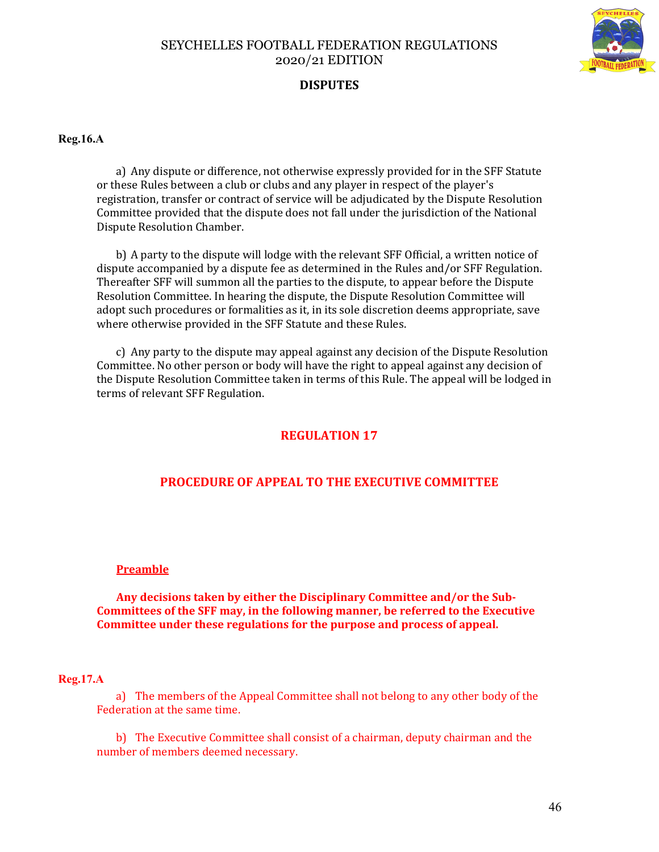

# **DISPUTES**

**Reg.16.A**

a) Any dispute or difference, not otherwise expressly provided for in the SFF Statute or these Rules between a club or clubs and any player in respect of the player's registration, transfer or contract of service will be adjudicated by the Dispute Resolution Committee provided that the dispute does not fall under the jurisdiction of the National Dispute Resolution Chamber.

b) A party to the dispute will lodge with the relevant SFF Official, a written notice of dispute accompanied by a dispute fee as determined in the Rules and/or SFF Regulation. Thereafter SFF will summon all the parties to the dispute, to appear before the Dispute Resolution Committee. In hearing the dispute, the Dispute Resolution Committee will adopt such procedures or formalities as it, in its sole discretion deems appropriate, save where otherwise provided in the SFF Statute and these Rules.

c) Any party to the dispute may appeal against any decision of the Dispute Resolution Committee. No other person or body will have the right to appeal against any decision of the Dispute Resolution Committee taken in terms of this Rule. The appeal will be lodged in terms of relevant SFF Regulation.

# **REGULATION 17**

## **PROCEDURE OF APPEAL TO THE EXECUTIVE COMMITTEE**

#### **Preamble**

**Any decisions taken by either the Disciplinary Committee and/or the Sub-Committees of the SFF may, in the following manner, be referred to the Executive Committee under these regulations for the purpose and process of appeal.**

#### **Reg.17.A**

a) The members of the Appeal Committee shall not belong to any other body of the Federation at the same time.

b) The Executive Committee shall consist of a chairman, deputy chairman and the number of members deemed necessary.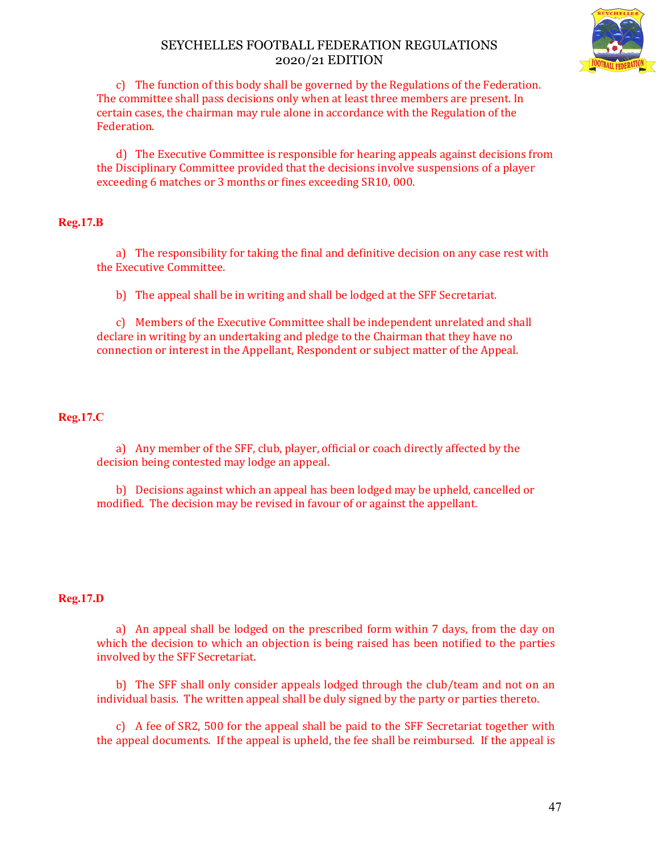

c) The function of this body shall be governed by the Regulations of the Federation. The committee shall pass decisions only when at least three members are present. In certain cases, the chairman may rule alone in accordance with the Regulation of the Federation.

d) The Executive Committee is responsible for hearing appeals against decisions from the Disciplinary Committee provided that the decisions involve suspensions of a player exceeding 6 matches or 3 months or fines exceeding SR10, 000.

## **Reg.17.B**

a) The responsibility for taking the final and definitive decision on any case rest with the Executive Committee.

b) The appeal shall be in writing and shall be lodged at the SFF Secretariat.

c) Members of the Executive Committee shall be independent unrelated and shall declare in writing by an undertaking and pledge to the Chairman that they have no connection or interest in the Appellant, Respondent or subject matter of the Appeal.

## **Reg.17.C**

a) Any member of the SFF, club, player, official or coach directly affected by the decision being contested may lodge an appeal.

b) Decisions against which an appeal has been lodged may be upheld, cancelled or modified. The decision may be revised in favour of or against the appellant.

#### **Reg.17.D**

a) An appeal shall be lodged on the prescribed form within 7 days, from the day on which the decision to which an objection is being raised has been notified to the parties involved by the SFF Secretariat.

b) The SFF shall only consider appeals lodged through the club/team and not on an individual basis. The written appeal shall be duly signed by the party or parties thereto.

c) A fee of SR2, 500 for the appeal shall be paid to the SFF Secretariat together with the appeal documents. If the appeal is upheld, the fee shall be reimbursed. If the appeal is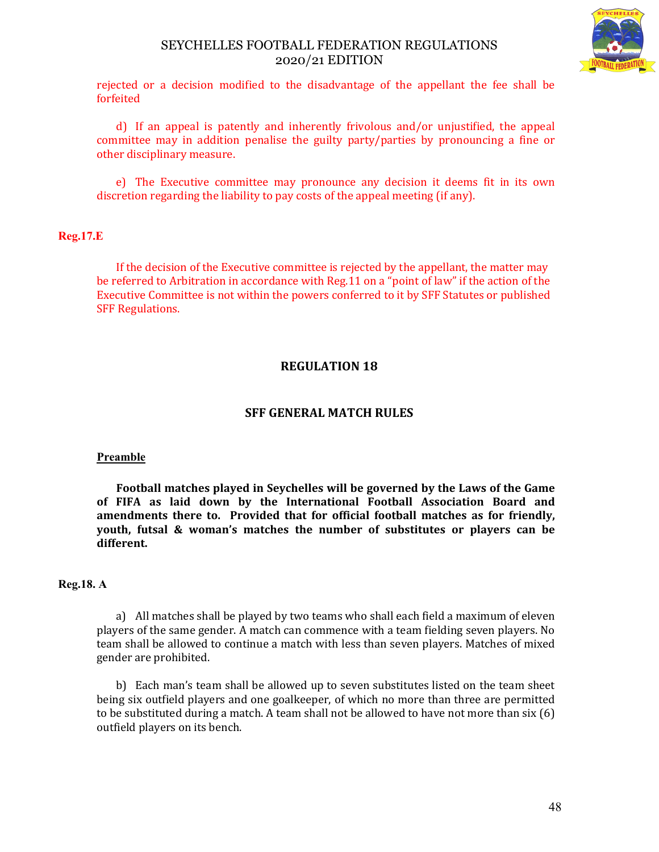

rejected or a decision modified to the disadvantage of the appellant the fee shall be forfeited

d) If an appeal is patently and inherently frivolous and/or unjustified, the appeal committee may in addition penalise the guilty party/parties by pronouncing a fine or other disciplinary measure.

e) The Executive committee may pronounce any decision it deems fit in its own discretion regarding the liability to pay costs of the appeal meeting (if any).

#### **Reg.17.E**

If the decision of the Executive committee is rejected by the appellant, the matter may be referred to Arbitration in accordance with Reg.11 on a "point of law" if the action of the Executive Committee is not within the powers conferred to it by SFF Statutes or published SFF Regulations.

# **REGULATION 18**

## **SFF GENERAL MATCH RULES**

#### **Preamble**

**Football matches played in Seychelles will be governed by the Laws of the Game of FIFA as laid down by the International Football Association Board and amendments there to. Provided that for official football matches as for friendly, youth, futsal & woman's matches the number of substitutes or players can be different.**

#### **Reg.18. A**

a) All matches shall be played by two teams who shall each field a maximum of eleven players of the same gender. A match can commence with a team fielding seven players. No team shall be allowed to continue a match with less than seven players. Matches of mixed gender are prohibited.

b) Each man's team shall be allowed up to seven substitutes listed on the team sheet being six outfield players and one goalkeeper, of which no more than three are permitted to be substituted during a match. A team shall not be allowed to have not more than six (6) outfield players on its bench.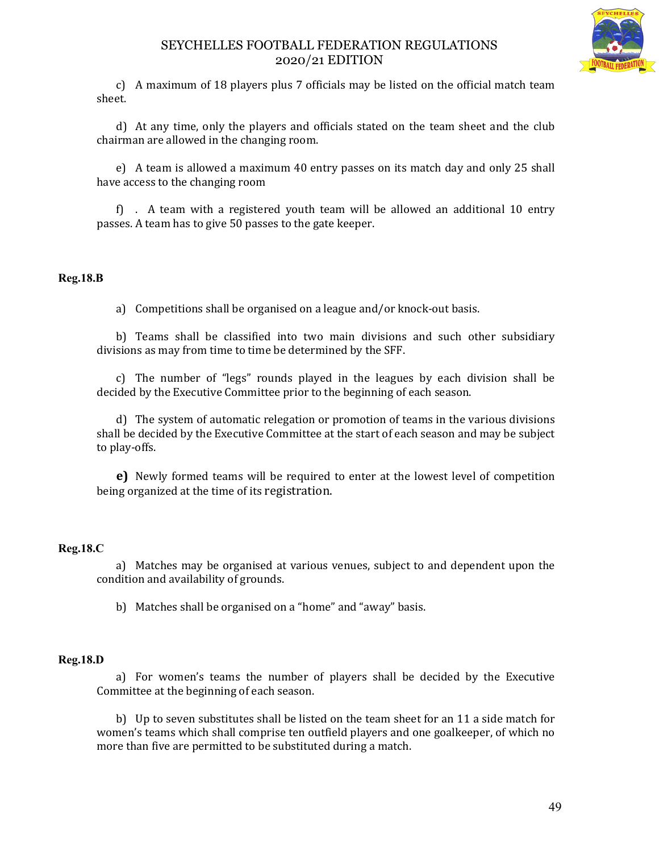

c) A maximum of 18 players plus 7 officials may be listed on the official match team sheet.

d) At any time, only the players and officials stated on the team sheet and the club chairman are allowed in the changing room.

e) A team is allowed a maximum 40 entry passes on its match day and only 25 shall have access to the changing room

f) . A team with a registered youth team will be allowed an additional 10 entry passes. A team has to give 50 passes to the gate keeper.

#### **Reg.18.B**

a) Competitions shall be organised on a league and/or knock-out basis.

b) Teams shall be classified into two main divisions and such other subsidiary divisions as may from time to time be determined by the SFF.

c) The number of "legs" rounds played in the leagues by each division shall be decided by the Executive Committee prior to the beginning of each season.

d) The system of automatic relegation or promotion of teams in the various divisions shall be decided by the Executive Committee at the start of each season and may be subject to play-offs.

**e)** Newly formed teams will be required to enter at the lowest level of competition being organized at the time of its registration.

## **Reg.18.C**

a) Matches may be organised at various venues, subject to and dependent upon the condition and availability of grounds.

b) Matches shall be organised on a "home" and "away" basis.

#### **Reg.18.D**

a) For women's teams the number of players shall be decided by the Executive Committee at the beginning of each season.

b) Up to seven substitutes shall be listed on the team sheet for an 11 a side match for women's teams which shall comprise ten outfield players and one goalkeeper, of which no more than five are permitted to be substituted during a match.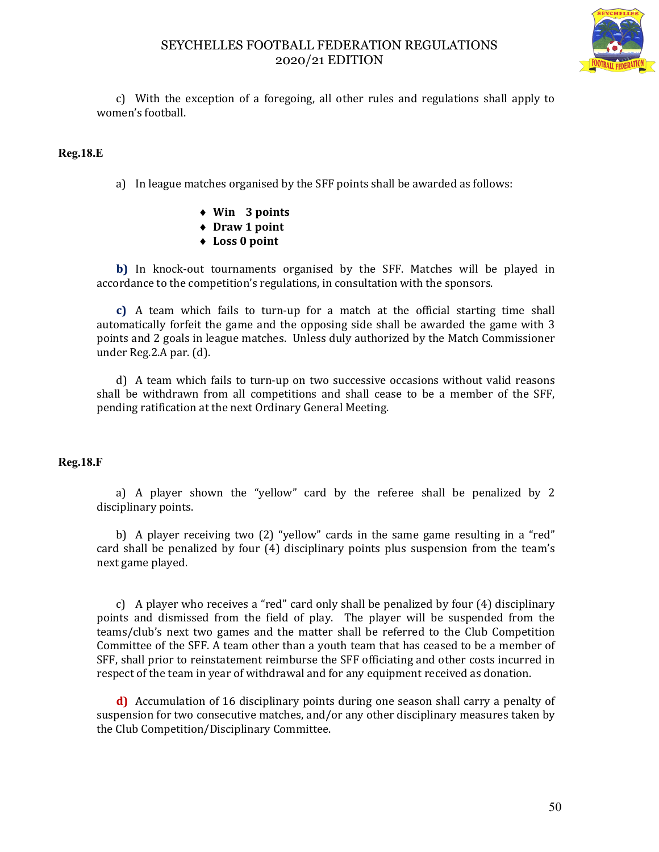

c) With the exception of a foregoing, all other rules and regulations shall apply to women's football.

#### **Reg.18.E**

a) In league matches organised by the SFF points shall be awarded as follows:

- **Win 3 points**
- **Draw 1 point**
- **Loss 0 point**

**b)** In knock-out tournaments organised by the SFF. Matches will be played in accordance to the competition's regulations, in consultation with the sponsors.

**c)** A team which fails to turn-up for a match at the official starting time shall automatically forfeit the game and the opposing side shall be awarded the game with 3 points and 2 goals in league matches. Unless duly authorized by the Match Commissioner under Reg.2.A par. (d).

d) A team which fails to turn-up on two successive occasions without valid reasons shall be withdrawn from all competitions and shall cease to be a member of the SFF, pending ratification at the next Ordinary General Meeting.

#### **Reg.18.F**

a) A player shown the "yellow" card by the referee shall be penalized by 2 disciplinary points.

b) A player receiving two (2) "yellow" cards in the same game resulting in a "red" card shall be penalized by four (4) disciplinary points plus suspension from the team's next game played.

c) A player who receives a "red" card only shall be penalized by four (4) disciplinary points and dismissed from the field of play. The player will be suspended from the teams/club's next two games and the matter shall be referred to the Club Competition Committee of the SFF. A team other than a youth team that has ceased to be a member of SFF, shall prior to reinstatement reimburse the SFF officiating and other costs incurred in respect of the team in year of withdrawal and for any equipment received as donation.

**d)** Accumulation of 16 disciplinary points during one season shall carry a penalty of suspension for two consecutive matches, and/or any other disciplinary measures taken by the Club Competition/Disciplinary Committee.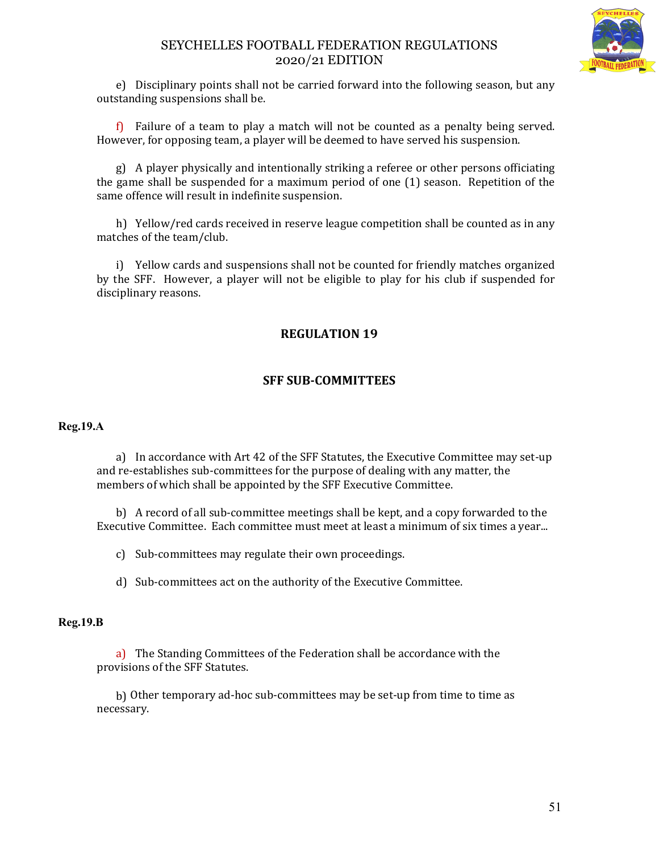

e) Disciplinary points shall not be carried forward into the following season, but any outstanding suspensions shall be.

f) Failure of a team to play a match will not be counted as a penalty being served. However, for opposing team, a player will be deemed to have served his suspension.

g) A player physically and intentionally striking a referee or other persons officiating the game shall be suspended for a maximum period of one (1) season. Repetition of the same offence will result in indefinite suspension.

h) Yellow/red cards received in reserve league competition shall be counted as in any matches of the team/club.

i) Yellow cards and suspensions shall not be counted for friendly matches organized by the SFF. However, a player will not be eligible to play for his club if suspended for disciplinary reasons.

# **REGULATION 19**

# **SFF SUB-COMMITTEES**

#### **Reg.19.A**

a) In accordance with Art 42 of the SFF Statutes, the Executive Committee may set-up and re-establishes sub-committees for the purpose of dealing with any matter, the members of which shall be appointed by the SFF Executive Committee.

b) A record of all sub-committee meetings shall be kept, and a copy forwarded to the Executive Committee. Each committee must meet at least a minimum of six times a year...

c) Sub-committees may regulate their own proceedings.

d) Sub-committees act on the authority of the Executive Committee.

#### **Reg.19.B**

a) The Standing Committees of the Federation shall be accordance with the provisions of the SFF Statutes.

b) Other temporary ad-hoc sub-committees may be set-up from time to time as necessary.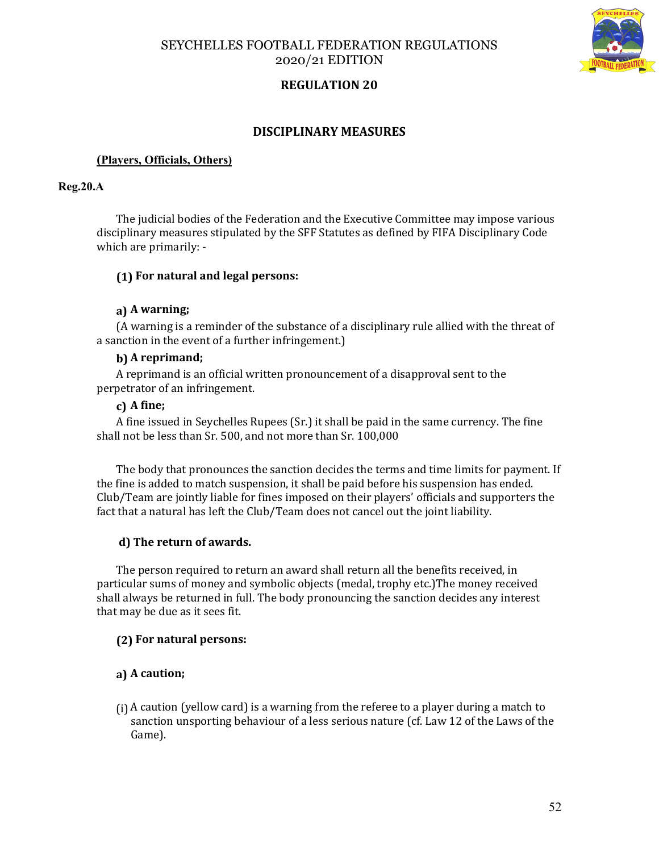



# **REGULATION 20**

#### **DISCIPLINARY MEASURES**

#### **(Players, Officials, Others)**

#### **Reg.20.A**

The judicial bodies of the Federation and the Executive Committee may impose various disciplinary measures stipulated by the SFF Statutes as defined by FIFA Disciplinary Code which are primarily: -

#### **(1) For natural and legal persons:**

#### **a) A warning;**

(A warning is a reminder of the substance of a disciplinary rule allied with the threat of a sanction in the event of a further infringement.)

#### **b) A reprimand;**

A reprimand is an official written pronouncement of a disapproval sent to the perpetrator of an infringement.

#### **c) A fine;**

A fine issued in Seychelles Rupees (Sr.) it shall be paid in the same currency. The fine shall not be less than Sr. 500, and not more than Sr. 100,000

The body that pronounces the sanction decides the terms and time limits for payment. If the fine is added to match suspension, it shall be paid before his suspension has ended. Club/Team are jointly liable for fines imposed on their players' officials and supporters the fact that a natural has left the Club/Team does not cancel out the joint liability.

#### **d) The return of awards.**

The person required to return an award shall return all the benefits received, in particular sums of money and symbolic objects (medal, trophy etc.)The money received shall always be returned in full. The body pronouncing the sanction decides any interest that may be due as it sees fit.

#### **(2) For natural persons:**

#### **a) A caution;**

(i) A caution (yellow card) is a warning from the referee to a player during a match to sanction unsporting behaviour of a less serious nature (cf. Law 12 of the Laws of the Game).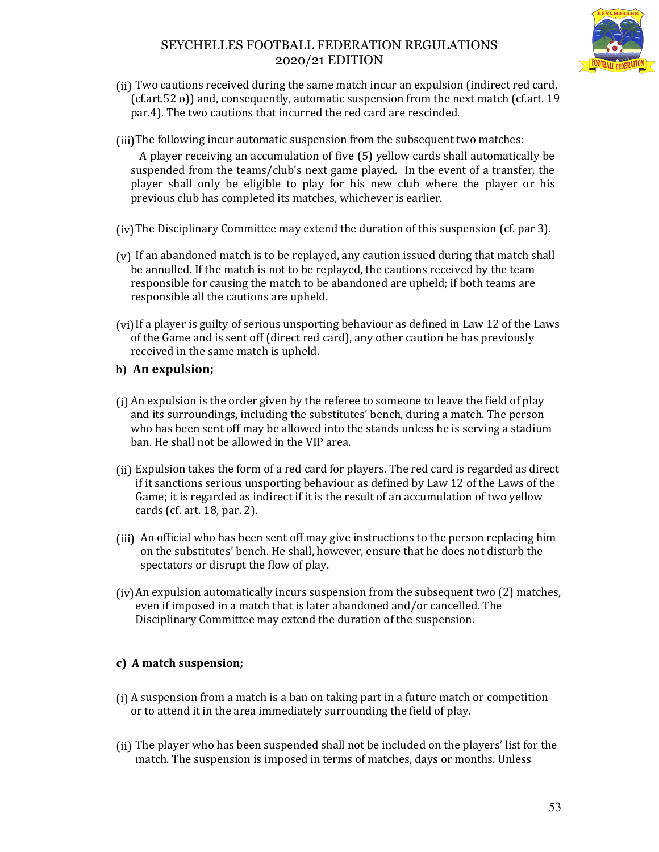

- (ii) Two cautions received during the same match incur an expulsion (indirect red card, (cf.art.52 o)) and, consequently, automatic suspension from the next match (cf.art. 19 par.4). The two cautions that incurred the red card are rescinded.
- (iii)The following incur automatic suspension from the subsequent two matches:

 A player receiving an accumulation of five (5) yellow cards shall automatically be suspended from the teams/club's next game played. In the event of a transfer, the player shall only be eligible to play for his new club where the player or his previous club has completed its matches, whichever is earlier.

- (iv)The Disciplinary Committee may extend the duration of this suspension (cf. par 3).
- (v) If an abandoned match is to be replayed, any caution issued during that match shall be annulled. If the match is not to be replayed, the cautions received by the team responsible for causing the match to be abandoned are upheld; if both teams are responsible all the cautions are upheld.
- (vi)If a player is guilty of serious unsporting behaviour as defined in Law 12 of the Laws of the Game and is sent off (direct red card), any other caution he has previously received in the same match is upheld.
- b) **An expulsion;**
- (i) An expulsion is the order given by the referee to someone to leave the field of play and its surroundings, including the substitutes' bench, during a match. The person who has been sent off may be allowed into the stands unless he is serving a stadium ban. He shall not be allowed in the VIP area.
- (ii) Expulsion takes the form of a red card for players. The red card is regarded as direct if it sanctions serious unsporting behaviour as defined by Law 12 of the Laws of the Game; it is regarded as indirect if it is the result of an accumulation of two yellow cards (cf. art. 18, par. 2).
- (iii) An official who has been sent off may give instructions to the person replacing him on the substitutes' bench. He shall, however, ensure that he does not disturb the spectators or disrupt the flow of play.
- $(iy)$ An expulsion automatically incurs suspension from the subsequent two  $(2)$  matches, even if imposed in a match that is later abandoned and/or cancelled. The Disciplinary Committee may extend the duration of the suspension.

# **c) A match suspension;**

- (i) A suspension from a match is a ban on taking part in a future match or competition or to attend it in the area immediately surrounding the field of play.
- (ii) The player who has been suspended shall not be included on the players' list for the match. The suspension is imposed in terms of matches, days or months. Unless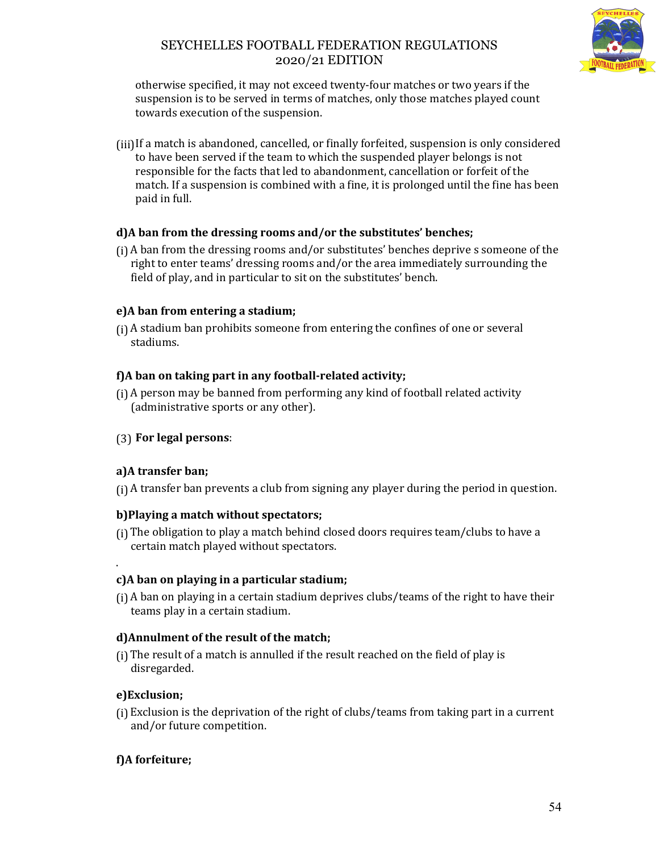

otherwise specified, it may not exceed twenty-four matches or two years if the suspension is to be served in terms of matches, only those matches played count towards execution of the suspension.

(iii)If a match is abandoned, cancelled, or finally forfeited, suspension is only considered to have been served if the team to which the suspended player belongs is not responsible for the facts that led to abandonment, cancellation or forfeit of the match. If a suspension is combined with a fine, it is prolonged until the fine has been paid in full.

# **d)A ban from the dressing rooms and/or the substitutes' benches;**

(i) A ban from the dressing rooms and/or substitutes' benches deprive s someone of the right to enter teams' dressing rooms and/or the area immediately surrounding the field of play, and in particular to sit on the substitutes' bench.

# **e)A ban from entering a stadium;**

(i) A stadium ban prohibits someone from entering the confines of one or several stadiums.

# **f)A ban on taking part in any football-related activity;**

(i) A person may be banned from performing any kind of football related activity (administrative sports or any other).

# (3) **For legal persons**:

## **a)A transfer ban;**

(i) A transfer ban prevents a club from signing any player during the period in question.

## **b)Playing a match without spectators;**

(i) The obligation to play a match behind closed doors requires team/clubs to have a certain match played without spectators.

# **c)A ban on playing in a particular stadium;**

(i) A ban on playing in a certain stadium deprives clubs/teams of the right to have their teams play in a certain stadium.

## **d)Annulment of the result of the match;**

(i) The result of a match is annulled if the result reached on the field of play is disregarded.

## **e)Exclusion;**

.

(i) Exclusion is the deprivation of the right of clubs/teams from taking part in a current and/or future competition.

# **f)A forfeiture;**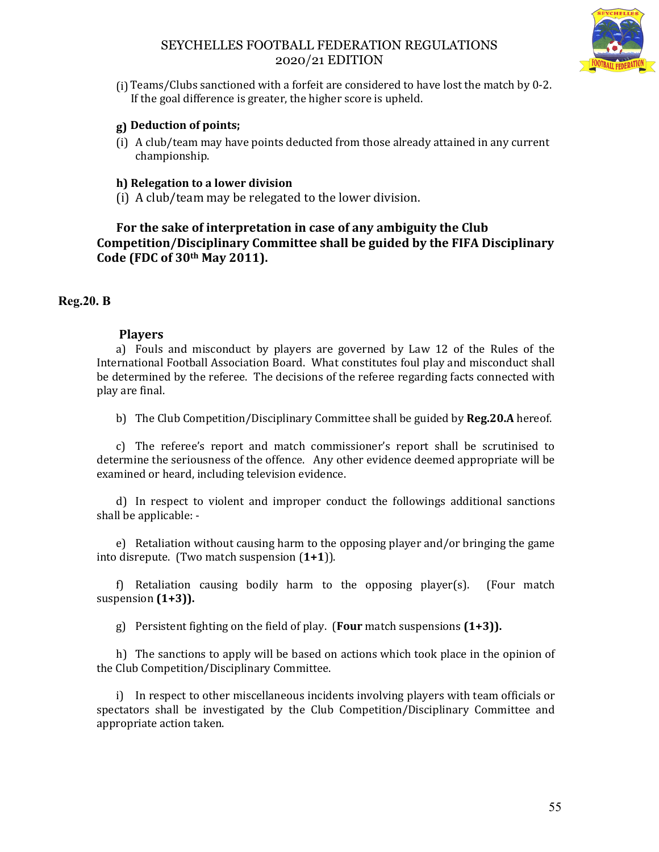

(i) Teams/Clubs sanctioned with a forfeit are considered to have lost the match by 0-2. If the goal difference is greater, the higher score is upheld.

# **g) Deduction of points;**

(i) A club/team may have points deducted from those already attained in any current championship.

# **h) Relegation to a lower division**

(i) A club/team may be relegated to the lower division.

**For the sake of interpretation in case of any ambiguity the Club Competition/Disciplinary Committee shall be guided by the FIFA Disciplinary Code (FDC of 30th May 2011).**

# **Reg.20. B**

# **Players**

a) Fouls and misconduct by players are governed by Law 12 of the Rules of the International Football Association Board. What constitutes foul play and misconduct shall be determined by the referee. The decisions of the referee regarding facts connected with play are final.

b) The Club Competition/Disciplinary Committee shall be guided by **Reg.20.A** hereof.

c) The referee's report and match commissioner's report shall be scrutinised to determine the seriousness of the offence. Any other evidence deemed appropriate will be examined or heard, including television evidence.

d) In respect to violent and improper conduct the followings additional sanctions shall be applicable: -

e) Retaliation without causing harm to the opposing player and/or bringing the game into disrepute. (Two match suspension (**1+1**)).

f) Retaliation causing bodily harm to the opposing player(s). (Four match suspension **(1+3)).**

g) Persistent fighting on the field of play. (**Four** match suspensions **(1+3)).**

h) The sanctions to apply will be based on actions which took place in the opinion of the Club Competition/Disciplinary Committee.

i) In respect to other miscellaneous incidents involving players with team officials or spectators shall be investigated by the Club Competition/Disciplinary Committee and appropriate action taken.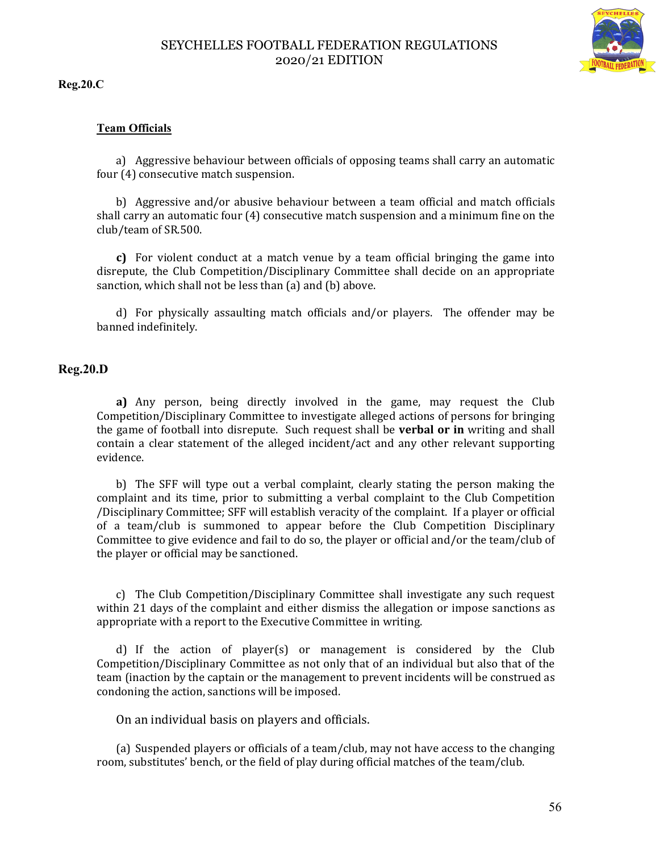

**Reg.20.C**

#### **Team Officials**

a) Aggressive behaviour between officials of opposing teams shall carry an automatic four (4) consecutive match suspension.

b) Aggressive and/or abusive behaviour between a team official and match officials shall carry an automatic four (4) consecutive match suspension and a minimum fine on the club/team of SR.500.

**c)** For violent conduct at a match venue by a team official bringing the game into disrepute, the Club Competition/Disciplinary Committee shall decide on an appropriate sanction, which shall not be less than (a) and (b) above.

d) For physically assaulting match officials and/or players. The offender may be banned indefinitely.

#### **Reg.20.D**

**a)** Any person, being directly involved in the game, may request the Club Competition/Disciplinary Committee to investigate alleged actions of persons for bringing the game of football into disrepute. Such request shall be **verbal or in** writing and shall contain a clear statement of the alleged incident/act and any other relevant supporting evidence.

b) The SFF will type out a verbal complaint, clearly stating the person making the complaint and its time, prior to submitting a verbal complaint to the Club Competition /Disciplinary Committee; SFF will establish veracity of the complaint. If a player or official of a team/club is summoned to appear before the Club Competition Disciplinary Committee to give evidence and fail to do so, the player or official and/or the team/club of the player or official may be sanctioned.

c) The Club Competition/Disciplinary Committee shall investigate any such request within 21 days of the complaint and either dismiss the allegation or impose sanctions as appropriate with a report to the Executive Committee in writing.

d) If the action of player(s) or management is considered by the Club Competition/Disciplinary Committee as not only that of an individual but also that of the team (inaction by the captain or the management to prevent incidents will be construed as condoning the action, sanctions will be imposed.

On an individual basis on players and officials.

(a) Suspended players or officials of a team/club, may not have access to the changing room, substitutes' bench, or the field of play during official matches of the team/club.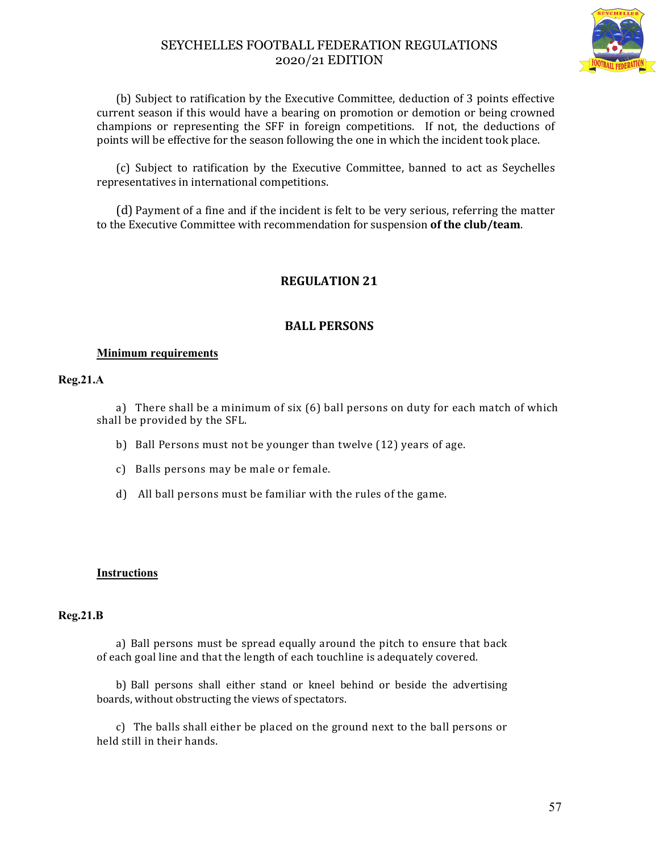

(b) Subject to ratification by the Executive Committee, deduction of 3 points effective current season if this would have a bearing on promotion or demotion or being crowned champions or representing the SFF in foreign competitions. If not, the deductions of points will be effective for the season following the one in which the incident took place.

(c) Subject to ratification by the Executive Committee, banned to act as Seychelles representatives in international competitions.

(d) Payment of a fine and if the incident is felt to be very serious, referring the matter to the Executive Committee with recommendation for suspension **of the club/team**.

# **REGULATION 21**

## **BALL PERSONS**

#### **Minimum requirements**

#### **Reg.21.A**

a) There shall be a minimum of six (6) ball persons on duty for each match of which shall be provided by the SFL.

- b) Ball Persons must not be younger than twelve (12) years of age.
- c) Balls persons may be male or female.
- d) All ball persons must be familiar with the rules of the game.

#### **Instructions**

#### **Reg.21.B**

a) Ball persons must be spread equally around the pitch to ensure that back of each goal line and that the length of each touchline is adequately covered.

b) Ball persons shall either stand or kneel behind or beside the advertising boards, without obstructing the views of spectators.

c) The balls shall either be placed on the ground next to the ball persons or held still in their hands.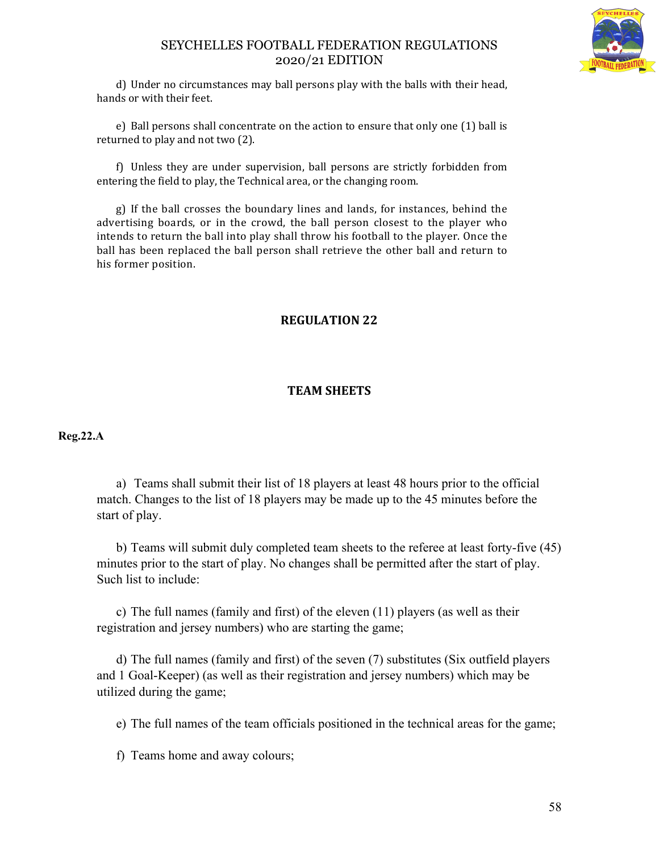

d) Under no circumstances may ball persons play with the balls with their head, hands or with their feet.

e) Ball persons shall concentrate on the action to ensure that only one (1) ball is returned to play and not two (2).

f) Unless they are under supervision, ball persons are strictly forbidden from entering the field to play, the Technical area, or the changing room.

g) If the ball crosses the boundary lines and lands, for instances, behind the advertising boards, or in the crowd, the ball person closest to the player who intends to return the ball into play shall throw his football to the player. Once the ball has been replaced the ball person shall retrieve the other ball and return to his former position.

# **REGULATION 22**

# **TEAM SHEETS**

## **Reg.22.A**

a) Teams shall submit their list of 18 players at least 48 hours prior to the official match. Changes to the list of 18 players may be made up to the 45 minutes before the start of play.

b) Teams will submit duly completed team sheets to the referee at least forty-five (45) minutes prior to the start of play. No changes shall be permitted after the start of play. Such list to include:

c) The full names (family and first) of the eleven (11) players (as well as their registration and jersey numbers) who are starting the game;

d) The full names (family and first) of the seven (7) substitutes (Six outfield players and 1 Goal-Keeper) (as well as their registration and jersey numbers) which may be utilized during the game;

e) The full names of the team officials positioned in the technical areas for the game;

f) Teams home and away colours;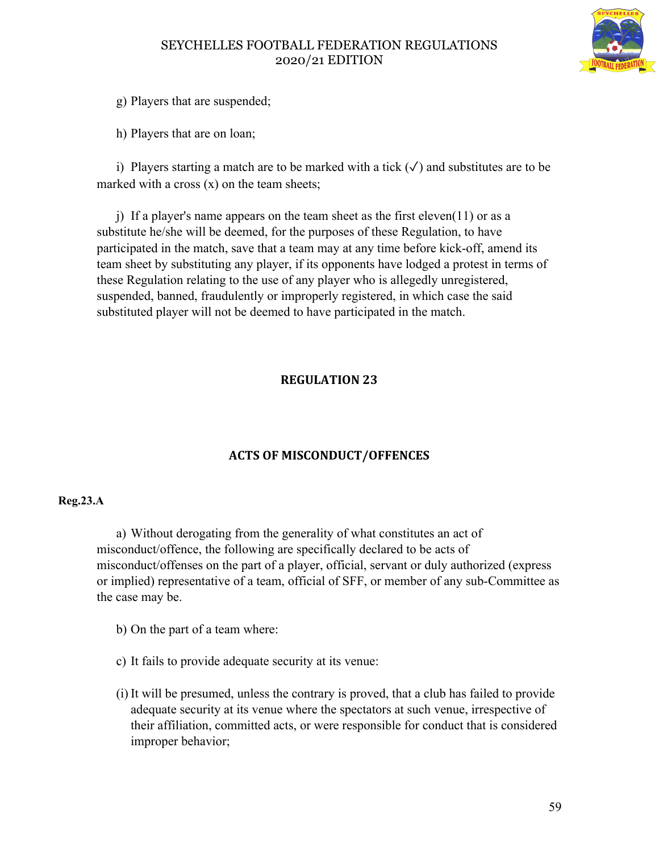

g) Players that are suspended;

h) Players that are on loan;

i) Players starting a match are to be marked with a tick  $(\checkmark)$  and substitutes are to be marked with a cross  $(x)$  on the team sheets;

j) If a player's name appears on the team sheet as the first eleven(11) or as a substitute he/she will be deemed, for the purposes of these Regulation, to have participated in the match, save that a team may at any time before kick-off, amend its team sheet by substituting any player, if its opponents have lodged a protest in terms of these Regulation relating to the use of any player who is allegedly unregistered, suspended, banned, fraudulently or improperly registered, in which case the said substituted player will not be deemed to have participated in the match.

# **REGULATION 23**

# **ACTS OF MISCONDUCT/OFFENCES**

## **Reg.23.A**

a) Without derogating from the generality of what constitutes an act of misconduct/offence, the following are specifically declared to be acts of misconduct/offenses on the part of a player, official, servant or duly authorized (express or implied) representative of a team, official of SFF, or member of any sub-Committee as the case may be.

b) On the part of a team where:

- c) It fails to provide adequate security at its venue:
- (i) It will be presumed, unless the contrary is proved, that a club has failed to provide adequate security at its venue where the spectators at such venue, irrespective of their affiliation, committed acts, or were responsible for conduct that is considered improper behavior;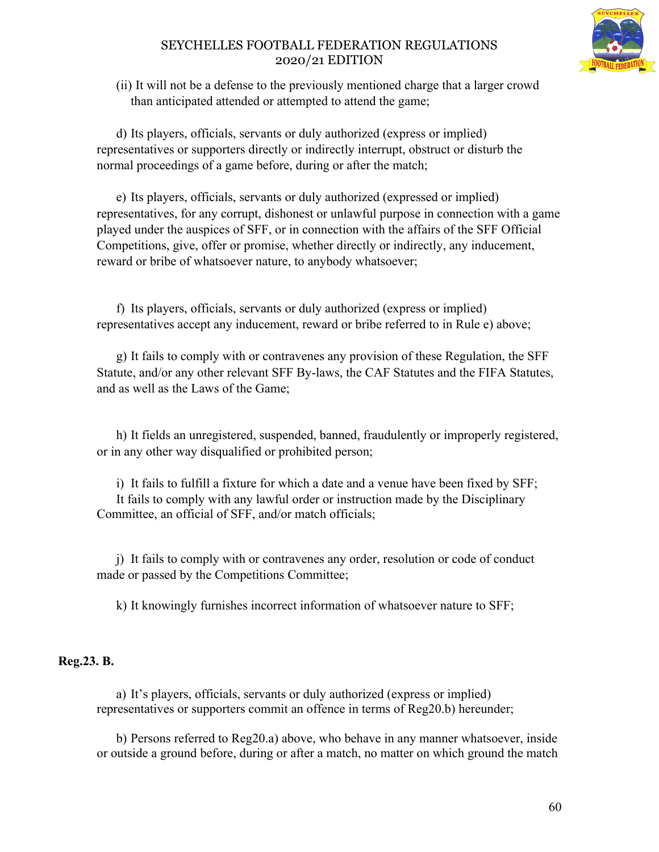

(ii) It will not be a defense to the previously mentioned charge that a larger crowd than anticipated attended or attempted to attend the game;

d) Its players, officials, servants or duly authorized (express or implied) representatives or supporters directly or indirectly interrupt, obstruct or disturb the normal proceedings of a game before, during or after the match;

e) Its players, officials, servants or duly authorized (expressed or implied) representatives, for any corrupt, dishonest or unlawful purpose in connection with a game played under the auspices of SFF, or in connection with the affairs of the SFF Official Competitions, give, offer or promise, whether directly or indirectly, any inducement, reward or bribe of whatsoever nature, to anybody whatsoever;

f) Its players, officials, servants or duly authorized (express or implied) representatives accept any inducement, reward or bribe referred to in Rule e) above;

g) It fails to comply with or contravenes any provision of these Regulation, the SFF Statute, and/or any other relevant SFF By-laws, the CAF Statutes and the FIFA Statutes, and as well as the Laws of the Game;

h) It fields an unregistered, suspended, banned, fraudulently or improperly registered, or in any other way disqualified or prohibited person;

i) It fails to fulfill a fixture for which a date and a venue have been fixed by SFF; It fails to comply with any lawful order or instruction made by the Disciplinary Committee, an official of SFF, and/or match officials;

j) It fails to comply with or contravenes any order, resolution or code of conduct made or passed by the Competitions Committee;

k) It knowingly furnishes incorrect information of whatsoever nature to SFF;

# **Reg.23. B.**

a) It's players, officials, servants or duly authorized (express or implied) representatives or supporters commit an offence in terms of Reg20.b) hereunder;

b) Persons referred to Reg20.a) above, who behave in any manner whatsoever, inside or outside a ground before, during or after a match, no matter on which ground the match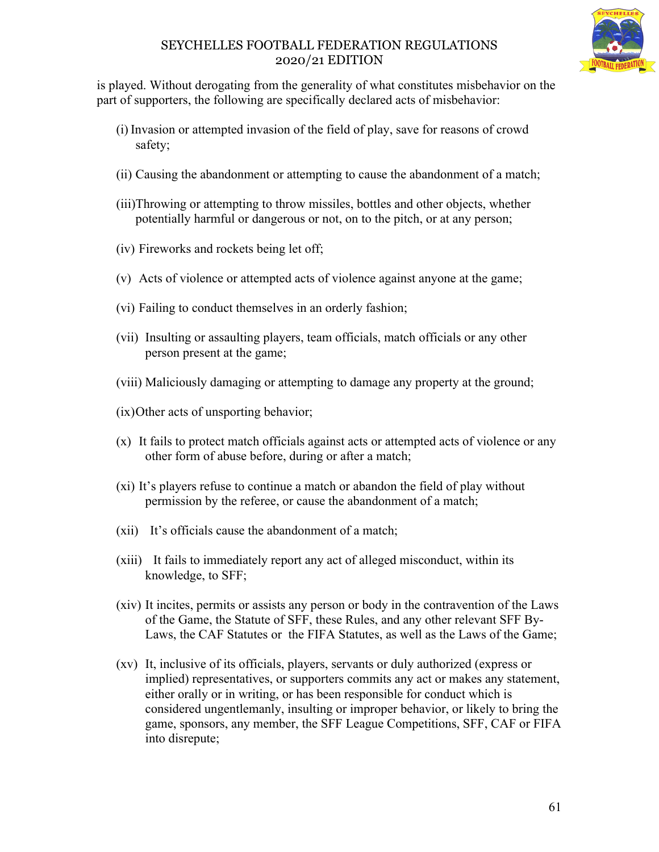is played. Without derogating from the generality of what constitutes misbehavior on the part of supporters, the following are specifically declared acts of misbehavior:

- (i) Invasion or attempted invasion of the field of play, save for reasons of crowd safety;
- (ii) Causing the abandonment or attempting to cause the abandonment of a match;
- (iii)Throwing or attempting to throw missiles, bottles and other objects, whether potentially harmful or dangerous or not, on to the pitch, or at any person;
- (iv) Fireworks and rockets being let off;
- (v) Acts of violence or attempted acts of violence against anyone at the game;
- (vi) Failing to conduct themselves in an orderly fashion;
- (vii) Insulting or assaulting players, team officials, match officials or any other person present at the game;
- (viii) Maliciously damaging or attempting to damage any property at the ground;
- (ix)Other acts of unsporting behavior;
- (x) It fails to protect match officials against acts or attempted acts of violence or any other form of abuse before, during or after a match;
- (xi) It's players refuse to continue a match or abandon the field of play without permission by the referee, or cause the abandonment of a match;
- (xii) It's officials cause the abandonment of a match;
- (xiii) It fails to immediately report any act of alleged misconduct, within its knowledge, to SFF;
- (xiv) It incites, permits or assists any person or body in the contravention of the Laws of the Game, the Statute of SFF, these Rules, and any other relevant SFF By-Laws, the CAF Statutes or the FIFA Statutes, as well as the Laws of the Game;
- (xv) It, inclusive of its officials, players, servants or duly authorized (express or implied) representatives, or supporters commits any act or makes any statement, either orally or in writing, or has been responsible for conduct which is considered ungentlemanly, insulting or improper behavior, or likely to bring the game, sponsors, any member, the SFF League Competitions, SFF, CAF or FIFA into disrepute;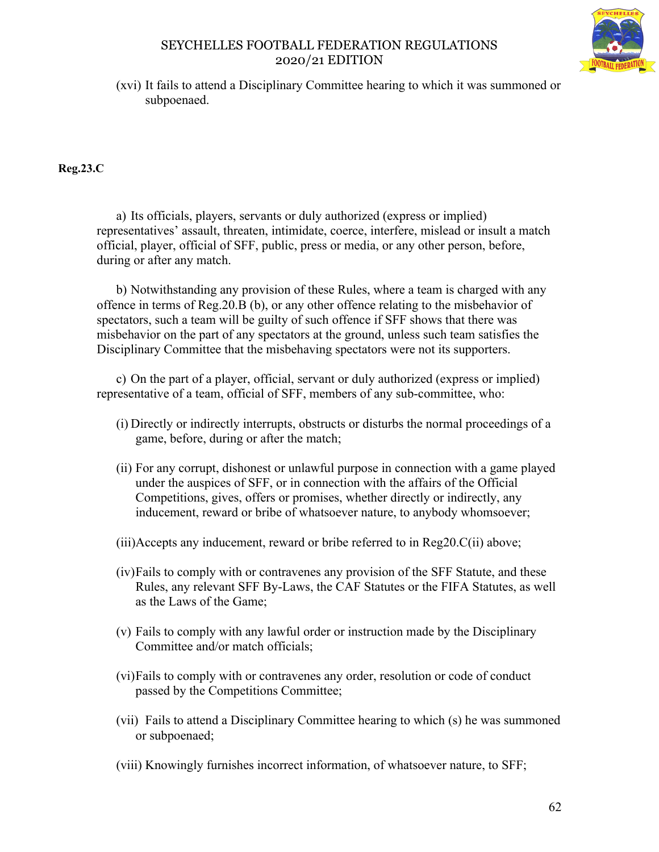

(xvi) It fails to attend a Disciplinary Committee hearing to which it was summoned or subpoenaed.

**Reg.23.C**

a) Its officials, players, servants or duly authorized (express or implied) representatives' assault, threaten, intimidate, coerce, interfere, mislead or insult a match official, player, official of SFF, public, press or media, or any other person, before, during or after any match.

b) Notwithstanding any provision of these Rules, where a team is charged with any offence in terms of Reg.20.B (b), or any other offence relating to the misbehavior of spectators, such a team will be guilty of such offence if SFF shows that there was misbehavior on the part of any spectators at the ground, unless such team satisfies the Disciplinary Committee that the misbehaving spectators were not its supporters.

c) On the part of a player, official, servant or duly authorized (express or implied) representative of a team, official of SFF, members of any sub-committee, who:

- (i) Directly or indirectly interrupts, obstructs or disturbs the normal proceedings of a game, before, during or after the match;
- (ii) For any corrupt, dishonest or unlawful purpose in connection with a game played under the auspices of SFF, or in connection with the affairs of the Official Competitions, gives, offers or promises, whether directly or indirectly, any inducement, reward or bribe of whatsoever nature, to anybody whomsoever;
- (iii)Accepts any inducement, reward or bribe referred to in Reg20.C(ii) above;
- (iv)Fails to comply with or contravenes any provision of the SFF Statute, and these Rules, any relevant SFF By-Laws, the CAF Statutes or the FIFA Statutes, as well as the Laws of the Game;
- (v) Fails to comply with any lawful order or instruction made by the Disciplinary Committee and/or match officials;
- (vi)Fails to comply with or contravenes any order, resolution or code of conduct passed by the Competitions Committee;
- (vii) Fails to attend a Disciplinary Committee hearing to which (s) he was summoned or subpoenaed;
- (viii) Knowingly furnishes incorrect information, of whatsoever nature, to SFF;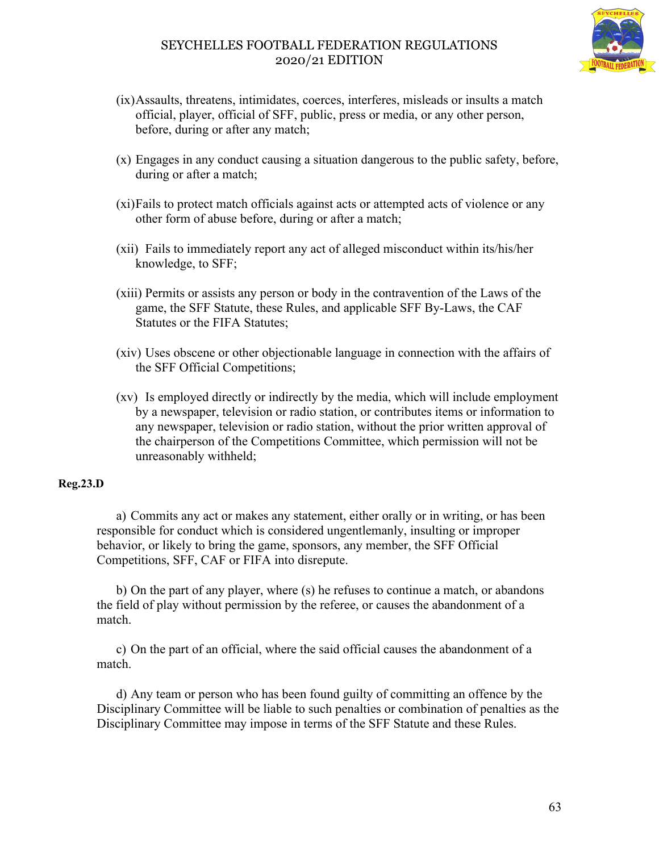

- (ix)Assaults, threatens, intimidates, coerces, interferes, misleads or insults a match official, player, official of SFF, public, press or media, or any other person, before, during or after any match;
- (x) Engages in any conduct causing a situation dangerous to the public safety, before, during or after a match;
- (xi)Fails to protect match officials against acts or attempted acts of violence or any other form of abuse before, during or after a match;
- (xii) Fails to immediately report any act of alleged misconduct within its/his/her knowledge, to SFF;
- (xiii) Permits or assists any person or body in the contravention of the Laws of the game, the SFF Statute, these Rules, and applicable SFF By-Laws, the CAF Statutes or the FIFA Statutes;
- (xiv) Uses obscene or other objectionable language in connection with the affairs of the SFF Official Competitions;
- (xv) Is employed directly or indirectly by the media, which will include employment by a newspaper, television or radio station, or contributes items or information to any newspaper, television or radio station, without the prior written approval of the chairperson of the Competitions Committee, which permission will not be unreasonably withheld;

## **Reg.23.D**

a) Commits any act or makes any statement, either orally or in writing, or has been responsible for conduct which is considered ungentlemanly, insulting or improper behavior, or likely to bring the game, sponsors, any member, the SFF Official Competitions, SFF, CAF or FIFA into disrepute.

b) On the part of any player, where (s) he refuses to continue a match, or abandons the field of play without permission by the referee, or causes the abandonment of a match.

c) On the part of an official, where the said official causes the abandonment of a match.

d) Any team or person who has been found guilty of committing an offence by the Disciplinary Committee will be liable to such penalties or combination of penalties as the Disciplinary Committee may impose in terms of the SFF Statute and these Rules.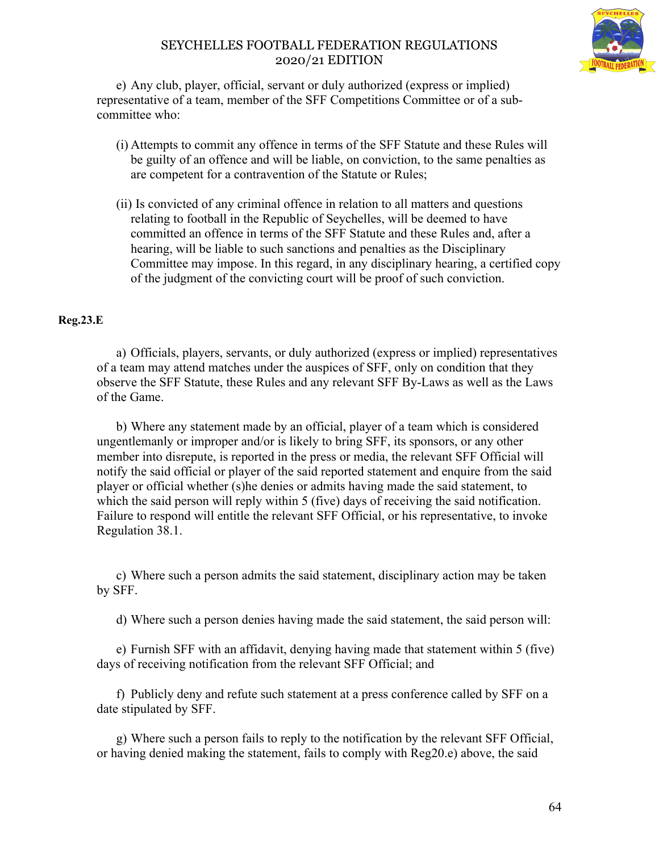

e) Any club, player, official, servant or duly authorized (express or implied) representative of a team, member of the SFF Competitions Committee or of a subcommittee who:

- (i) Attempts to commit any offence in terms of the SFF Statute and these Rules will be guilty of an offence and will be liable, on conviction, to the same penalties as are competent for a contravention of the Statute or Rules;
- (ii) Is convicted of any criminal offence in relation to all matters and questions relating to football in the Republic of Seychelles, will be deemed to have committed an offence in terms of the SFF Statute and these Rules and, after a hearing, will be liable to such sanctions and penalties as the Disciplinary Committee may impose. In this regard, in any disciplinary hearing, a certified copy of the judgment of the convicting court will be proof of such conviction.

## **Reg.23.E**

a) Officials, players, servants, or duly authorized (express or implied) representatives of a team may attend matches under the auspices of SFF, only on condition that they observe the SFF Statute, these Rules and any relevant SFF By-Laws as well as the Laws of the Game.

b) Where any statement made by an official, player of a team which is considered ungentlemanly or improper and/or is likely to bring SFF, its sponsors, or any other member into disrepute, is reported in the press or media, the relevant SFF Official will notify the said official or player of the said reported statement and enquire from the said player or official whether (s)he denies or admits having made the said statement, to which the said person will reply within 5 (five) days of receiving the said notification. Failure to respond will entitle the relevant SFF Official, or his representative, to invoke Regulation 38.1.

c) Where such a person admits the said statement, disciplinary action may be taken by SFF.

d) Where such a person denies having made the said statement, the said person will:

e) Furnish SFF with an affidavit, denying having made that statement within 5 (five) days of receiving notification from the relevant SFF Official; and

f) Publicly deny and refute such statement at a press conference called by SFF on a date stipulated by SFF.

g) Where such a person fails to reply to the notification by the relevant SFF Official, or having denied making the statement, fails to comply with Reg20.e) above, the said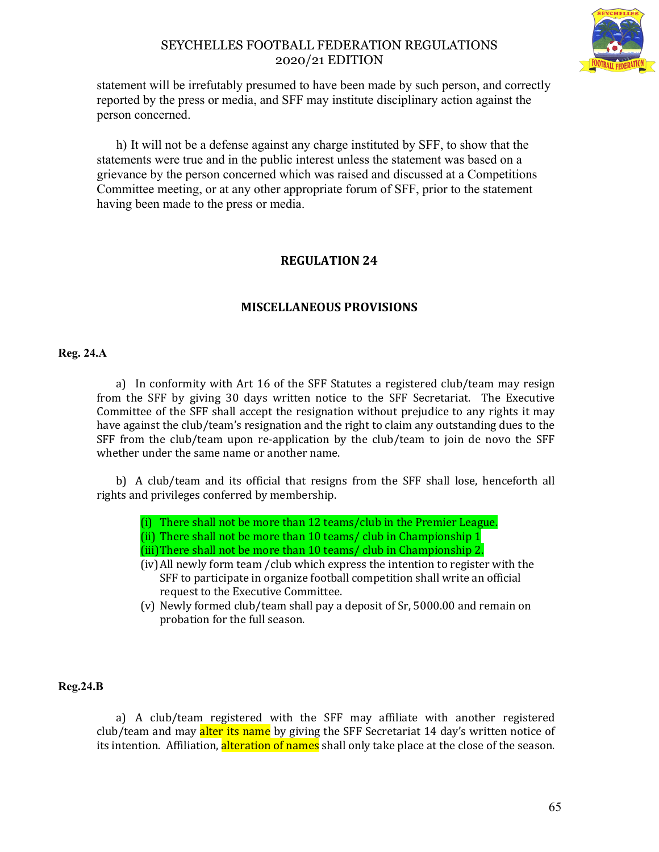

statement will be irrefutably presumed to have been made by such person, and correctly reported by the press or media, and SFF may institute disciplinary action against the person concerned.

h) It will not be a defense against any charge instituted by SFF, to show that the statements were true and in the public interest unless the statement was based on a grievance by the person concerned which was raised and discussed at a Competitions Committee meeting, or at any other appropriate forum of SFF, prior to the statement having been made to the press or media.

# **REGULATION 24**

# **MISCELLANEOUS PROVISIONS**

#### **Reg. 24.A**

a) In conformity with Art 16 of the SFF Statutes a registered club/team may resign from the SFF by giving 30 days written notice to the SFF Secretariat. The Executive Committee of the SFF shall accept the resignation without prejudice to any rights it may have against the club/team's resignation and the right to claim any outstanding dues to the SFF from the club/team upon re-application by the club/team to join de novo the SFF whether under the same name or another name.

b) A club/team and its official that resigns from the SFF shall lose, henceforth all rights and privileges conferred by membership.

- (i) There shall not be more than 12 teams/club in the Premier League.
- (ii) There shall not be more than 10 teams/ club in Championship 1
- (iii)There shall not be more than 10 teams/ club in Championship 2.
- (iv)All newly form team /club which express the intention to register with the SFF to participate in organize football competition shall write an official request to the Executive Committee.
- (v) Newly formed club/team shall pay a deposit of Sr, 5000.00 and remain on probation for the full season.

#### **Reg.24.B**

a) A club/team registered with the SFF may affiliate with another registered club/team and may alter its name by giving the SFF Secretariat 14 day's written notice of its intention. Affiliation, alteration of names shall only take place at the close of the season.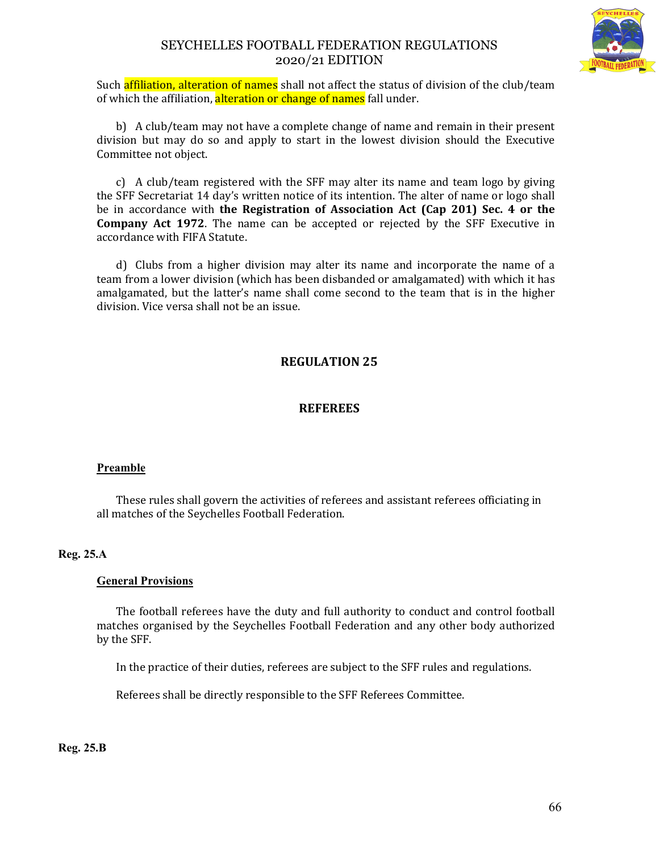

Such affiliation, alteration of names shall not affect the status of division of the club/team of which the affiliation, alteration or change of names fall under.

b) A club/team may not have a complete change of name and remain in their present division but may do so and apply to start in the lowest division should the Executive Committee not object.

c) A club/team registered with the SFF may alter its name and team logo by giving the SFF Secretariat 14 day's written notice of its intention. The alter of name or logo shall be in accordance with **the Registration of Association Act (Cap 201) Sec. 4 or the Company Act 1972**. The name can be accepted or rejected by the SFF Executive in accordance with FIFA Statute.

d) Clubs from a higher division may alter its name and incorporate the name of a team from a lower division (which has been disbanded or amalgamated) with which it has amalgamated, but the latter's name shall come second to the team that is in the higher division. Vice versa shall not be an issue.

# **REGULATION 25**

## **REFEREES**

#### **Preamble**

These rules shall govern the activities of referees and assistant referees officiating in all matches of the Seychelles Football Federation.

#### **Reg. 25.A**

#### **General Provisions**

The football referees have the duty and full authority to conduct and control football matches organised by the Seychelles Football Federation and any other body authorized by the SFF.

In the practice of their duties, referees are subject to the SFF rules and regulations.

Referees shall be directly responsible to the SFF Referees Committee.

**Reg. 25.B**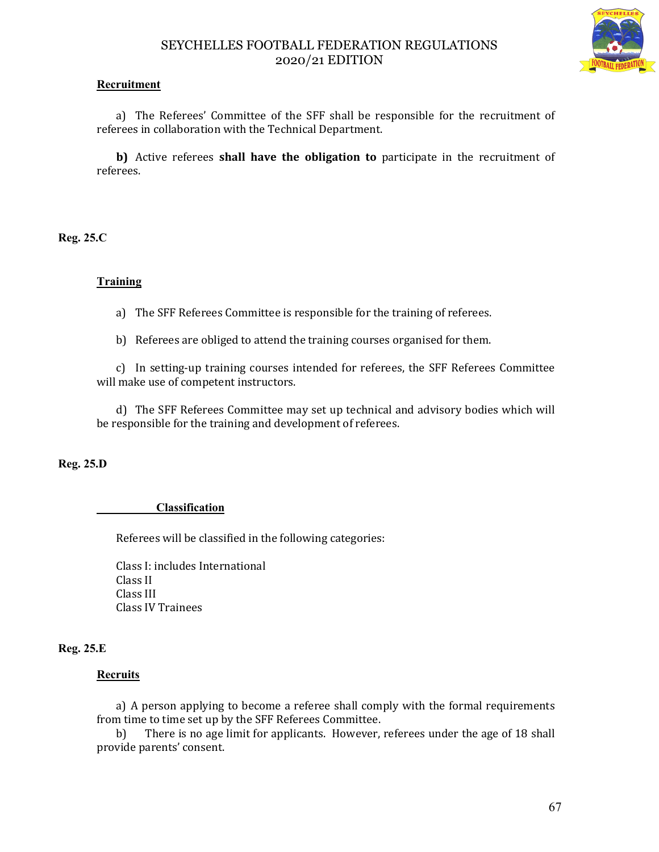

## **Recruitment**

a) The Referees' Committee of the SFF shall be responsible for the recruitment of referees in collaboration with the Technical Department.

**b)** Active referees **shall have the obligation to** participate in the recruitment of referees.

**Reg. 25.C**

## **Training**

a) The SFF Referees Committee is responsible for the training of referees.

b) Referees are obliged to attend the training courses organised for them.

c) In setting-up training courses intended for referees, the SFF Referees Committee will make use of competent instructors.

d) The SFF Referees Committee may set up technical and advisory bodies which will be responsible for the training and development of referees.

**Reg. 25.D**

#### **Classification**

Referees will be classified in the following categories:

Class I: includes International Class II Class III Class IV Trainees

## **Reg. 25.E**

## **Recruits**

a) A person applying to become a referee shall comply with the formal requirements from time to time set up by the SFF Referees Committee.

b) There is no age limit for applicants. However, referees under the age of 18 shall provide parents' consent.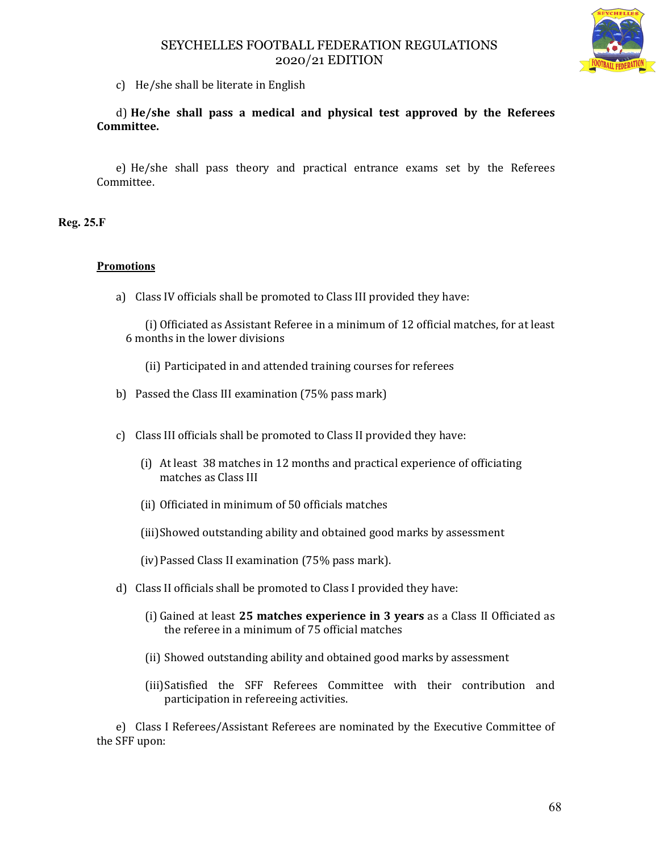

c) He/she shall be literate in English

d) **He/she shall pass a medical and physical test approved by the Referees Committee.** 

e) He/she shall pass theory and practical entrance exams set by the Referees Committee.

**Reg. 25.F**

## **Promotions**

a) Class IV officials shall be promoted to Class III provided they have:

(i) Officiated as Assistant Referee in a minimum of 12 official matches, for at least 6 months in the lower divisions

- (ii) Participated in and attended training courses for referees
- b) Passed the Class III examination (75% pass mark)
- c) Class III officials shall be promoted to Class II provided they have:
	- (i) At least 38 matches in 12 months and practical experience of officiating matches as Class III
	- (ii) Officiated in minimum of 50 officials matches
	- (iii)Showed outstanding ability and obtained good marks by assessment
	- (iv)Passed Class II examination (75% pass mark).
- d) Class II officials shall be promoted to Class I provided they have:
	- (i) Gained at least **25 matches experience in 3 years** as a Class II Officiated as the referee in a minimum of 75 official matches
	- (ii) Showed outstanding ability and obtained good marks by assessment
	- (iii)Satisfied the SFF Referees Committee with their contribution and participation in refereeing activities.

e) Class I Referees/Assistant Referees are nominated by the Executive Committee of the SFF upon: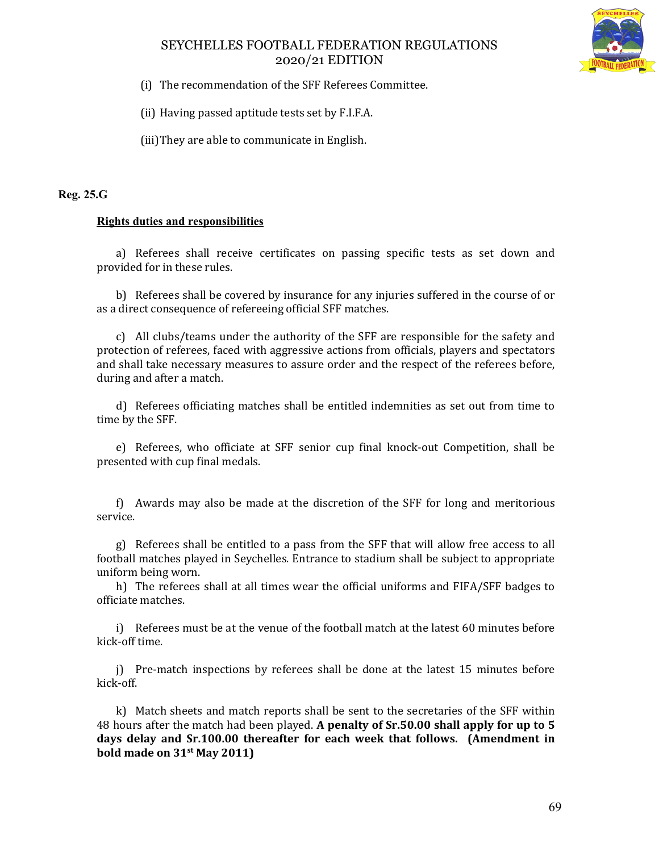

(i) The recommendation of the SFF Referees Committee.

(ii) Having passed aptitude tests set by F.I.F.A.

(iii)They are able to communicate in English.

#### **Reg. 25.G**

#### **Rights duties and responsibilities**

a) Referees shall receive certificates on passing specific tests as set down and provided for in these rules.

b) Referees shall be covered by insurance for any injuries suffered in the course of or as a direct consequence of refereeing official SFF matches.

c) All clubs/teams under the authority of the SFF are responsible for the safety and protection of referees, faced with aggressive actions from officials, players and spectators and shall take necessary measures to assure order and the respect of the referees before, during and after a match.

d) Referees officiating matches shall be entitled indemnities as set out from time to time by the SFF.

e) Referees, who officiate at SFF senior cup final knock-out Competition, shall be presented with cup final medals.

f) Awards may also be made at the discretion of the SFF for long and meritorious service.

g) Referees shall be entitled to a pass from the SFF that will allow free access to all football matches played in Seychelles. Entrance to stadium shall be subject to appropriate uniform being worn.

h) The referees shall at all times wear the official uniforms and FIFA/SFF badges to officiate matches.

i) Referees must be at the venue of the football match at the latest 60 minutes before kick-off time.

j) Pre-match inspections by referees shall be done at the latest 15 minutes before kick-off.

k) Match sheets and match reports shall be sent to the secretaries of the SFF within 48 hours after the match had been played. **A penalty of Sr.50.00 shall apply for up to 5 days delay and Sr.100.00 thereafter for each week that follows. (Amendment in bold made on 31st May 2011)**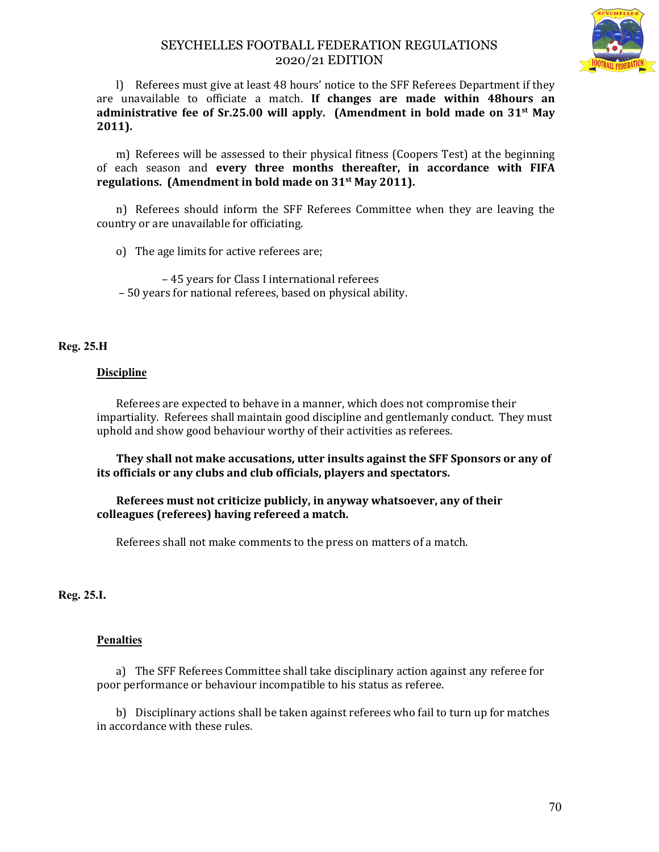

l) Referees must give at least 48 hours' notice to the SFF Referees Department if they are unavailable to officiate a match. **If changes are made within 48hours an administrative fee of Sr.25.00 will apply. (Amendment in bold made on 31st May 2011).** 

m) Referees will be assessed to their physical fitness (Coopers Test) at the beginning of each season and **every three months thereafter, in accordance with FIFA regulations. (Amendment in bold made on 31st May 2011).**

n) Referees should inform the SFF Referees Committee when they are leaving the country or are unavailable for officiating.

o) The age limits for active referees are;

 – 45 years for Class I international referees – 50 years for national referees, based on physical ability.

#### **Reg. 25.H**

#### **Discipline**

Referees are expected to behave in a manner, which does not compromise their impartiality. Referees shall maintain good discipline and gentlemanly conduct. They must uphold and show good behaviour worthy of their activities as referees.

**They shall not make accusations, utter insults against the SFF Sponsors or any of its officials or any clubs and club officials, players and spectators.**

#### **Referees must not criticize publicly, in anyway whatsoever, any of their colleagues (referees) having refereed a match.**

Referees shall not make comments to the press on matters of a match.

#### **Reg. 25.I.**

#### **Penalties**

a) The SFF Referees Committee shall take disciplinary action against any referee for poor performance or behaviour incompatible to his status as referee.

b) Disciplinary actions shall be taken against referees who fail to turn up for matches in accordance with these rules.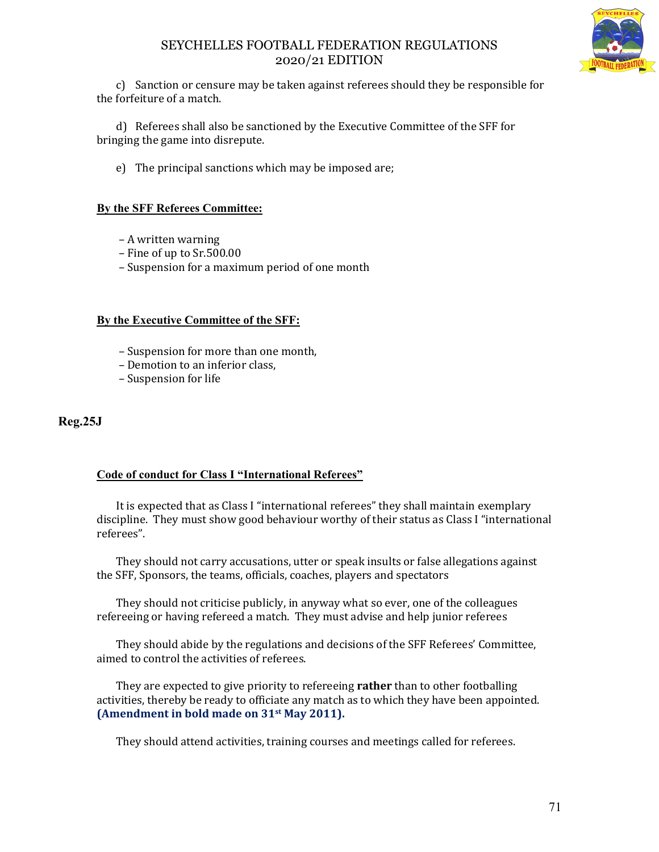

c) Sanction or censure may be taken against referees should they be responsible for the forfeiture of a match.

d) Referees shall also be sanctioned by the Executive Committee of the SFF for bringing the game into disrepute.

e) The principal sanctions which may be imposed are;

#### **By the SFF Referees Committee:**

- A written warning
- Fine of up to Sr.500.00
- Suspension for a maximum period of one month

#### **By the Executive Committee of the SFF:**

- Suspension for more than one month,
- Demotion to an inferior class,
- Suspension for life

## **Reg.25J**

## **Code of conduct for Class I "International Referees"**

It is expected that as Class I "international referees" they shall maintain exemplary discipline. They must show good behaviour worthy of their status as Class I "international referees".

They should not carry accusations, utter or speak insults or false allegations against the SFF, Sponsors, the teams, officials, coaches, players and spectators

They should not criticise publicly, in anyway what so ever, one of the colleagues refereeing or having refereed a match. They must advise and help junior referees

They should abide by the regulations and decisions of the SFF Referees' Committee, aimed to control the activities of referees.

They are expected to give priority to refereeing **rather** than to other footballing activities, thereby be ready to officiate any match as to which they have been appointed. **(Amendment in bold made on 31st May 2011).**

They should attend activities, training courses and meetings called for referees.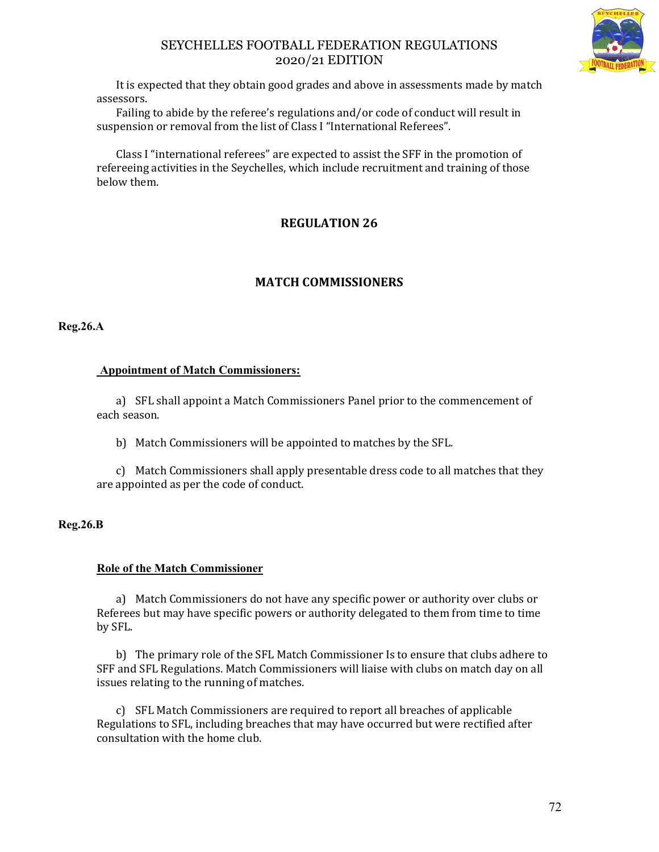

It is expected that they obtain good grades and above in assessments made by match assessors.

Failing to abide by the referee's regulations and/or code of conduct will result in suspension or removal from the list of Class I "International Referees".

Class I "international referees" are expected to assist the SFF in the promotion of refereeing activities in the Seychelles, which include recruitment and training of those below them.

# **REGULATION 26**

# **MATCH COMMISSIONERS**

**Reg.26.A**

## **Appointment of Match Commissioners:**

a) SFL shall appoint a Match Commissioners Panel prior to the commencement of each season.

b) Match Commissioners will be appointed to matches by the SFL.

c) Match Commissioners shall apply presentable dress code to all matches that they are appointed as per the code of conduct.

## **Reg.26.B**

## **Role of the Match Commissioner**

a) Match Commissioners do not have any specific power or authority over clubs or Referees but may have specific powers or authority delegated to them from time to time by SFL.

b) The primary role of the SFL Match Commissioner Is to ensure that clubs adhere to SFF and SFL Regulations. Match Commissioners will liaise with clubs on match day on all issues relating to the running of matches.

c) SFL Match Commissioners are required to report all breaches of applicable Regulations to SFL, including breaches that may have occurred but were rectified after consultation with the home club.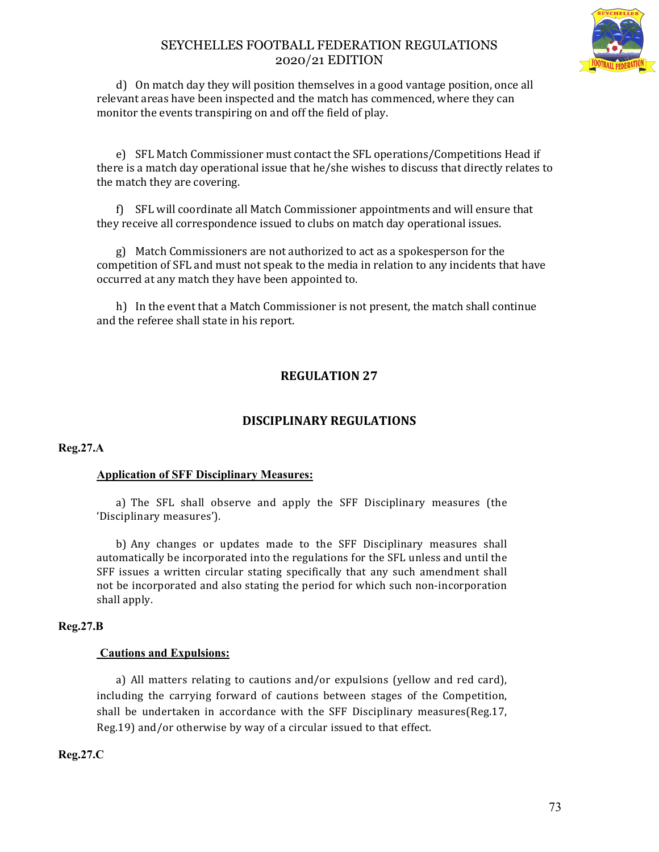

d) On match day they will position themselves in a good vantage position, once all relevant areas have been inspected and the match has commenced, where they can monitor the events transpiring on and off the field of play.

e) SFL Match Commissioner must contact the SFL operations/Competitions Head if there is a match day operational issue that he/she wishes to discuss that directly relates to the match they are covering.

f) SFL will coordinate all Match Commissioner appointments and will ensure that they receive all correspondence issued to clubs on match day operational issues.

g) Match Commissioners are not authorized to act as a spokesperson for the competition of SFL and must not speak to the media in relation to any incidents that have occurred at any match they have been appointed to.

h) In the event that a Match Commissioner is not present, the match shall continue and the referee shall state in his report.

# **REGULATION 27**

# **DISCIPLINARY REGULATIONS**

**Reg.27.A**

#### **Application of SFF Disciplinary Measures:**

a) The SFL shall observe and apply the SFF Disciplinary measures (the 'Disciplinary measures').

b) Any changes or updates made to the SFF Disciplinary measures shall automatically be incorporated into the regulations for the SFL unless and until the SFF issues a written circular stating specifically that any such amendment shall not be incorporated and also stating the period for which such non-incorporation shall apply.

#### **Reg.27.B**

#### **Cautions and Expulsions:**

a) All matters relating to cautions and/or expulsions (yellow and red card), including the carrying forward of cautions between stages of the Competition, shall be undertaken in accordance with the SFF Disciplinary measures(Reg.17, Reg.19) and/or otherwise by way of a circular issued to that effect.

**Reg.27.C**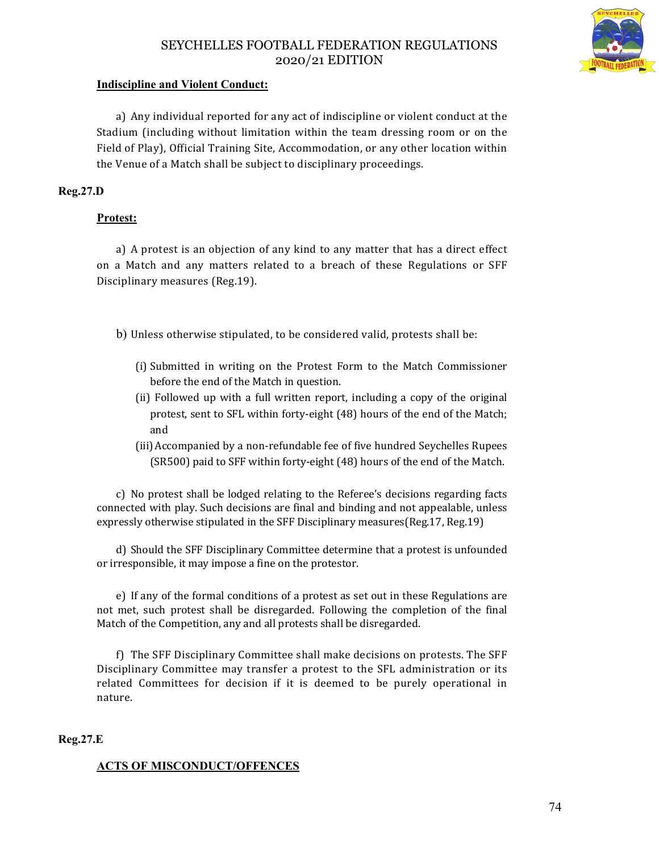

### **Indiscipline and Violent Conduct:**

a) Any individual reported for any act of indiscipline or violent conduct at the Stadium (including without limitation within the team dressing room or on the Field of Play), Official Training Site, Accommodation, or any other location within the Venue of a Match shall be subject to disciplinary proceedings.

### **Reg.27.D**

## **Protest:**

a) A protest is an objection of any kind to any matter that has a direct effect on a Match and any matters related to a breach of these Regulations or SFF Disciplinary measures (Reg.19).

b) Unless otherwise stipulated, to be considered valid, protests shall be:

- (i) Submitted in writing on the Protest Form to the Match Commissioner before the end of the Match in question.
- (ii) Followed up with a full written report, including a copy of the original protest, sent to SFL within forty-eight (48) hours of the end of the Match; and
- (iii) Accompanied by a non-refundable fee of five hundred Seychelles Rupees (SR500) paid to SFF within forty-eight (48) hours of the end of the Match.

c) No protest shall be lodged relating to the Referee's decisions regarding facts connected with play. Such decisions are final and binding and not appealable, unless expressly otherwise stipulated in the SFF Disciplinary measures(Reg.17, Reg.19)

d) Should the SFF Disciplinary Committee determine that a protest is unfounded or irresponsible, it may impose a fine on the protestor.

e) If any of the formal conditions of a protest as set out in these Regulations are not met, such protest shall be disregarded. Following the completion of the final Match of the Competition, any and all protests shall be disregarded.

f) The SFF Disciplinary Committee shall make decisions on protests. The SFF Disciplinary Committee may transfer a protest to the SFL administration or its related Committees for decision if it is deemed to be purely operational in nature.

#### **Reg.27.E**

#### **ACTS OF MISCONDUCT/OFFENCES**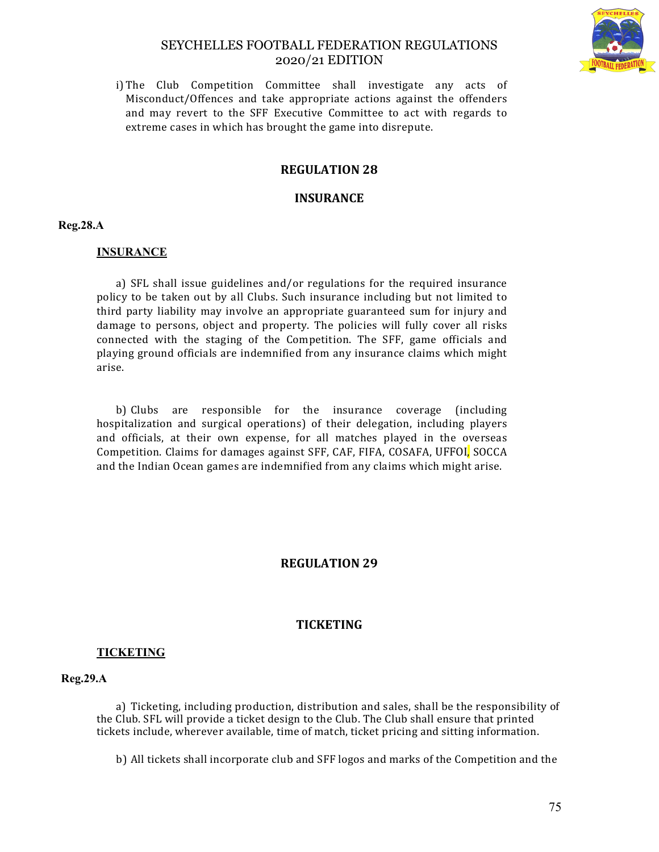

i) The Club Competition Committee shall investigate any acts of Misconduct/Offences and take appropriate actions against the offenders and may revert to the SFF Executive Committee to act with regards to extreme cases in which has brought the game into disrepute.

## **REGULATION 28**

### **INSURANCE**

#### **Reg.28.A**

#### **INSURANCE**

a) SFL shall issue guidelines and/or regulations for the required insurance policy to be taken out by all Clubs. Such insurance including but not limited to third party liability may involve an appropriate guaranteed sum for injury and damage to persons, object and property. The policies will fully cover all risks connected with the staging of the Competition. The SFF, game officials and playing ground officials are indemnified from any insurance claims which might arise.

b) Clubs are responsible for the insurance coverage (including hospitalization and surgical operations) of their delegation, including players and officials, at their own expense, for all matches played in the overseas Competition. Claims for damages against SFF, CAF, FIFA, COSAFA, UFFOI, SOCCA and the Indian Ocean games are indemnified from any claims which might arise.

## **REGULATION 29**

## **TICKETING**

#### **TICKETING**

#### **Reg.29.A**

a) Ticketing, including production, distribution and sales, shall be the responsibility of the Club. SFL will provide a ticket design to the Club. The Club shall ensure that printed tickets include, wherever available, time of match, ticket pricing and sitting information.

b) All tickets shall incorporate club and SFF logos and marks of the Competition and the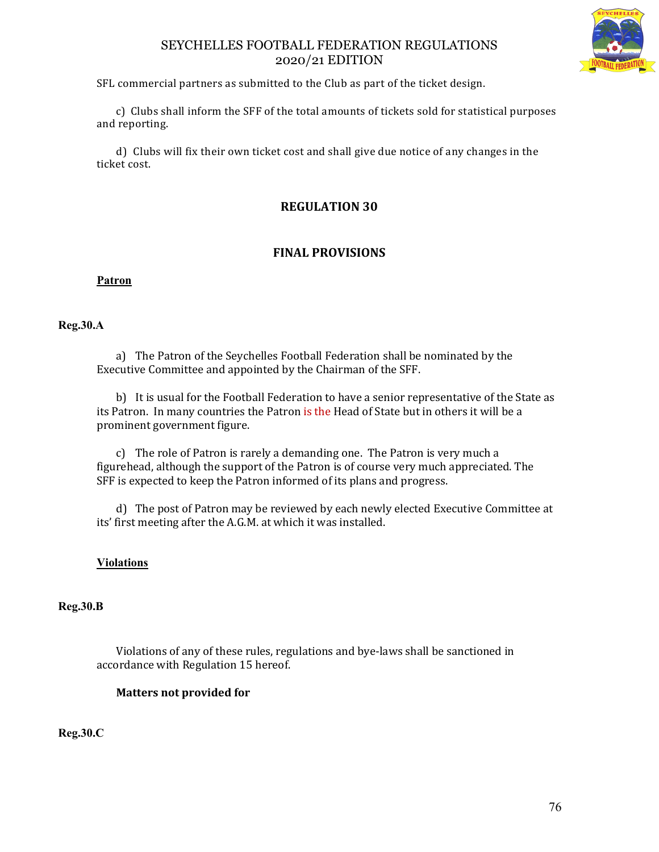

SFL commercial partners as submitted to the Club as part of the ticket design.

c) Clubs shall inform the SFF of the total amounts of tickets sold for statistical purposes and reporting.

d) Clubs will fix their own ticket cost and shall give due notice of any changes in the ticket cost.

# **REGULATION 30**

# **FINAL PROVISIONS**

### **Patron**

### **Reg.30.A**

a) The Patron of the Seychelles Football Federation shall be nominated by the Executive Committee and appointed by the Chairman of the SFF.

b) It is usual for the Football Federation to have a senior representative of the State as its Patron. In many countries the Patron is the Head of State but in others it will be a prominent government figure.

c) The role of Patron is rarely a demanding one. The Patron is very much a figurehead, although the support of the Patron is of course very much appreciated. The SFF is expected to keep the Patron informed of its plans and progress.

d) The post of Patron may be reviewed by each newly elected Executive Committee at its' first meeting after the A.G.M. at which it was installed.

## **Violations**

## **Reg.30.B**

Violations of any of these rules, regulations and bye-laws shall be sanctioned in accordance with Regulation 15 hereof.

# **Matters not provided for**

**Reg.30.C**